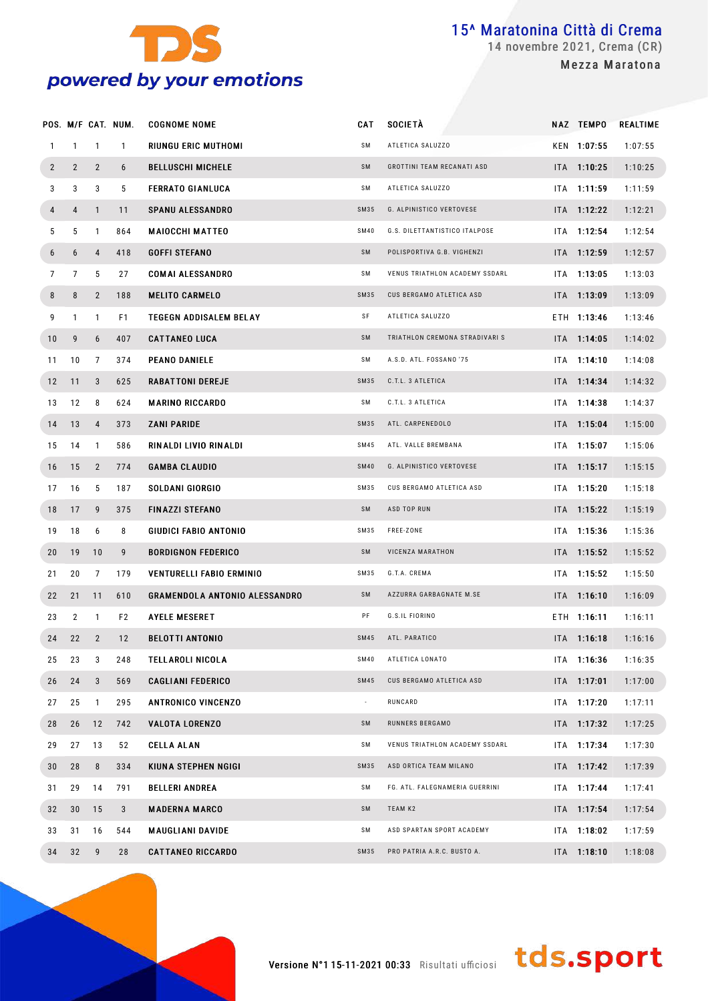

#### POS. M/F CAT. NUM. COGNOME NOME CAN ARRIVE CAT SOCIETÀ NAZ TEMPO REALTIME 1 1 1 1 RIUNGU ERIC MUTHOMI SM ATLETICA SALUZZO KEN 1:07:55 1:07:55 2 2 2 6 BELLUSCHI MICHELE SM GROTTINI TEAM RECANATI ASD ITA 1:10:25 1:10:25 3 3 3 5 FERRATO GIANI IICA SM ATLETICA SALUZZO ITA 1:11:59 1:11:59 1:11:59 **4 4 1 11 SPANU ALESSANDRO** SM35 G. ALPINISTICO VERTOVESE ITA 1:12:22 1:12:21 5 5 1 864 MAIOCCHI MATTEO SM40 G.S. DILETTANTISTICO ITALPOSE ITA 1:12:54 1:12:54 6 6 4 418 GOFFI STEFANO SM POLISPORTIVA G.B. VIGHENZI ITA 1:12:59 1:12:57 T 7 5 27 COMAI ALESSANDRO SM VENUS TRIATHLON ACADEMY SSDARL ITA 1:13:05 1:13:03 8 8 2 188 MELITO CARMELO SM35 CUS BERGAMO ATLETICA ASD ITA 1:13:09 1:13:09 9 1 1 F1 TEGEGN ADDISALEM BELAY SF ATLETICA SALUZZO ETH 1:13:46 1:13:46 10 9 6 407 CATTANFO LUCA SM TRIATHLON CREMONA STRADIVARI S ITA 1:14:05 1:14:02 11 10 7 374 PEANO DANIELE SM A. S.D. ATL. FOSSANO ' 75 ITA 1:14:10 1:14:08 12 11 3 625 RABAT TONI DEREJE SM35 C. T.L. 3 ATLETICA ITA 1:14:34 1:14:32 13 12 8 624 **MARINO RICCARDO** SM C.T.L. 3 ATLETICA **ITA 1:14:38 1:1**4:37 14 13 4 373 ZANI PARIDE SM35 ATL. CARPENEDOLO ITA 1:15:04 1:15:00 15 14 1 586 RIN ALDI LIVIO RIN ALDI SM45 ATL. VALLE BREMBANA ITA 1:15:07 1:15:06 16 15 2 774 **GAMBA CLAUDIO** SM40 G. ALPINISTICO VERTOVESE ITA **1:15:17** 1:15:15 17 16 5 187 SOLDANI GIORGIO SM35 CUS BERGAMO ATLETICA ASD ITA 1:15:20 1:15:18 18 17 9 375 FIN AZZI STEFANO SM ASD TOP RUN ITA 1:15:22 1:15:19 19 18 6 8 GIUDICI FABIO ANTONIO SM35 FREE-ZONE ITA 1:15:36 1:15:36 20 19 10 9 BORDIGNON FEDERICO SM VICENZA MARATHON ITA 1:15:52 1:15:52 21 20 7 179 VENTURELLI FABIO ERMINIO SM35 G. T.A. CREMA ITA 1:15:52 1:15:50 22 21 11 610 GRAMENDOLA ANTONIO ALESSANDRO SM AZZURRA GARBAGNATE M.SE ITA 1:16:10 1:16:09 23 2 1 F2 AYELE MESERET PF G.S.IL FIORINO BTH 1:16:11 1:16:11 1:16:11 24 22 2 12 BELOT TI ANTONIO SM45 ATL. PARATICO ITA 1:16:18 1:16:16 25 23 3 248 TELL AROLI NICOL A SM40 ATLETICA LONATO ITA 1:16:36 1:16:35 26 24 3 569 CAGLIANI FEDERICO SM45 CUS BERGAMO ATLETICA ASD ITA 1:17:01 1:17:00 27 25 1 295 ANTRONICO VINCENZO - RUNCARD ITA 1:17:20 1:17:11 28 26 12 742 VALOTA LORENZO SM RUNNERS BERGAMO ITA 1:17:32 1:17:25 29 27 13 52 CELLAALAN SM VENUS TRIATHLON ACADEMY SSDARL ITA 1:17:34 1:17:30 30 28 8 334 KIUNA STEPHEN NGIGI SM35 ASD ORTICA TEAM MILANO ITA 1:17:42 1:17:39 31 29 14 791 BELLERI ANDREA SM FG. ATL. FALEGNAMERIA GUERRINI | ITA 1:17:44 1:17:41 32 30 15 3 MADERNA MARCO SM TEAM K2 ITA 1:17:54 1:17:54 1:17:54 33 31 16 544 MAUGLIANI DAVIDE SM ASD SPARTAN SPORT ACADEMY ITA 1:18:02 1:17:59 34 32 9 28 CATTANEO RICCARDO SM35 PRO PATRIA A.R.C. BUSTO A. ITA 1:18:10 1:18:08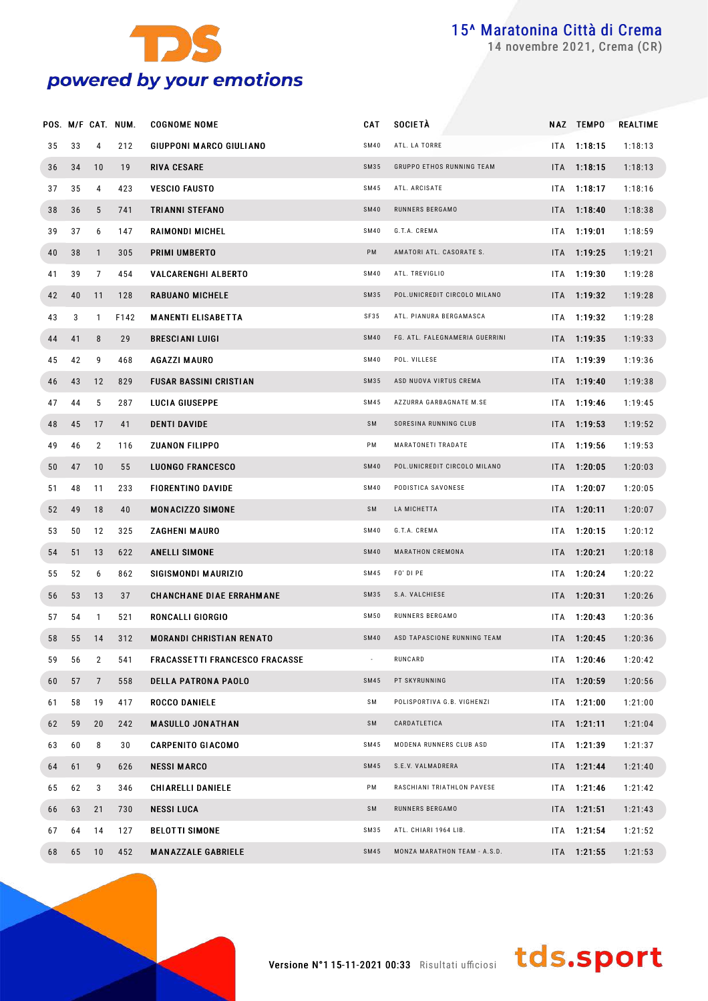

novembre 2021, Crema (CR)

|    |    |              | POS. M/F CAT. NUM. | <b>COGNOME NOME</b>                   | CAT         | <b>SOCIETÀ</b>                 |      | NAZ TEMPO     | REALTIME |
|----|----|--------------|--------------------|---------------------------------------|-------------|--------------------------------|------|---------------|----------|
| 35 | 33 | 4            | 212                | GIUPPONI MARCO GIULIANO               | <b>SM40</b> | ATL. LA TORRE                  |      | $ITA$ 1:18:15 | 1:18:13  |
| 36 | 34 | 10           | 19                 | <b>RIVA CESARE</b>                    | <b>SM35</b> | GRUPPO ETHOS RUNNING TEAM      |      | ITA 1:18:15   | 1:18:13  |
| 37 | 35 | 4            | 423                | <b>VESCIO FAUSTO</b>                  | <b>SM45</b> | ATL. ARCISATE                  |      | ITA 1:18:17   | 1:18:16  |
| 38 | 36 | 5            | 741                | TRIANNI STEFANO                       | <b>SM40</b> | RUNNERS BERGAMO                |      | ITA 1:18:40   | 1:18:38  |
| 39 | 37 | 6            | 147                | RAIMONDI MICHEL                       | <b>SM40</b> | G.T.A. CREMA                   |      | $ITA$ 1:19:01 | 1:18:59  |
| 40 | 38 | $\mathbf{1}$ | 305                | PRIMI UMBERTO                         | PM          | AMATORI ATL. CASORATE S.       |      | ITA 1:19:25   | 1:19:21  |
| 41 | 39 | 7            | 454                | <b>VALCARENGHI ALBERTO</b>            | <b>SM40</b> | ATL. TREVIGLIO                 |      | ITA 1:19:30   | 1:19:28  |
| 42 | 40 | 11           | 128                | <b>RABUANO MICHELE</b>                | <b>SM35</b> | POL.UNICREDIT CIRCOLO MILANO   |      | $ITA$ 1:19:32 | 1:19:28  |
| 43 | 3  | $\mathbf{1}$ | F142               | <b>MANENTI ELISABETTA</b>             | SF35        | ATL. PIANURA BERGAMASCA        |      | $ITA$ 1:19:32 | 1:19:28  |
| 44 | 41 | 8            | 29                 | <b>BRESCIANI LUIGI</b>                | <b>SM40</b> | FG. ATL. FALEGNAMERIA GUERRINI |      | $ITA$ 1:19:35 | 1:19:33  |
| 45 | 42 | 9            | 468                | AGAZZI MAURO                          | <b>SM40</b> | POL. VILLESE                   |      | $ITA$ 1:19:39 | 1:19:36  |
| 46 | 43 | 12           | 829                | <b>FUSAR BASSINI CRISTIAN</b>         | <b>SM35</b> | ASD NUOVA VIRTUS CREMA         |      | ITA 1:19:40   | 1:19:38  |
| 47 | 44 | 5            | 287                | LUCIA GIUSEPPE                        | <b>SM45</b> | AZZURRA GARBAGNATE M.SE        |      | ITA 1:19:46   | 1:19:45  |
| 48 | 45 | 17           | 41                 | <b>DENTI DAVIDE</b>                   | SM          | SORESINA RUNNING CLUB          |      | ITA 1:19:53   | 1:19:52  |
| 49 | 46 | 2            | 116                | <b>ZUANON FILIPPO</b>                 | PM          | MARATONETI TRADATE             |      | ITA 1:19:56   | 1:19:53  |
| 50 | 47 | 10           | 55                 | <b>LUONGO FRANCESCO</b>               | <b>SM40</b> | POL.UNICREDIT CIRCOLO MILANO   |      | ITA 1:20:05   | 1:20:03  |
| 51 | 48 | 11           | 233                | <b>FIORENTINO DAVIDE</b>              | <b>SM40</b> | PODISTICA SAVONESE             | ITA  | 1:20:07       | 1:20:05  |
| 52 | 49 | 18           | 40                 | <b>MONACIZZO SIMONE</b>               | SM          | LA MICHETTA                    |      | ITA 1:20:11   | 1:20:07  |
| 53 | 50 | 12           | 325                | ZAGHENI MAURO                         | <b>SM40</b> | G.T.A. CREMA                   |      | ITA 1:20:15   | 1:20:12  |
| 54 | 51 | 13           | 622                | ANELLI SIMONE                         | <b>SM40</b> | MARATHON CREMONA               |      | ITA 1:20:21   | 1:20:18  |
| 55 | 52 | 6            | 862                | SIGISMONDI MAURIZIO                   | SM45        | FO' DI PE                      | ITA  | 1:20:24       | 1:20:22  |
| 56 | 53 | 13           | 37                 | <b>CHANCHANE DIAE ERRAHMANE</b>       | SM35        | S.A. VALCHIESE                 |      | ITA 1:20:31   | 1:20:26  |
| 57 | 54 | 1            | 521                | RONCALLI GIORGIO                      | <b>SM50</b> | RUNNERS BERGAMO                | ITA. | 1:20:43       | 1:20:36  |
| 58 | 55 | 14           | 312                | <b>MORANDI CHRISTIAN RENATO</b>       | <b>SM40</b> | ASD TAPASCIONE RUNNING TEAM    |      | ITA 1:20:45   | 1:20:36  |
| 59 | 56 | 2            | 541                | <b>FRACASSETTI FRANCESCO FRACASSE</b> |             | RUNCARD                        |      | ITA 1:20:46   | 1:20:42  |
| 60 | 57 | 7            | 558                | <b>DELLA PATRONA PAOLO</b>            | <b>SM45</b> | PT SKYRUNNING                  |      | ITA 1:20:59   | 1:20:56  |
| 61 | 58 | 19           | 417                | <b>ROCCO DANIELE</b>                  | SM          | POLISPORTIVA G.B. VIGHENZI     |      | ITA 1:21:00   | 1:21:00  |
| 62 | 59 | 20           | 242                | <b>MASULLO JONATHAN</b>               | SM          | CARDATLETICA                   |      | ITA 1:21:11   | 1:21:04  |
| 63 | 60 | 8            | 30                 | <b>CARPENITO GIACOMO</b>              | <b>SM45</b> | MODENA RUNNERS CLUB ASD        |      | ITA 1:21:39   | 1:21:37  |
| 64 | 61 | 9            | 626                | <b>NESSI MARCO</b>                    | <b>SM45</b> | S.E.V. VALMADRERA              |      | ITA 1:21:44   | 1:21:40  |
| 65 | 62 | 3            | 346                | CHIARELLI DANIELE                     | PM          | RASCHIANI TRIATHLON PAVESE     |      | ITA 1:21:46   | 1:21:42  |
| 66 | 63 | 21           | 730                | NESSI LUCA                            | SM          | RUNNERS BERGAMO                |      | ITA 1:21:51   | 1:21:43  |
| 67 | 64 | 14           | 127                | <b>BELOTTI SIMONE</b>                 | <b>SM35</b> | ATL. CHIARI 1964 LIB.          |      | ITA 1:21:54   | 1:21:52  |
| 68 | 65 | 10           | 452                | <b>MANAZZALE GABRIELE</b>             | <b>SM45</b> | MONZA MARATHON TEAM - A.S.D.   |      | ITA 1:21:55   | 1:21:53  |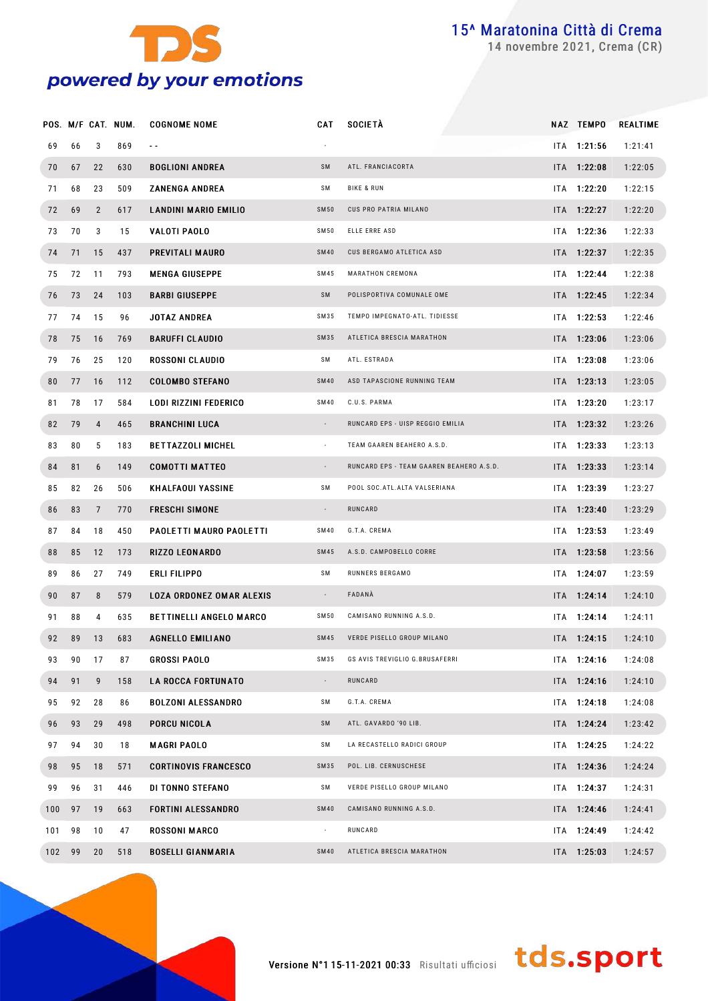

novembre 2021, Crema (CR)

|     |    |                | POS. M/F CAT. NUM. | <b>COGNOME NOME</b>             | CAT                      | <b>SOCIETÀ</b>                           | NAZ TEMPO     | REALTIME |
|-----|----|----------------|--------------------|---------------------------------|--------------------------|------------------------------------------|---------------|----------|
| 69  | 66 | 3              | 869                | $\sim$ $\sim$                   |                          |                                          | ITA 1:21:56   | 1:21:41  |
| 70  | 67 | 22             | 630                | <b>BOGLIONI ANDREA</b>          | SM                       | ATL. FRANCIACORTA                        | ITA 1:22:08   | 1:22:05  |
| 71  | 68 | 23             | 509                | <b>ZANENGA ANDREA</b>           | SΜ                       | <b>BIKE &amp; RUN</b>                    | ITA 1:22:20   | 1:22:15  |
| 72  | 69 | $\overline{2}$ | 617                | <b>LANDINI MARIO EMILIO</b>     | <b>SM50</b>              | CUS PRO PATRIA MILANO                    | ITA 1:22:27   | 1:22:20  |
| 73  | 70 | 3              | 15                 | VALOTI PAOLO                    | SM50                     | ELLE ERRE ASD                            | ITA 1:22:36   | 1:22:33  |
| 74  | 71 | 15             | 437                | PREVITALI MAURO                 | <b>SM40</b>              | CUS BERGAMO ATLETICA ASD                 | ITA 1:22:37   | 1:22:35  |
| 75  | 72 | 11             | 793                | <b>MENGA GIUSEPPE</b>           | SM45                     | MARATHON CREMONA                         | ITA 1:22:44   | 1:22:38  |
| 76  | 73 | 24             | 103                | <b>BARBI GIUSEPPE</b>           | SM                       | POLISPORTIVA COMUNALE OME                | ITA 1:22:45   | 1:22:34  |
| 77  | 74 | 15             | 96                 | <b>JOTAZ ANDREA</b>             | SM35                     | TEMPO IMPEGNATO-ATL. TIDIESSE            | $ITA$ 1:22:53 | 1:22:46  |
| 78  | 75 | 16             | 769                | <b>BARUFFI CLAUDIO</b>          | SM35                     | ATLETICA BRESCIA MARATHON                | ITA 1:23:06   | 1:23:06  |
| 79  | 76 | 25             | 120                | <b>ROSSONI CLAUDIO</b>          | SΜ                       | ATL. ESTRADA                             | ITA 1:23:08   | 1:23:06  |
| 80  | 77 | 16             | 112                | <b>COLOMBO STEFANO</b>          | <b>SM40</b>              | ASD TAPASCIONE RUNNING TEAM              | ITA 1:23:13   | 1:23:05  |
| 81  | 78 | 17             | 584                | LODI RIZZINI FEDERICO           | SM40                     | C.U.S. PARMA                             | ITA 1:23:20   | 1:23:17  |
| 82  | 79 | 4              | 465                | <b>BRANCHINI LUCA</b>           | $\sim$                   | RUNCARD EPS - UISP REGGIO EMILIA         | ITA 1:23:32   | 1:23:26  |
| 83  | 80 | 5              | 183                | <b>BETTAZZOLI MICHEL</b>        | $\sim$                   | TEAM GAAREN BEAHERO A.S.D.               | ITA 1:23:33   | 1:23:13  |
| 84  | 81 | 6              | 149                | <b>COMOTTI MATTEO</b>           | $\sim$                   | RUNCARD EPS - TEAM GAAREN BEAHERO A.S.D. | ITA 1:23:33   | 1:23:14  |
| 85  | 82 | 26             | 506                | <b>KHALFAOUI YASSINE</b>        | SΜ                       | POOL SOC. ATL. ALTA VALSERIANA           | $ITA$ 1:23:39 | 1:23:27  |
| 86  | 83 | $\overline{7}$ | 770                | <b>FRESCHI SIMONE</b>           | $\overline{\phantom{a}}$ | RUNCARD                                  | ITA 1:23:40   | 1:23:29  |
| 87  | 84 | 18             | 450                | PAOLETTI MAURO PAOLETTI         | SM40                     | G.T.A. CREMA                             | $ITA$ 1:23:53 | 1:23:49  |
| 88  | 85 | 12             | 173                | <b>RIZZO LEONARDO</b>           | SM45                     | A.S.D. CAMPOBELLO CORRE                  | ITA 1:23:58   | 1:23:56  |
| 89  | 86 | 27             | 749                | ERLI FILIPPO                    | SΜ                       | RUNNERS BERGAMO                          | ITA 1:24:07   | 1:23:59  |
| 90  | 87 | 8              | 579                | <b>LOZA ORDONEZ OMAR ALEXIS</b> | $\sim$                   | FADANÀ                                   | ITA 1:24:14   | 1:24:10  |
| 91  | 88 | 4              | 635                | <b>BETTINELLI ANGELO MARCO</b>  | SM50                     | CAMISANO RUNNING A.S.D.                  | ITA 1:24:14   | 1:24:11  |
| 92  | 89 | 13             | 683                | <b>AGNELLO EMILIANO</b>         | SM45                     | VERDE PISELLO GROUP MILANO               | ITA 1:24:15   | 1:24:10  |
| 93  | 90 | 17             | 87                 | <b>GROSSI PAOLO</b>             | SM35                     | GS AVIS TREVIGLIO G.BRUSAFERRI           | ITA 1:24:16   | 1:24:08  |
| 94  | 91 | 9              | 158                | <b>LA ROCCA FORTUNATO</b>       |                          | RUNCARD                                  | ITA 1:24:16   | 1:24:10  |
| 95  | 92 | 28             | 86                 | <b>BOLZONI ALESSANDRO</b>       | SM                       | G.T.A. CREMA                             | ITA 1:24:18   | 1:24:08  |
| 96  | 93 | 29             | 498                | PORCU NICOLA                    | SM                       | ATL. GAVARDO '90 LIB.                    | ITA 1:24:24   | 1:23:42  |
| 97  | 94 | 30             | 18                 | <b>MAGRI PAOLO</b>              | SM                       | LA RECASTELLO RADICI GROUP               | ITA 1:24:25   | 1:24:22  |
| 98  | 95 | 18             | 571                | <b>CORTINOVIS FRANCESCO</b>     | SM35                     | POL. LIB. CERNUSCHESE                    | ITA 1:24:36   | 1:24:24  |
| 99  | 96 | 31             | 446                | DI TONNO STEFANO                | SM                       | VERDE PISELLO GROUP MILANO               | ITA 1:24:37   | 1:24:31  |
| 100 | 97 | 19             | 663                | <b>FORTINI ALESSANDRO</b>       | <b>SM40</b>              | CAMISANO RUNNING A.S.D.                  | ITA 1:24:46   | 1:24:41  |
| 101 | 98 | 10             | 47                 | <b>ROSSONI MARCO</b>            | $\sim$                   | RUNCARD                                  | ITA 1:24:49   | 1:24:42  |
| 102 | 99 | 20             | 518                | <b>BOSELLI GIANMARIA</b>        | <b>SM40</b>              | ATLETICA BRESCIA MARATHON                | ITA 1:25:03   | 1:24:57  |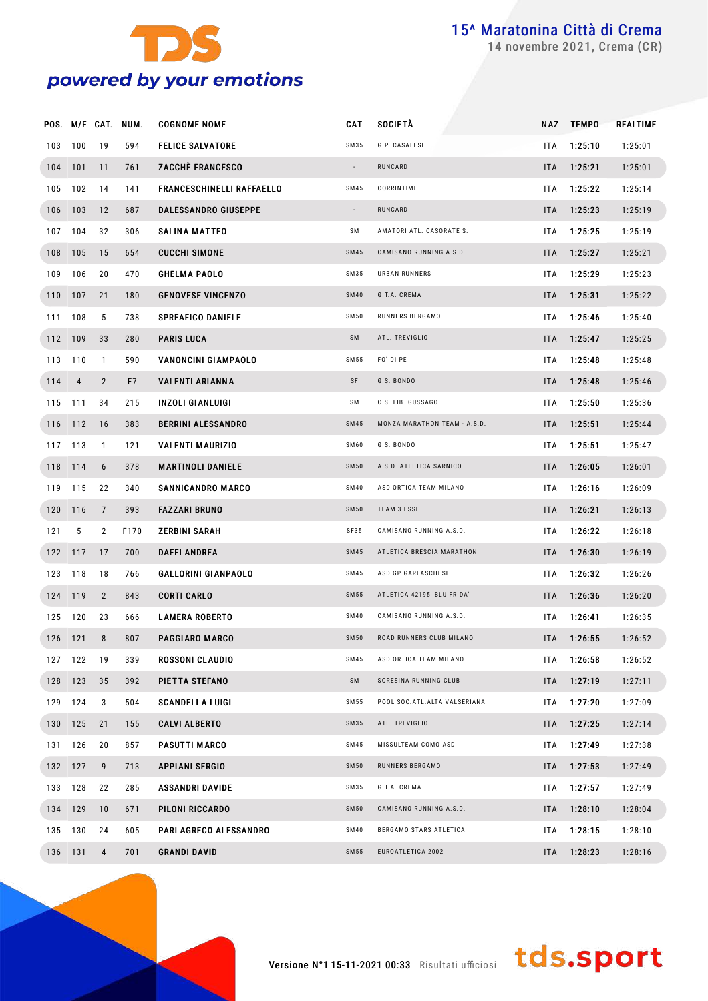

novembre 2021, Crema (CR)

|     |                |                | POS. M/F CAT. NUM. | <b>COGNOME NOME</b>              | CAT         | <b>SOCIETÀ</b>                 |            | NAZ TEMPO | REALTIME |
|-----|----------------|----------------|--------------------|----------------------------------|-------------|--------------------------------|------------|-----------|----------|
| 103 | 100            | 19             | 594                | <b>FELICE SALVATORE</b>          | SM35        | G.P. CASALESE                  | ITA        | 1:25:10   | 1:25:01  |
|     | 104 101        | 11             | 761                | <b>ZACCHÉ FRANCESCO</b>          | $\sim$      | RUNCARD                        | ITA        | 1:25:21   | 1:25:01  |
| 105 | 102            | 14             | 141                | <b>FRANCESCHINELLI RAFFAELLO</b> | SM45        | CORRINTIME                     | ITA        | 1:25:22   | 1:25:14  |
|     | 106 103        | 12             | 687                | <b>DALESSANDRO GIUSEPPE</b>      | $\sim$      | RUNCARD                        | ITA        | 1:25:23   | 1:25:19  |
| 107 | 104            | 32             | 306                | <b>SALINA MATTEO</b>             | SΜ          | AMATORI ATL. CASORATE S.       | ITA        | 1:25:25   | 1:25:19  |
|     | 108 105        | 15             | 654                | <b>CUCCHI SIMONE</b>             | SM45        | CAMISANO RUNNING A.S.D.        | ITA        | 1:25:27   | 1:25:21  |
| 109 | 106            | 20             | 470                | <b>GHELMA PAOLO</b>              | SM35        | <b>URBAN RUNNERS</b>           | ITA        | 1:25:29   | 1:25:23  |
|     | 110 107        | 21             | 180                | <b>GENOVESE VINCENZO</b>         | <b>SM40</b> | G.T.A. CREMA                   | ITA        | 1:25:31   | 1:25:22  |
| 111 | 108            | 5              | 738                | <b>SPREAFICO DANIELE</b>         | SM 50       | RUNNERS BERGAMO                | ITA        | 1:25:46   | 1:25:40  |
|     | 112 109        | 33             | 280                | <b>PARIS LUCA</b>                | SM          | ATL. TREVIGLIO                 | ITA        | 1:25:47   | 1:25:25  |
|     | 113 110        | $\mathbf{1}$   | 590                | VANONCINI GIAMPAOLO              | SM 55       | FO' DI PE                      | ITA        | 1:25:48   | 1:25:48  |
| 114 | $\overline{4}$ | $\overline{2}$ | F7                 | <b>VALENTI ARIANNA</b>           | SF          | G.S. BONDO                     | ITA        | 1:25:48   | 1:25:46  |
|     | 115 111        | 34             | 215                | <b>INZOLI GIANLUIGI</b>          | SΜ          | C.S. LIB. GUSSAGO              | ITA        | 1:25:50   | 1:25:36  |
|     | 116 112        | 16             | 383                | <b>BERRINI ALESSANDRO</b>        | SM45        | MONZA MARATHON TEAM - A.S.D.   | ITA        | 1:25:51   | 1:25:44  |
|     | 117 113        | $\mathbf{1}$   | 121                | <b>VALENTI MAURIZIO</b>          | SM60        | G.S. BONDO                     | ITA        | 1:25:51   | 1:25:47  |
|     | 118 114        | 6              | 378                | <b>MARTINOLI DANIELE</b>         | <b>SM50</b> | A.S.D. ATLETICA SARNICO        | ITA        | 1:26:05   | 1:26:01  |
|     | 119 115        | 22             | 340                | SANNICANDRO MARCO                | SM40        | ASD ORTICA TEAM MILANO         | ITA        | 1:26:16   | 1:26:09  |
|     | 120 116        | $\overline{7}$ | 393                | <b>FAZZARI BRUNO</b>             | <b>SM50</b> | <b>TEAM 3 ESSE</b>             | ITA        | 1:26:21   | 1:26:13  |
| 121 | 5              | $\mathbf{2}$   | F170               | <b>ZERBINI SARAH</b>             | <b>SF35</b> | CAMISANO RUNNING A.S.D.        | ITA        | 1:26:22   | 1:26:18  |
|     | 122 117        | 17             | 700                | <b>DAFFI ANDREA</b>              | SM45        | ATLETICA BRESCIA MARATHON      | ITA        | 1:26:30   | 1:26:19  |
|     | 123 118        | 18             | 766                | <b>GALLORINI GIANPAOLO</b>       | SM45        | ASD GP GARLASCHESE             | ITA        | 1:26:32   | 1:26:26  |
|     | 124 119        | $\overline{2}$ | 843                | <b>CORTI CARLO</b>               | SM 55       | ATLETICA 42195 'BLU FRIDA'     | ITA        | 1:26:36   | 1:26:20  |
|     | 125 120        | 23             | 666                | <b>LAMERA ROBERTO</b>            | SM40        | CAMISANO RUNNING A.S.D.        | ITA        | 1:26:41   | 1:26:35  |
|     | 126 121        | 8              | 807                | PAGGIARO MARCO                   | <b>SM50</b> | ROAD RUNNERS CLUB MILANO       | ITA.       | 1:26:55   | 1:26:52  |
|     | 127 122        | 19             | 339                | ROSSONI CLAUDIO                  | SM45        | ASD ORTICA TEAM MILANO         | ITA        | 1:26:58   | 1:26:52  |
|     | 128 123        | 35             | 392                | PIETTA STEFANO                   | SM          | SORESINA RUNNING CLUB          | <b>ITA</b> | 1:27:19   | 1:27:11  |
|     | 129 124        | 3              | 504                | <b>SCANDELLA LUIGI</b>           | SM55        | POOL SOC. ATL. ALTA VALSERIANA | ITA        | 1:27:20   | 1:27:09  |
|     | 130 125        | 21             | 155                | <b>CALVI ALBERTO</b>             | SM35        | ATL. TREVIGLIO                 | ITA.       | 1:27:25   | 1:27:14  |
|     | 131 126        | 20             | 857                | <b>PASUTTI MARCO</b>             | SM45        | MISSULTEAM COMO ASD            | ITA.       | 1:27:49   | 1:27:38  |
|     | 132 127        | 9              | 713                | <b>APPIANI SERGIO</b>            | <b>SM50</b> | RUNNERS BERGAMO                | ITA.       | 1:27:53   | 1:27:49  |
|     | 133 128        | 22             | 285                | <b>ASSANDRI DAVIDE</b>           | SM35        | G.T.A. CREMA                   | ITA.       | 1:27:57   | 1:27:49  |
|     | 134 129        | 10             | 671                | PILONI RICCARDO                  | <b>SM50</b> | CAMISANO RUNNING A.S.D.        | ITA        | 1:28:10   | 1:28:04  |
|     | 135 130        | 24             | 605                | <b>PARLAGRECO ALESSANDRO</b>     | SM40        | BERGAMO STARS ATLETICA         | ITA.       | 1:28:15   | 1:28:10  |
|     | 136 131        | $\overline{4}$ | 701                | <b>GRANDI DAVID</b>              | SM 55       | EUROATLETICA 2002              | ITA        | 1:28:23   | 1:28:16  |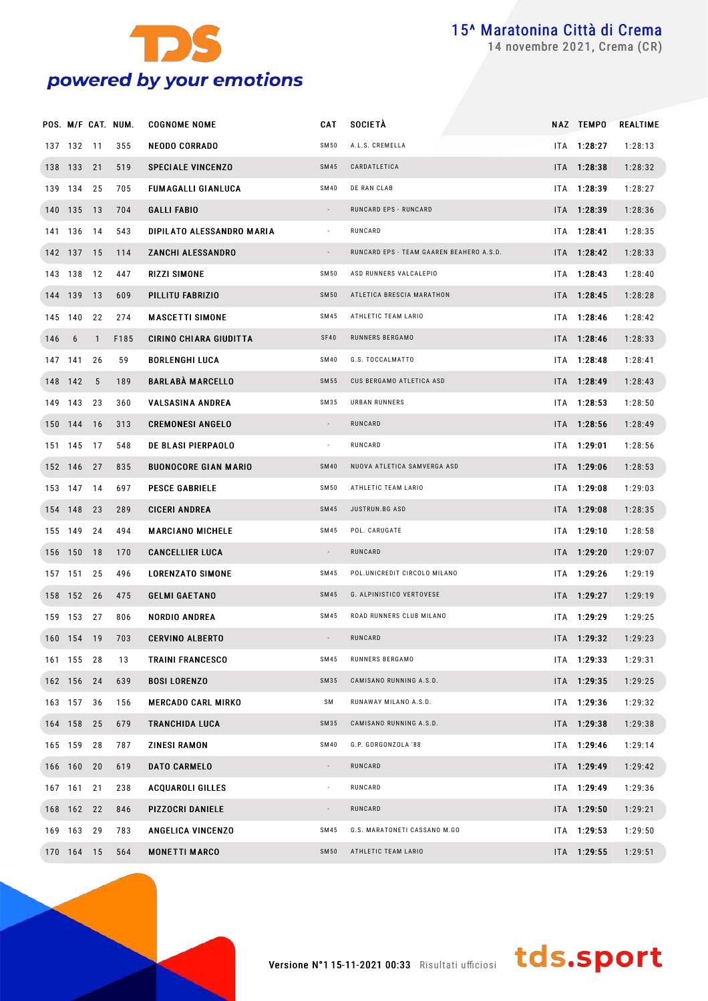

novembre 2021, Crema (CR)

|         |            |              | POS. M/F CAT. NUM. | <b>COGNOME NOME</b>           | <b>CAT</b>               | <b>SOCIETÀ</b>                           | NAZ TEMPO   | REALTIME |
|---------|------------|--------------|--------------------|-------------------------------|--------------------------|------------------------------------------|-------------|----------|
|         | 137 132 11 |              | 355                | <b>NEODO CORRADO</b>          | <b>SM50</b>              | A.L.S. CREMELLA                          | ITA 1:28:27 | 1:28:13  |
|         | 138 133 21 |              | 519                | <b>SPECIALE VINCENZO</b>      | <b>SM45</b>              | CARDATLETICA                             | ITA 1:28:38 | 1:28:32  |
|         | 139 134 25 |              | 705                | <b>FUMAGALLI GIANLUCA</b>     | <b>SM40</b>              | DE RAN CLAB                              | ITA 1:28:39 | 1:28:27  |
|         | 140 135 13 |              | 704                | <b>GALLI FABIO</b>            | $\sim$                   | RUNCARD EPS - RUNCARD                    | ITA 1:28:39 | 1:28:36  |
|         | 141 136 14 |              | 543                | DIPILATO ALESSANDRO MARIA     | $\overline{\phantom{a}}$ | RUNCARD                                  | ITA 1:28:41 | 1:28:35  |
|         | 142 137 15 |              | 114                | <b>ZANCHI ALESSANDRO</b>      | $\sim$                   | RUNCARD EPS - TEAM GAAREN BEAHERO A.S.D. | ITA 1:28:42 | 1:28:33  |
|         | 143 138 12 |              | 447                | RIZZI SIMONE                  | SM 50                    | ASD RUNNERS VALCALEPIO                   | ITA 1:28:43 | 1:28:40  |
|         | 144 139 13 |              | 609                | PILLITU FABRIZIO              | <b>SM50</b>              | ATLETICA BRESCIA MARATHON                | ITA 1:28:45 | 1:28:28  |
|         | 145 140    | 22           | 274                | <b>MASCETTI SIMONE</b>        | <b>SM45</b>              | ATHLETIC TEAM LARIO                      | ITA 1:28:46 | 1:28:42  |
| 146 6   |            | $\mathbf{1}$ | F185               | <b>CIRINO CHIARA GIUDITTA</b> | SF40                     | RUNNERS BERGAMO                          | ITA 1:28:46 | 1:28:33  |
|         | 147 141    | 26           | 59                 | <b>BORLENGHI LUCA</b>         | <b>SM40</b>              | G.S. TOCCALMATTO                         | ITA 1:28:48 | 1:28:41  |
| 148 142 |            | 5            | 189                | <b>BARLABÀ MARCELLO</b>       | <b>SM55</b>              | CUS BERGAMO ATLETICA ASD                 | ITA 1:28:49 | 1:28:43  |
|         | 149 143 23 |              | 360                | <b>VALSASINA ANDREA</b>       | SM35                     | URBAN RUNNERS                            | ITA 1:28:53 | 1:28:50  |
|         | 150 144 16 |              | 313                | <b>CREMONESI ANGELO</b>       | $\sim$                   | RUNCARD                                  | ITA 1:28:56 | 1:28:49  |
|         | 151 145 17 |              | 548                | <b>DE BLASI PIERPAOLO</b>     | $\overline{\phantom{a}}$ | RUNCARD                                  | ITA 1:29:01 | 1:28:56  |
|         | 152 146 27 |              | 835                | <b>BUONOCORE GIAN MARIO</b>   | <b>SM40</b>              | NUOVA ATLETICA SAMVERGA ASD              | ITA 1:29:06 | 1:28:53  |
|         | 153 147 14 |              | 697                | <b>PESCE GABRIELE</b>         | SM 50                    | ATHLETIC TEAM LARIO                      | ITA 1:29:08 | 1:29:03  |
|         | 154 148 23 |              | 289                | <b>CICERI ANDREA</b>          | <b>SM45</b>              | JUSTRUN.BG ASD                           | ITA 1:29:08 | 1:28:35  |
|         | 155 149 24 |              | 494                | <b>MARCIANO MICHELE</b>       | <b>SM45</b>              | POL. CARUGATE                            | ITA 1:29:10 | 1:28:58  |
|         | 156 150 18 |              | 170                | <b>CANCELLIER LUCA</b>        | $\sim$                   | RUNCARD                                  | ITA 1:29:20 | 1:29:07  |
|         | 157 151 25 |              | 496                | <b>LORENZATO SIMONE</b>       | <b>SM45</b>              | POL.UNICREDIT CIRCOLO MILANO             | ITA 1:29:26 | 1:29:19  |
|         | 158 152 26 |              | 475                | <b>GELMI GAETANO</b>          | <b>SM45</b>              | G. ALPINISTICO VERTOVESE                 | ITA 1:29:27 | 1:29:19  |
|         | 159 153 27 |              | 806                | <b>NORDIO ANDREA</b>          | <b>SM45</b>              | ROAD RUNNERS CLUB MILANO                 | ITA 1:29:29 | 1:29:25  |
|         | 160 154 19 |              | 703                | <b>CERVINO ALBERTO</b>        | $\sim$                   | RUNCARD                                  | ITA 1:29:32 | 1:29:23  |
|         | 161 155 28 |              | 13                 | <b>TRAINI FRANCESCO</b>       | SM45                     | RUNNERS BERGAMO                          | ITA 1:29:33 | 1:29:31  |
|         | 162 156 24 |              | 639                | <b>BOSI LORENZO</b>           | <b>SM35</b>              | CAMISANO RUNNING A.S.D.                  | ITA 1:29:35 | 1:29:25  |
|         | 163 157 36 |              | 156                | <b>MERCADO CARL MIRKO</b>     | SΜ                       | RUNAWAY MILANO A.S.D.                    | ITA 1:29:36 | 1:29:32  |
|         | 164 158 25 |              | 679                | <b>TRANCHIDA LUCA</b>         | <b>SM35</b>              | CAMISANO RUNNING A.S.D.                  | ITA 1:29:38 | 1:29:38  |
|         | 165 159 28 |              | 787                | ZINESI RAMON                  | <b>SM40</b>              | G.P. GORGONZOLA '88                      | ITA 1:29:46 | 1:29:14  |
|         | 166 160 20 |              | 619                | <b>DATO CARMELO</b>           | $\overline{\phantom{a}}$ | RUNCARD                                  | ITA 1:29:49 | 1:29:42  |
|         | 167 161 21 |              | 238                | <b>ACQUAROLI GILLES</b>       | $\blacksquare$           | RUNCARD                                  | ITA 1:29:49 | 1:29:36  |
|         | 168 162 22 |              | 846                | <b>PIZZOCRI DANIELE</b>       | $\overline{\phantom{a}}$ | RUNCARD                                  | ITA 1:29:50 | 1:29:21  |
|         | 169 163 29 |              | 783                | <b>ANGELICA VINCENZO</b>      | SM45                     | G.S. MARATONETI CASSANO M.GO             | ITA 1:29:53 | 1:29:50  |
|         | 170 164 15 |              | 564                | <b>MONETTI MARCO</b>          | <b>SM50</b>              | ATHLETIC TEAM LARIO                      | ITA 1:29:55 | 1:29:51  |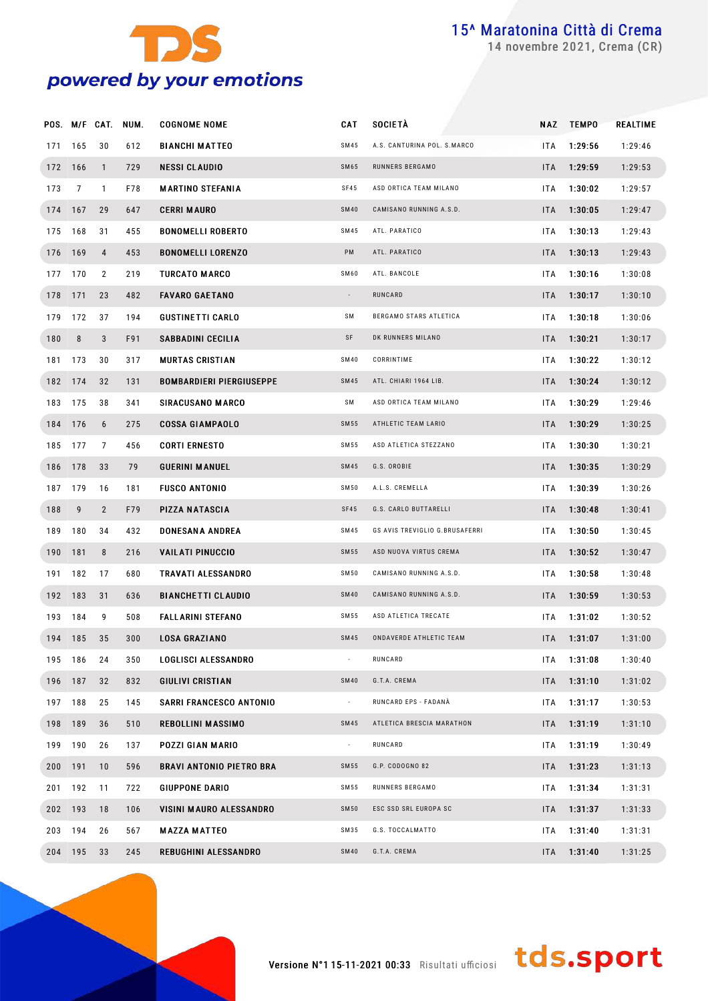

novembre 2021, Crema (CR)

|         |         |                | POS. M/F CAT. NUM. | <b>COGNOME NOME</b>             | CAT                      | <b>SOCIETÀ</b>                 | NAZ        | <b>TEMPO</b> | REALTIME |
|---------|---------|----------------|--------------------|---------------------------------|--------------------------|--------------------------------|------------|--------------|----------|
| 171     | 165     | 30             | 612                | <b>BIANCHI MATTEO</b>           | SM45                     | A.S. CANTURINA POL. S.MARCO    | <b>ITA</b> | 1:29:56      | 1:29:46  |
|         | 172 166 | $\mathbf{1}$   | 729                | <b>NESSI CLAUDIO</b>            | <b>SM65</b>              | RUNNERS BERGAMO                | ITA        | 1:29:59      | 1:29:53  |
| 173     | 7       | $\mathbf{1}$   | F78                | <b>MARTINO STEFANIA</b>         | SF45                     | ASD ORTICA TEAM MILANO         | <b>ITA</b> | 1:30:02      | 1:29:57  |
|         | 174 167 | 29             | 647                | <b>CERRI MAURO</b>              | <b>SM40</b>              | CAMISANO RUNNING A.S.D.        | ITA        | 1:30:05      | 1:29:47  |
|         | 175 168 | 31             | 455                | <b>BONOMELLI ROBERTO</b>        | <b>SM45</b>              | ATL. PARATICO                  | <b>ITA</b> | 1:30:13      | 1:29:43  |
|         | 176 169 | $\overline{4}$ | 453                | <b>BONOMELLI LORENZO</b>        | PM                       | ATL. PARATICO                  | ITA        | 1:30:13      | 1:29:43  |
| 177     | 170     | $\overline{2}$ | 219                | <b>TURCATO MARCO</b>            | SM60                     | ATL. BANCOLE                   | <b>ITA</b> | 1:30:16      | 1:30:08  |
|         | 178 171 | 23             | 482                | <b>FAVARO GAETANO</b>           | $\overline{\phantom{a}}$ | RUNCARD                        | ITA        | 1:30:17      | 1:30:10  |
| 179     | 172     | 37             | 194                | <b>GUSTINETTI CARLO</b>         | SΜ                       | BERGAMO STARS ATLETICA         | <b>ITA</b> | 1:30:18      | 1:30:06  |
| 180     | 8       | 3              | F91                | SABBADINI CECILIA               | SF                       | DK RUNNERS MILANO              | ITA        | 1:30:21      | 1:30:17  |
| 181     | 173     | 30             | 317                | <b>MURTAS CRISTIAN</b>          | <b>SM40</b>              | CORRINTIME                     | <b>ITA</b> | 1:30:22      | 1:30:12  |
|         | 182 174 | 32             | 131                | <b>BOMBARDIERI PIERGIUSEPPE</b> | <b>SM45</b>              | ATL. CHIARI 1964 LIB.          | ITA        | 1:30:24      | 1:30:12  |
| 183     | 175     | 38             | 341                | <b>SIRACUSANO MARCO</b>         | SΜ                       | ASD ORTICA TEAM MILANO         | <b>ITA</b> | 1:30:29      | 1:29:46  |
|         | 184 176 | 6              | 275                | <b>COSSA GIAMPAOLO</b>          | <b>SM55</b>              | ATHLETIC TEAM LARIO            | ITA        | 1:30:29      | 1:30:25  |
|         | 185 177 | $\overline{7}$ | 456                | <b>CORTI ERNESTO</b>            | SM 55                    | ASD ATLETICA STEZZANO          | <b>ITA</b> | 1:30:30      | 1:30:21  |
|         | 186 178 | 33             | 79                 | <b>GUERINI MANUEL</b>           | <b>SM45</b>              | G.S. OROBIE                    | ITA        | 1:30:35      | 1:30:29  |
| 187     | 179     | 16             | 181                | <b>FUSCO ANTONIO</b>            | SM 50                    | A.L.S. CREMELLA                | <b>ITA</b> | 1:30:39      | 1:30:26  |
| 188     | 9       | $\overline{2}$ | F79                | PIZZA NATASCIA                  | <b>SF45</b>              | G.S. CARLO BUTTARELLI          | ITA        | 1:30:48      | 1:30:41  |
| 189     | 180     | 34             | 432                | <b>DONESANA ANDREA</b>          | SM 45                    | GS AVIS TREVIGLIO G.BRUSAFERRI | <b>ITA</b> | 1:30:50      | 1:30:45  |
| 190 181 |         | 8              | 216                | <b>VAILATI PINUCCIO</b>         | <b>SM55</b>              | ASD NUOVA VIRTUS CREMA         | ITA        | 1:30:52      | 1:30:47  |
| 191     | 182     | 17             | 680                | TRAVATI ALESSANDRO              | SM 50                    | CAMISANO RUNNING A.S.D.        | <b>ITA</b> | 1:30:58      | 1:30:48  |
|         | 192 183 | 31             | 636                | <b>BIANCHETTI CLAUDIO</b>       | <b>SM40</b>              | CAMISANO RUNNING A.S.D.        | ITA        | 1:30:59      | 1:30:53  |
| 193     | 184     | 9              | 508                | FALLARINI STEFANO               | SM 55                    | ASD ATLETICA TRECATE           | <b>ITA</b> | 1:31:02      | 1:30:52  |
|         | 194 185 | 35             | 300                | <b>LOSA GRAZIANO</b>            | <b>SM45</b>              | ONDAVERDE ATHLETIC TEAM        | ITA.       | 1:31:07      | 1:31:00  |
|         | 195 186 | 24             | 350                | LOGLISCI ALESSANDRO             |                          | RUNCARD                        | ITA        | 1:31:08      | 1:30:40  |
|         | 196 187 | 32             | 832                | <b>GIULIVI CRISTIAN</b>         | <b>SM40</b>              | G.T.A. CREMA                   | <b>ITA</b> | 1:31:10      | 1:31:02  |
|         | 197 188 | 25             | 145                | SARRI FRANCESCO ANTONIO         | $\overline{\phantom{a}}$ | RUNCARD EPS - FADANÀ           | ITA.       | 1:31:17      | 1:30:53  |
|         | 198 189 | 36             | 510                | <b>REBOLLINI MASSIMO</b>        | SM45                     | ATLETICA BRESCIA MARATHON      | ITA        | 1:31:19      | 1:31:10  |
|         | 199 190 | 26             | 137                | POZZI GIAN MARIO                | $\overline{\phantom{a}}$ | RUNCARD                        | ITA.       | 1:31:19      | 1:30:49  |
| 200 191 |         | 10             | 596                | <b>BRAVI ANTONIO PIETRO BRA</b> | <b>SM55</b>              | G.P. CODOGNO 82                | ITA        | 1:31:23      | 1:31:13  |
|         | 201 192 | 11             | 722                | <b>GIUPPONE DARIO</b>           | SM 55                    | RUNNERS BERGAMO                | ITA.       | 1:31:34      | 1:31:31  |
|         | 202 193 | 18             | 106                | VISINI MAURO ALESSANDRO         | <b>SM50</b>              | ESC SSD SRL EUROPA SC          | ITA        | 1:31:37      | 1:31:33  |
|         | 203 194 | 26             | 567                | <b>MAZZA MATTEO</b>             | SM35                     | G.S. TOCCALMATTO               | ITA.       | 1:31:40      | 1:31:31  |
|         | 204 195 | 33             | 245                | <b>REBUGHINI ALESSANDRO</b>     | <b>SM40</b>              | G.T.A. CREMA                   | ITA        | 1:31:40      | 1:31:25  |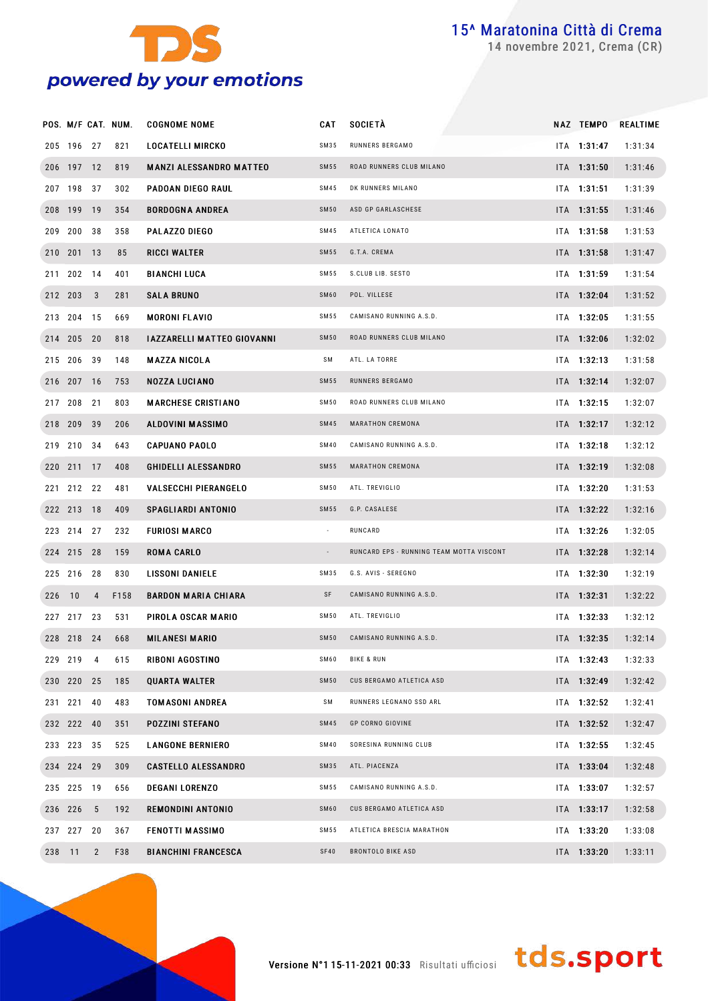

novembre 2021, Crema (CR)

|        |            |                | POS. M/F CAT. NUM. | <b>COGNOME NOME</b>               | <b>CAT</b>               | <b>SOCIETÀ</b>                           | NAZ TEMPO     | <b>REALTIME</b> |
|--------|------------|----------------|--------------------|-----------------------------------|--------------------------|------------------------------------------|---------------|-----------------|
|        | 205 196 27 |                | 821                | <b>LOCATELLI MIRCKO</b>           | SM35                     | RUNNERS BERGAMO                          | ITA 1:31:47   | 1:31:34         |
|        | 206 197 12 |                | 819                | <b>MANZI ALESSANDRO MATTEO</b>    | <b>SM55</b>              | ROAD RUNNERS CLUB MILANO                 | ITA 1:31:50   | 1:31:46         |
|        | 207 198 37 |                | 302                | PADOAN DIEGO RAUL                 | SM45                     | DK RUNNERS MILANO                        | ITA 1:31:51   | 1:31:39         |
|        | 208 199 19 |                | 354                | <b>BORDOGNA ANDREA</b>            | <b>SM50</b>              | ASD GP GARLASCHESE                       | ITA 1:31:55   | 1:31:46         |
|        | 209 200 38 |                | 358                | <b>PALAZZO DIEGO</b>              | SM45                     | ATLETICA LONATO                          | ITA 1:31:58   | 1:31:53         |
|        | 210 201 13 |                | 85                 | <b>RICCI WALTER</b>               | SM 55                    | G.T.A. CREMA                             | ITA 1:31:58   | 1:31:47         |
|        | 211 202 14 |                | 401                | <b>BIANCHI LUCA</b>               | SM 55                    | S.CLUB LIB. SESTO                        | ITA 1:31:59   | 1:31:54         |
|        | 212 203 3  |                | 281                | <b>SALA BRUNO</b>                 | SM60                     | POL. VILLESE                             | ITA 1:32:04   | 1:31:52         |
|        | 213 204 15 |                | 669                | <b>MORONI FLAVIO</b>              | SM 55                    | CAMISANO RUNNING A.S.D.                  | ITA 1:32:05   | 1:31:55         |
|        | 214 205 20 |                | 818                | <b>IAZZARELLI MATTEO GIOVANNI</b> | <b>SM50</b>              | ROAD RUNNERS CLUB MILANO                 | ITA 1:32:06   | 1:32:02         |
|        | 215 206 39 |                | 148                | <b>MAZZA NICOLA</b>               | SΜ                       | ATL. LA TORRE                            | ITA 1:32:13   | 1:31:58         |
|        | 216 207 16 |                | 753                | <b>NOZZA LUCIANO</b>              | SM 55                    | RUNNERS BERGAMO                          | ITA 1:32:14   | 1:32:07         |
|        | 217 208 21 |                | 803                | <b>MARCHESE CRISTIANO</b>         | <b>SM50</b>              | ROAD RUNNERS CLUB MILANO                 | ITA 1:32:15   | 1:32:07         |
|        | 218 209 39 |                | 206                | <b>ALDOVINI MASSIMO</b>           | <b>SM45</b>              | MARATHON CREMONA                         | ITA 1:32:17   | 1:32:12         |
|        | 219 210 34 |                | 643                | <b>CAPUANO PAOLO</b>              | <b>SM40</b>              | CAMISANO RUNNING A.S.D.                  | ITA 1:32:18   | 1:32:12         |
|        | 220 211 17 |                | 408                | <b>GHIDELLI ALESSANDRO</b>        | SM 55                    | MARATHON CREMONA                         | ITA 1:32:19   | 1:32:08         |
|        | 221 212 22 |                | 481                | <b>VALSECCHI PIERANGELO</b>       | SM 50                    | ATL. TREVIGLIO                           | ITA 1:32:20   | 1:31:53         |
|        | 222 213 18 |                | 409                | <b>SPAGLIARDI ANTONIO</b>         | SM 55                    | G.P. CASALESE                            | ITA 1:32:22   | 1:32:16         |
|        | 223 214 27 |                | 232                | <b>FURIOSI MARCO</b>              | $\cdot$                  | RUNCARD                                  | ITA 1:32:26   | 1:32:05         |
|        | 224 215 28 |                | 159                | <b>ROMA CARLO</b>                 | $\overline{\phantom{a}}$ | RUNCARD EPS - RUNNING TEAM MOTTA VISCONT | ITA 1:32:28   | 1:32:14         |
|        | 225 216 28 |                | 830                | <b>LISSONI DANIELE</b>            | SM35                     | G.S. AVIS - SEREGNO                      | ITA 1:32:30   | 1:32:19         |
| 226 10 |            | 4              | F158               | <b>BARDON MARIA CHIARA</b>        | SF                       | CAMISANO RUNNING A.S.D.                  | $ITA$ 1:32:31 | 1:32:22         |
|        | 227 217 23 |                | 531                | PIROLA OSCAR MARIO                | SM 50                    | ATL. TREVIGLIO                           | $ITA$ 1:32:33 | 1:32:12         |
|        | 228 218 24 |                | 668                | <b>MILANESI MARIO</b>             | <b>SM50</b>              | CAMISANO RUNNING A.S.D.                  | ITA 1:32:35   | 1:32:14         |
|        | 229 219 4  |                | 615                | RIBONI AGOSTINO                   | SM60                     | <b>BIKE &amp; RUN</b>                    | ITA 1:32:43   | 1:32:33         |
|        | 230 220 25 |                | 185                | <b>QUARTA WALTER</b>              | <b>SM50</b>              | CUS BERGAMO ATLETICA ASD                 | ITA 1:32:49   | 1:32:42         |
|        | 231 221 40 |                | 483                | <b>TOMASONI ANDREA</b>            | SΜ                       | RUNNERS LEGNANO SSD ARL                  | ITA 1:32:52   | 1:32:41         |
|        | 232 222 40 |                | 351                | <b>POZZINI STEFANO</b>            | <b>SM45</b>              | <b>GP CORNO GIOVINE</b>                  | ITA 1:32:52   | 1:32:47         |
|        | 233 223 35 |                | 525                | <b>LANGONE BERNIERO</b>           | <b>SM40</b>              | SORESINA RUNNING CLUB                    | ITA 1:32:55   | 1:32:45         |
|        | 234 224 29 |                | 309                | <b>CASTELLO ALESSANDRO</b>        | SM35                     | ATL. PIACENZA                            | ITA 1:33:04   | 1:32:48         |
|        | 235 225 19 |                | 656                | <b>DEGANI LORENZO</b>             | SM 55                    | CAMISANO RUNNING A.S.D.                  | ITA 1:33:07   | 1:32:57         |
|        | 236 226 5  |                | 192                | <b>REMONDINI ANTONIO</b>          | SM60                     | CUS BERGAMO ATLETICA ASD                 | ITA 1:33:17   | 1:32:58         |
|        | 237 227 20 |                | 367                | <b>FENOTTI MASSIMO</b>            | SM 55                    | ATLETICA BRESCIA MARATHON                | ITA 1:33:20   | 1:33:08         |
| 238 11 |            | $\overline{2}$ | F38                | <b>BIANCHINI FRANCESCA</b>        | <b>SF40</b>              | <b>BRONTOLO BIKE ASD</b>                 | ITA 1:33:20   | 1:33:11         |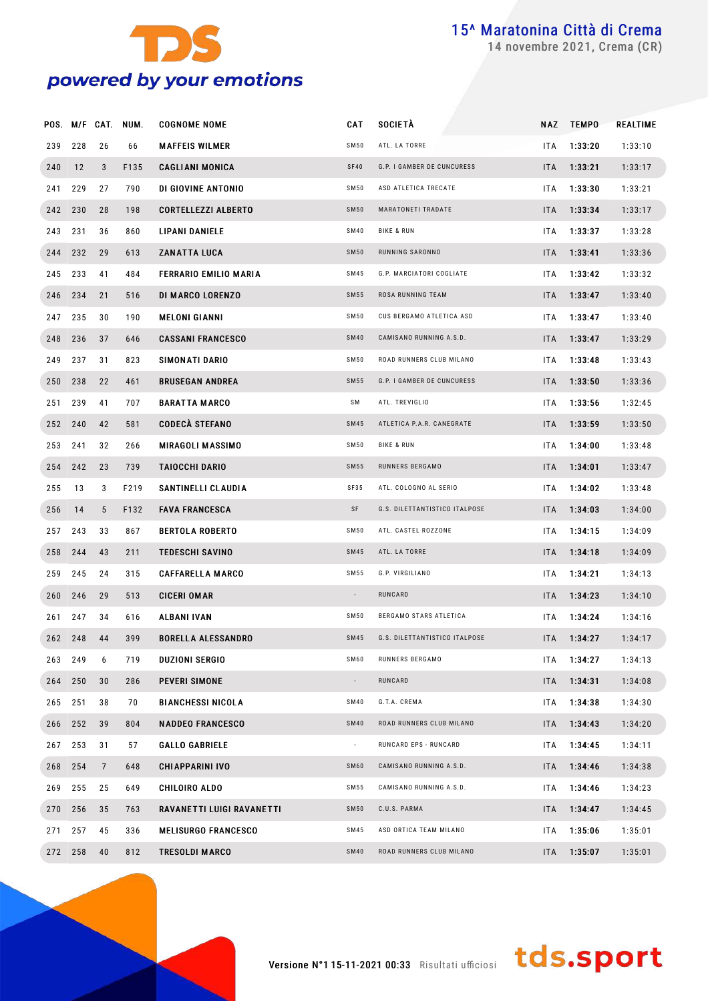

novembre 2021, Crema (CR)

|         |         |                 | POS. M/F CAT. NUM. | <b>COGNOME NOME</b>        | CAT         | <b>SOCIETÀ</b>                |            | NAZ TEMPO | REALTIME |
|---------|---------|-----------------|--------------------|----------------------------|-------------|-------------------------------|------------|-----------|----------|
| 239     | 228     | 26              | 66                 | <b>MAFFEIS WILMER</b>      | <b>SM50</b> | ATL. LA TORRE                 | ITA.       | 1:33:20   | 1:33:10  |
| 240     | 12      | 3               | F135               | <b>CAGLIANI MONICA</b>     | SF40        | G.P. I GAMBER DE CUNCURESS    | ITA.       | 1:33:21   | 1:33:17  |
| 241     | 229     | 27              | 790                | DI GIOVINE ANTONIO         | <b>SM50</b> | ASD ATLETICA TRECATE          | ITA.       | 1:33:30   | 1:33:21  |
|         | 242 230 | 28              | 198                | <b>CORTELLEZZI ALBERTO</b> | <b>SM50</b> | MARATONETI TRADATE            | ITA.       | 1:33:34   | 1:33:17  |
| 243     | 231     | 36              | 860                | LIPANI DANIELE             | <b>SM40</b> | <b>BIKE &amp; RUN</b>         | ITA.       | 1:33:37   | 1:33:28  |
| 244     | 232     | 29              | 613                | <b>ZANATTA LUCA</b>        | <b>SM50</b> | RUNNING SARONNO               | ITA.       | 1:33:41   | 1:33:36  |
| 245     | 233     | 41              | 484                | FERRARIO EMILIO MARIA      | <b>SM45</b> | G.P. MARCIATORI COGLIATE      | ITA.       | 1:33:42   | 1:33:32  |
| 246     | 234     | 21              | 516                | DI MARCO LORENZO           | <b>SM55</b> | ROSA RUNNING TEAM             | ITA.       | 1:33:47   | 1:33:40  |
| 247     | 235     | 30              | 190                | <b>MELONI GIANNI</b>       | <b>SM50</b> | CUS BERGAMO ATLETICA ASD      | ITA.       | 1:33:47   | 1:33:40  |
| 248     | 236     | 37              | 646                | <b>CASSANI FRANCESCO</b>   | <b>SM40</b> | CAMISANO RUNNING A.S.D.       | ITA.       | 1:33:47   | 1:33:29  |
| 249     | 237     | 31              | 823                | SIMONATI DARIO             | <b>SM50</b> | ROAD RUNNERS CLUB MILANO      | ITA.       | 1:33:48   | 1:33:43  |
| 250     | 238     | 22              | 461                | <b>BRUSEGAN ANDREA</b>     | <b>SM55</b> | G.P. I GAMBER DE CUNCURESS    | ITA.       | 1:33:50   | 1:33:36  |
| 251     | 239     | 41              | 707                | <b>BARATTA MARCO</b>       | SM          | ATL. TREVIGLIO                | ITA.       | 1:33:56   | 1:32:45  |
|         | 252 240 | 42              | 581                | <b>CODECÀ STEFANO</b>      | <b>SM45</b> | ATLETICA P.A.R. CANEGRATE     | ITA.       | 1:33:59   | 1:33:50  |
| 253     | 241     | 32              | 266                | MIRAGOLI MASSIMO           | <b>SM50</b> | <b>BIKE &amp; RUN</b>         | ITA.       | 1:34:00   | 1:33:48  |
| 254     | 242     | 23              | 739                | <b>TAIOCCHI DARIO</b>      | <b>SM55</b> | RUNNERS BERGAMO               | ITA.       | 1:34:01   | 1:33:47  |
| 255     | 13      | 3               | F219               | SANTINELLI CLAUDIA         | SF35        | ATL. COLOGNO AL SERIO         | ITA.       | 1:34:02   | 1:33:48  |
| 256     | 14      | $5\overline{)}$ | F132               | <b>FAVA FRANCESCA</b>      | SF          | G.S. DILETTANTISTICO ITALPOSE | ITA.       | 1:34:03   | 1:34:00  |
| 257     | 243     | 33              | 867                | <b>BERTOLA ROBERTO</b>     | <b>SM50</b> | ATL. CASTEL ROZZONE           | ITA.       | 1:34:15   | 1:34:09  |
| 258     | 244     | 43              | 211                | <b>TEDESCHI SAVINO</b>     | <b>SM45</b> | ATL. LA TORRE                 | ITA.       | 1:34:18   | 1:34:09  |
| 259     | 245     | 24              | 315                | <b>CAFFARELLA MARCO</b>    | SM 55       | G.P. VIRGILIANO               | ITA.       | 1:34:21   | 1:34:13  |
| 260     | 246     | 29              | 513                | <b>CICERI OMAR</b>         | $\sim$      | RUNCARD                       | ITA.       | 1:34:23   | 1:34:10  |
| 261     | 247     | 34              | 616                | <b>ALBANI IVAN</b>         | SM50        | BERGAMO STARS ATLETICA        | ITA.       | 1:34:24   | 1:34:16  |
|         | 262 248 | 44              | 399                | <b>BORELLA ALESSANDRO</b>  | <b>SM45</b> | G.S. DILETTANTISTICO ITALPOSE | ITA.       | 1:34:27   | 1:34:17  |
|         | 263 249 | 6               | 719                | <b>DUZIONI SERGIO</b>      | SM60        | RUNNERS BERGAMO               | ITA.       | 1:34:27   | 1:34:13  |
| 264 250 |         | 30              | 286                | PEVERI SIMONE              | $\sim$      | RUNCARD                       | <b>ITA</b> | 1:34:31   | 1:34:08  |
|         | 265 251 | 38              | 70                 | <b>BIANCHESSI NICOLA</b>   | <b>SM40</b> | G.T.A. CREMA                  | ITA.       | 1:34:38   | 1:34:30  |
|         | 266 252 | 39              | 804                | <b>NADDEO FRANCESCO</b>    | <b>SM40</b> | ROAD RUNNERS CLUB MILANO      | <b>ITA</b> | 1:34:43   | 1:34:20  |
| 267     | 253     | 31              | 57                 | <b>GALLO GABRIELE</b>      | $\sim$      | RUNCARD EPS - RUNCARD         | ITA.       | 1:34:45   | 1:34:11  |
|         | 268 254 | $\overline{7}$  | 648                | <b>CHIAPPARINI IVO</b>     | SM60        | CAMISANO RUNNING A.S.D.       | <b>ITA</b> | 1:34:46   | 1:34:38  |
|         | 269 255 | 25              | 649                | CHILOIRO ALDO              | SM55        | CAMISANO RUNNING A.S.D.       | ITA.       | 1:34:46   | 1:34:23  |
|         | 270 256 | 35              | 763                | RAVANETTI LUIGI RAVANETTI  | <b>SM50</b> | C.U.S. PARMA                  | <b>ITA</b> | 1:34:47   | 1:34:45  |
| 271     | 257     | 45              | 336                | <b>MELISURGO FRANCESCO</b> | <b>SM45</b> | ASD ORTICA TEAM MILANO        | ITA.       | 1:35:06   | 1:35:01  |
|         | 272 258 | 40              | 812                | <b>TRESOLDI MARCO</b>      | <b>SM40</b> | ROAD RUNNERS CLUB MILANO      | <b>ITA</b> | 1:35:07   | 1:35:01  |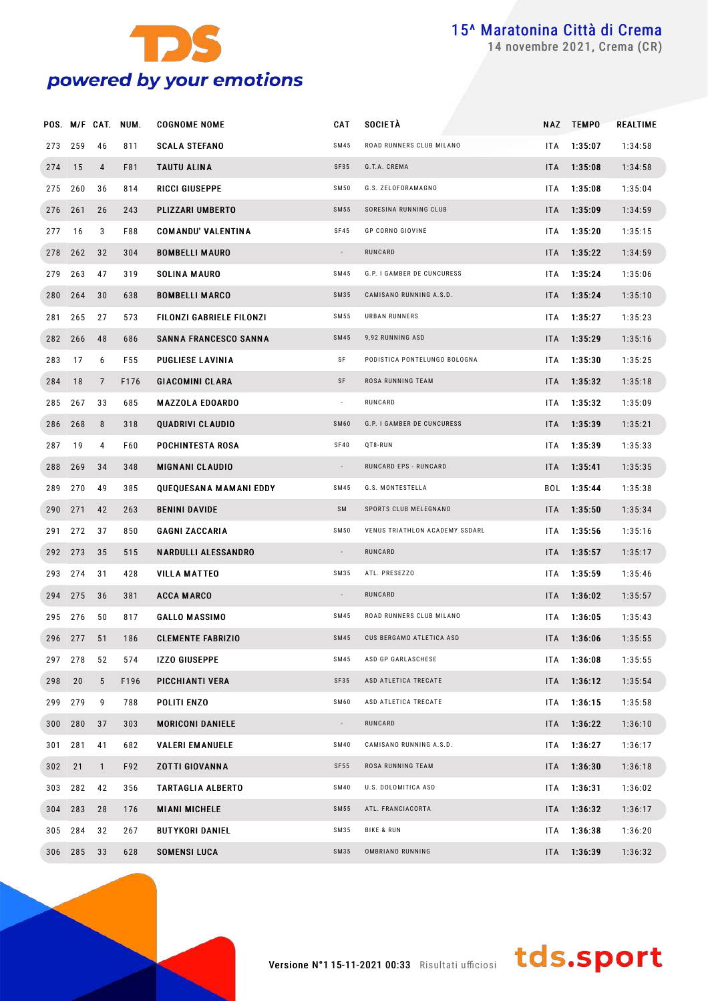

novembre 2021, Crema (CR)

|         |         |                 | POS. M/F CAT. NUM. | <b>COGNOME NOME</b>          | <b>CAT</b>               | <b>SOCIETÀ</b>                 |            | NAZ TEMPO       | <b>REALTIME</b> |
|---------|---------|-----------------|--------------------|------------------------------|--------------------------|--------------------------------|------------|-----------------|-----------------|
| 273     | 259     | 46              | 811                | <b>SCALA STEFANO</b>         | SM45                     | ROAD RUNNERS CLUB MILANO       | ITA.       | 1:35:07         | 1:34:58         |
| 274     | 15      | 4               | F81                | TAUTU ALINA                  | SF35                     | G.T.A. CREMA                   | ITA.       | 1:35:08         | 1:34:58         |
| 275     | 260     | 36              | 814                | RICCI GIUSEPPE               | SM50                     | G.S. ZELOFORAMAGNO             | ITA.       | 1:35:08         | 1:35:04         |
|         | 276 261 | 26              | 243                | PLIZZARI UMBERTO             | <b>SM55</b>              | SORESINA RUNNING CLUB          | ITA I      | 1:35:09         | 1:34:59         |
| 277     | 16      | 3               | F88                | <b>COMANDU' VALENTINA</b>    | <b>SF45</b>              | <b>GP CORNO GIOVINE</b>        | ITA.       | 1:35:20         | 1:35:15         |
|         | 278 262 | 32              | 304                | <b>BOMBELLI MAURO</b>        | $\sim$                   | RUNCARD                        |            | $ITA = 1:35:22$ | 1:34:59         |
| 279     | 263     | 47              | 319                | SOLINA MAURO                 | SM45                     | G.P. I GAMBER DE CUNCURESS     | ITA        | 1:35:24         | 1:35:06         |
|         | 280 264 | 30              | 638                | <b>BOMBELLI MARCO</b>        | SM35                     | CAMISANO RUNNING A.S.D.        | ITA I      | 1:35:24         | 1:35:10         |
| 281     | 265     | 27              | 573                | FILONZI GABRIELE FILONZI     | SM55                     | URBAN RUNNERS                  | ITA.       | 1:35:27         | 1:35:23         |
|         | 282 266 | 48              | 686                | <b>SANNA FRANCESCO SANNA</b> | <b>SM45</b>              | 9,92 RUNNING ASD               | <b>ITA</b> | 1:35:29         | 1:35:16         |
| 283     | 17      | 6               | F55                | <b>PUGLIESE LAVINIA</b>      | SF                       | PODISTICA PONTELUNGO BOLOGNA   | ITA        | 1:35:30         | 1:35:25         |
| 284     | 18      | $\overline{7}$  | F176               | <b>GIACOMINI CLARA</b>       | SF                       | ROSA RUNNING TEAM              |            | ITA 1:35:32     | 1:35:18         |
| 285     | 267     | 33              | 685                | <b>MAZZOLA EDOARDO</b>       | $\sim$                   | RUNCARD                        | ITA        | 1:35:32         | 1:35:09         |
|         | 286 268 | 8               | 318                | QUADRIVI CLAUDIO             | SM60                     | G.P. I GAMBER DE CUNCURESS     |            | ITA 1:35:39     | 1:35:21         |
| 287     | 19      | 4               | F60                | POCHINTESTA ROSA             | SF40                     | QT8-RUN                        | ITA        | 1:35:39         | 1:35:33         |
|         | 288 269 | 34              | 348                | <b>MIGNANI CLAUDIO</b>       | $\sim$                   | RUNCARD EPS - RUNCARD          | ITA I      | 1:35:41         | 1:35:35         |
| 289     | 270     | 49              | 385                | QUEQUESANA MAMANI EDDY       | SM45                     | G.S. MONTESTELLA               | BOL        | 1:35:44         | 1:35:38         |
| 290 271 |         | 42              | 263                | <b>BENINI DAVIDE</b>         | <b>SM</b>                | SPORTS CLUB MELEGNANO          | <b>ITA</b> | 1:35:50         | 1:35:34         |
| 291     | 272     | 37              | 850                | <b>GAGNI ZACCARIA</b>        | SM50                     | VENUS TRIATHLON ACADEMY SSDARL | ITA        | 1:35:56         | 1:35:16         |
|         | 292 273 | 35              | 515                | <b>NARDULLI ALESSANDRO</b>   | $\sim$                   | RUNCARD                        | <b>ITA</b> | 1:35:57         | 1:35:17         |
| 293     | 274     | 31              | 428                | <b>VILLA MATTEO</b>          | SM35                     | ATL. PRESEZZO                  | ITA        | 1:35:59         | 1:35:46         |
|         | 294 275 | 36              | 381                | <b>ACCA MARCO</b>            | $\overline{\phantom{a}}$ | RUNCARD                        | <b>ITA</b> | 1:36:02         | 1:35:57         |
| 295     | 276     | 50              | 817                | <b>GALLO MASSIMO</b>         | SM45                     | ROAD RUNNERS CLUB MILANO       | ITA        | 1:36:05         | 1:35:43         |
|         | 296 277 | 51              | 186                | <b>CLEMENTE FABRIZIO</b>     | SM45                     | CUS BERGAMO ATLETICA ASD       | ITA.       | 1:36:06         | 1:35:55         |
|         | 297 278 | 52              | 574                | <b>IZZO GIUSEPPE</b>         | SM45                     | ASD GP GARLASCHESE             |            | ITA 1:36:08     | 1:35:55         |
| 298 20  |         | $5\phantom{.0}$ | F196               | PICCHIANTI VERA              | SF35                     | ASD ATLETICA TRECATE           |            | $ITA = 1:36:12$ | 1:35:54         |
|         | 299 279 | 9               | 788                | POLITI ENZO                  | SM60                     | ASD ATLETICA TRECATE           |            | ITA 1:36:15     | 1:35:58         |
|         | 300 280 | 37              | 303                | <b>MORICONI DANIELE</b>      | $\sim$                   | RUNCARD                        |            | $ITA = 1:36:22$ | 1:36:10         |
|         | 301 281 | 41              | 682                | <b>VALERI EM ANUELE</b>      | SM40                     | CAMISANO RUNNING A.S.D.        |            | ITA 1:36:27     | 1:36:17         |
| 302 21  |         | $\mathbf{1}$    | F92                | <b>ZOTTI GIOVANNA</b>        | SF55                     | ROSA RUNNING TEAM              |            | $ITA = 1:36:30$ | 1:36:18         |
|         | 303 282 | 42              | 356                | <b>TARTAGLIA ALBERTO</b>     | <b>SM40</b>              | U.S. DOLOMITICA ASD            |            | $ITA = 1:36:31$ | 1:36:02         |
|         | 304 283 | 28              | 176                | <b>MIANI MICHELE</b>         | SM55                     | ATL. FRANCIACORTA              |            | $ITA = 1:36:32$ | 1:36:17         |
|         | 305 284 | 32              | 267                | <b>BUTYKORI DANIEL</b>       | SM35                     | <b>BIKE &amp; RUN</b>          |            | ITA 1:36:38     | 1:36:20         |
|         | 306 285 | 33              | 628                | <b>SOMENSI LUCA</b>          | SM35                     | OMBRIANO RUNNING               |            | ITA 1:36:39     | 1:36:32         |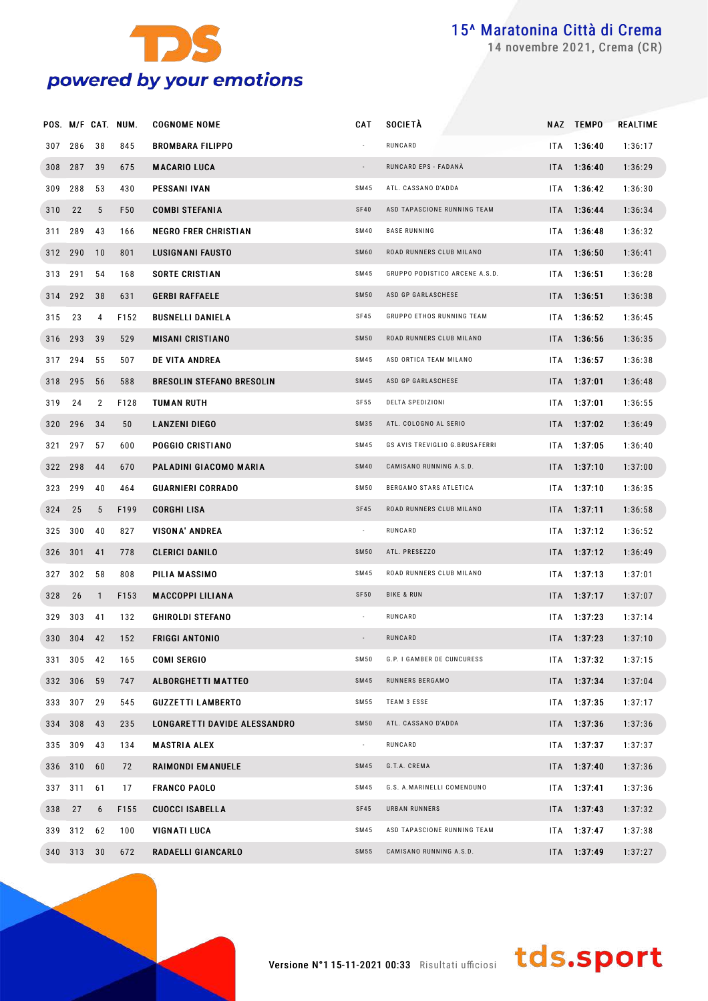

novembre 2021, Crema (CR)

|        |         |                  | POS. M/F CAT. NUM. | <b>COGNOME NOME</b>              | CAT                      | <b>SOCIETÀ</b>                 |     | NAZ TEMPO       | REALTIME |
|--------|---------|------------------|--------------------|----------------------------------|--------------------------|--------------------------------|-----|-----------------|----------|
| 307    | 286     | 38               | 845                | <b>BROMBARA FILIPPO</b>          |                          | RUNCARD                        |     | ITA 1:36:40     | 1:36:17  |
|        | 308 287 | 39               | 675                | <b>MACARIO LUCA</b>              | $\sim$                   | RUNCARD EPS - FADANÀ           |     | ITA 1:36:40     | 1:36:29  |
| 309    | 288     | 53               | 430                | <b>PESSANI IVAN</b>              | SM45                     | ATL. CASSANO D'ADDA            |     | ITA 1:36:42     | 1:36:30  |
| 310 22 |         | 5                | F50                | <b>COMBI STEFANIA</b>            | <b>SF40</b>              | ASD TAPASCIONE RUNNING TEAM    |     | ITA 1:36:44     | 1:36:34  |
|        | 311 289 | 43               | 166                | <b>NEGRO FRER CHRISTIAN</b>      | <b>SM40</b>              | <b>BASE RUNNING</b>            |     | ITA 1:36:48     | 1:36:32  |
|        | 312 290 | 10               | 801                | <b>LUSIGNANI FAUSTO</b>          | SM60                     | ROAD RUNNERS CLUB MILANO       |     | ITA 1:36:50     | 1:36:41  |
|        | 313 291 | 54               | 168                | <b>SORTE CRISTIAN</b>            | SM45                     | GRUPPO PODISTICO ARCENE A.S.D. |     | ITA 1:36:51     | 1:36:28  |
|        | 314 292 | 38               | 631                | <b>GERBI RAFFAELE</b>            | <b>SM50</b>              | ASD GP GARLASCHESE             |     | $ITA = 1:36:51$ | 1:36:38  |
| 315 23 |         | 4                | F152               | <b>BUSNELLI DANIELA</b>          | SF45                     | GRUPPO ETHOS RUNNING TEAM      |     | ITA 1:36:52     | 1:36:45  |
|        | 316 293 | 39               | 529                | <b>MISANI CRISTIANO</b>          | <b>SM50</b>              | ROAD RUNNERS CLUB MILANO       |     | ITA 1:36:56     | 1:36:35  |
|        | 317 294 | 55               | 507                | <b>DE VITA ANDREA</b>            | SM45                     | ASD ORTICA TEAM MILANO         |     | ITA 1:36:57     | 1:36:38  |
|        | 318 295 | 56               | 588                | <b>BRESOLIN STEFANO BRESOLIN</b> | <b>SM45</b>              | ASD GP GARLASCHESE             |     | $ITA = 1:37:01$ | 1:36:48  |
| 319    | 24      | 2                | F128               | TUMAN RUTH                       | SF55                     | DELTA SPEDIZIONI               |     | ITA 1:37:01     | 1:36:55  |
|        | 320 296 | 34               | 50                 | <b>LANZENI DIEGO</b>             | SM35                     | ATL. COLOGNO AL SERIO          |     | ITA 1:37:02     | 1:36:49  |
|        | 321 297 | 57               | 600                | POGGIO CRISTIANO                 | SM45                     | GS AVIS TREVIGLIO G.BRUSAFERRI |     | ITA 1:37:05     | 1:36:40  |
|        | 322 298 | 44               | 670                | PALADINI GIACOMO MARIA           | <b>SM40</b>              | CAMISANO RUNNING A.S.D.        |     | $ITA = 1:37:10$ | 1:37:00  |
|        | 323 299 | 40               | 464                | <b>GUARNIERI CORRADO</b>         | <b>SM50</b>              | BERGAMO STARS ATLETICA         |     | ITA 1:37:10     | 1:36:35  |
| 324 25 |         | 5                | F199               | <b>CORGHI LISA</b>               | SF45                     | ROAD RUNNERS CLUB MILANO       |     | $ITA = 1:37:11$ | 1:36:58  |
|        | 325 300 | 40               | 827                | <b>VISONA' ANDREA</b>            | $\sim$                   | RUNCARD                        |     | ITA 1:37:12     | 1:36:52  |
|        | 326 301 | 41               | 778                | <b>CLERICI DANILO</b>            | <b>SM50</b>              | ATL. PRESEZZO                  |     | ITA 1:37:12     | 1:36:49  |
|        | 327 302 | 58               | 808                | PILIA MASSIMO                    | SM45                     | ROAD RUNNERS CLUB MILANO       |     | ITA 1:37:13     | 1:37:01  |
| 328 26 |         | $\mathbf{1}$     | F153               | <b>MACCOPPI LILIANA</b>          | <b>SF50</b>              | <b>BIKE &amp; RUN</b>          |     | ITA 1:37:17     | 1:37:07  |
| 329    | 303     | 41               | 132                | <b>GHIROLDI STEFANO</b>          |                          | RUNCARD                        | ITA | 1:37:23         | 1:37:14  |
|        | 330 304 | 42               | 152                | <b>FRIGGI ANTONIO</b>            |                          | RUNCARD                        |     | $ITA$ 1:37:23   | 1:37:10  |
|        | 331 305 | 42               | 165                | <b>COMI SERGIO</b>               | <b>SM50</b>              | G.P. I GAMBER DE CUNCURESS     |     | ITA 1:37:32     | 1:37:15  |
|        | 332 306 | 59               | 747                | <b>ALBORGHETTI MATTEO</b>        | <b>SM45</b>              | RUNNERS BERGAMO                |     | ITA 1:37:34     | 1:37:04  |
|        | 333 307 | 29               | 545                | <b>GUZZETTI LAMBERTO</b>         | SM55                     | TEAM 3 ESSE                    |     | ITA 1:37:35     | 1:37:17  |
|        | 334 308 | 43               | 235                | LONGARETTI DAVIDE ALESSANDRO     | <b>SM50</b>              | ATL. CASSANO D'ADDA            |     | ITA 1:37:36     | 1:37:36  |
|        | 335 309 | 43               | 134                | <b>MASTRIA ALEX</b>              | $\overline{\phantom{a}}$ | RUNCARD                        |     | ITA 1:37:37     | 1:37:37  |
|        | 336 310 | 60               | 72                 | RAIMONDI EMANUELE                | <b>SM45</b>              | G.T.A. CREMA                   |     | ITA 1:37:40     | 1:37:36  |
|        | 337 311 | 61               | 17                 | <b>FRANCO PAOLO</b>              | SM45                     | G.S. A.MARINELLI COMENDUNO     |     | ITA 1:37:41     | 1:37:36  |
| 338 27 |         | $\boldsymbol{6}$ | F155               | <b>CUOCCI ISABELLA</b>           | SF45                     | URBAN RUNNERS                  |     | $ITA = 1:37:43$ | 1:37:32  |
|        | 339 312 | 62               | 100                | VIGNATI LUCA                     | SM45                     | ASD TAPASCIONE RUNNING TEAM    |     | ITA 1:37:47     | 1:37:38  |
|        | 340 313 | 30               | 672                | RADAELLI GIANCARLO               | SM55                     | CAMISANO RUNNING A.S.D.        |     | ITA 1:37:49     | 1:37:27  |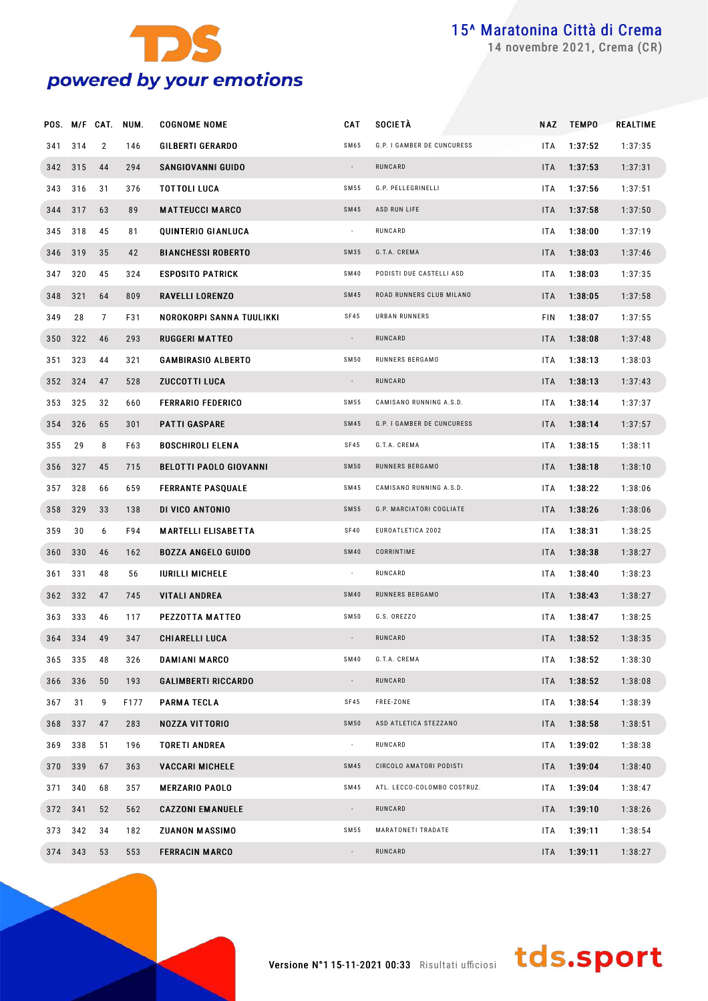

novembre 2021, Crema (CR)

|         |         |                | POS. M/F CAT. NUM. | <b>COGNOME NOME</b>           | CAT                      | <b>SOCIETÀ</b>              | NAZ        | <b>TEMPO</b> | REALTIME |
|---------|---------|----------------|--------------------|-------------------------------|--------------------------|-----------------------------|------------|--------------|----------|
| 341     | 314     | $\overline{2}$ | 146                | <b>GILBERTI GERARDO</b>       | SM65                     | G.P. I GAMBER DE CUNCURESS  | <b>ITA</b> | 1:37:52      | 1:37:35  |
|         | 342 315 | 44             | 294                | SANGIOVANNI GUIDO             | $\overline{\phantom{a}}$ | RUNCARD                     | ITA        | 1:37:53      | 1:37:31  |
| 343     | 316     | 31             | 376                | <b>TOTTOLI LUCA</b>           | SM55                     | G.P. PELLEGRINELLI          | <b>ITA</b> | 1:37:56      | 1:37:51  |
|         | 344 317 | 63             | 89                 | <b>MATTEUCCI MARCO</b>        | SM45                     | ASD RUN LIFE                | <b>ITA</b> | 1:37:58      | 1:37:50  |
| 345     | 318     | 45             | 81                 | QUINTERIO GIANLUCA            | $\overline{\phantom{a}}$ | RUNCARD                     | ITA        | 1:38:00      | 1:37:19  |
|         | 346 319 | 35             | 42                 | <b>BIANCHESSI ROBERTO</b>     | SM35                     | G.T.A. CREMA                | <b>ITA</b> | 1:38:03      | 1:37:46  |
| 347     | 320     | 45             | 324                | <b>ESPOSITO PATRICK</b>       | <b>SM40</b>              | PODISTI DUE CASTELLI ASD    | ITA        | 1:38:03      | 1:37:35  |
| 348 321 |         | 64             | 809                | RAVELLI LORENZO               | SM45                     | ROAD RUNNERS CLUB MILANO    | <b>ITA</b> | 1:38:05      | 1:37:58  |
| 349     | 28      | $\overline{7}$ | F31                | NOROKORPI SANNA TUULIKKI      | SF45                     | URBAN RUNNERS               | FIN        | 1:38:07      | 1:37:55  |
|         | 350 322 | 46             | 293                | <b>RUGGERI MATTEO</b>         | $\overline{\phantom{a}}$ | RUNCARD                     | ITA        | 1:38:08      | 1:37:48  |
| 351     | 323     | 44             | 321                | <b>GAMBIRASIO ALBERTO</b>     | SM50                     | RUNNERS BERGAMO             | <b>ITA</b> | 1:38:13      | 1:38:03  |
|         | 352 324 | 47             | 528                | <b>ZUCCOTTI LUCA</b>          | $\overline{\phantom{a}}$ | RUNCARD                     | <b>ITA</b> | 1:38:13      | 1:37:43  |
| 353     | 325     | 32             | 660                | <b>FERRARIO FEDERICO</b>      | SM55                     | CAMISANO RUNNING A.S.D.     | <b>ITA</b> | 1:38:14      | 1:37:37  |
|         | 354 326 | 65             | 301                | <b>PATTI GASPARE</b>          | SM45                     | G.P. I GAMBER DE CUNCURESS  | <b>ITA</b> | 1:38:14      | 1:37:57  |
| 355     | 29      | 8              | F63                | <b>BOSCHIROLI ELENA</b>       | SF45                     | G.T.A. CREMA                | ITA        | 1:38:15      | 1:38:11  |
|         | 356 327 | 45             | 715                | <b>BELOTTI PAOLO GIOVANNI</b> | <b>SM50</b>              | RUNNERS BERGAMO             | <b>ITA</b> | 1:38:18      | 1:38:10  |
| 357     | 328     | 66             | 659                | <b>FERRANTE PASQUALE</b>      | SM45                     | CAMISANO RUNNING A.S.D.     | <b>ITA</b> | 1:38:22      | 1:38:06  |
|         | 358 329 | 33             | 138                | DI VICO ANTONIO               | SM55                     | G.P. MARCIATORI COGLIATE    | <b>ITA</b> | 1:38:26      | 1:38:06  |
| 359     | 30      | 6              | F94                | <b>MARTELLI ELISABETTA</b>    | <b>SF40</b>              | EUROATLETICA 2002           | <b>ITA</b> | 1:38:31      | 1:38:25  |
|         | 360 330 | 46             | 162                | <b>BOZZA ANGELO GUIDO</b>     | <b>SM40</b>              | CORRINTIME                  | <b>ITA</b> | 1:38:38      | 1:38:27  |
| 361     | 331     | 48             | 56                 | <b>IURILLI MICHELE</b>        | $\cdot$                  | RUNCARD                     | ITA        | 1:38:40      | 1:38:23  |
|         | 362 332 | 47             | 745                | <b>VITALI ANDREA</b>          | <b>SM40</b>              | RUNNERS BERGAMO             | ITA        | 1:38:43      | 1:38:27  |
| 363     | 333     | 46             | 117                | <b>PEZZOTTA MATTEO</b>        | SM50                     | G.S. OREZZO                 | ITA        | 1:38:47      | 1:38:25  |
|         | 364 334 | 49             | 347                | <b>CHIARELLI LUCA</b>         |                          | RUNCARD                     | <b>ITA</b> | 1:38:52      | 1:38:35  |
|         | 365 335 | 48             | 326                | DAMIANI MARCO                 | <b>SM40</b>              | G.T.A. CREMA                | ITA        | 1:38:52      | 1:38:30  |
|         | 366 336 | 50             | 193                | <b>GALIMBERTI RICCARDO</b>    |                          | RUNCARD                     | <b>ITA</b> | 1:38:52      | 1:38:08  |
| 367     | 31      | 9              | F177               | <b>PARMA TECLA</b>            | SF45                     | FREE-ZONE                   | <b>ITA</b> | 1:38:54      | 1:38:39  |
|         | 368 337 | 47             | 283                | <b>NOZZA VITTORIO</b>         | <b>SM50</b>              | ASD ATLETICA STEZZANO       | <b>ITA</b> | 1:38:58      | 1:38:51  |
|         | 369 338 | 51             | 196                | <b>TORETI ANDREA</b>          | $\sim$                   | RUNCARD                     | ITA        | 1:39:02      | 1:38:38  |
|         | 370 339 | 67             | 363                | <b>VACCARI MICHELE</b>        | SM45                     | CIRCOLO AMATORI PODISTI     | <b>ITA</b> | 1:39:04      | 1:38:40  |
| 371     | 340     | 68             | 357                | <b>MERZARIO PAOLO</b>         | SM45                     | ATL. LECCO-COLOMBO COSTRUZ. | ITA.       | 1:39:04      | 1:38:47  |
|         | 372 341 | 52             | 562                | <b>CAZZONI EMANUELE</b>       |                          | RUNCARD                     | <b>ITA</b> | 1:39:10      | 1:38:26  |
|         | 373 342 | 34             | 182                | <b>ZUANON MASSIMO</b>         | SM55                     | MARATONETI TRADATE          | ITA        | 1:39:11      | 1:38:54  |
|         | 374 343 | 53             | 553                | <b>FERRACIN MARCO</b>         |                          | RUNCARD                     | ITA        | 1:39:11      | 1:38:27  |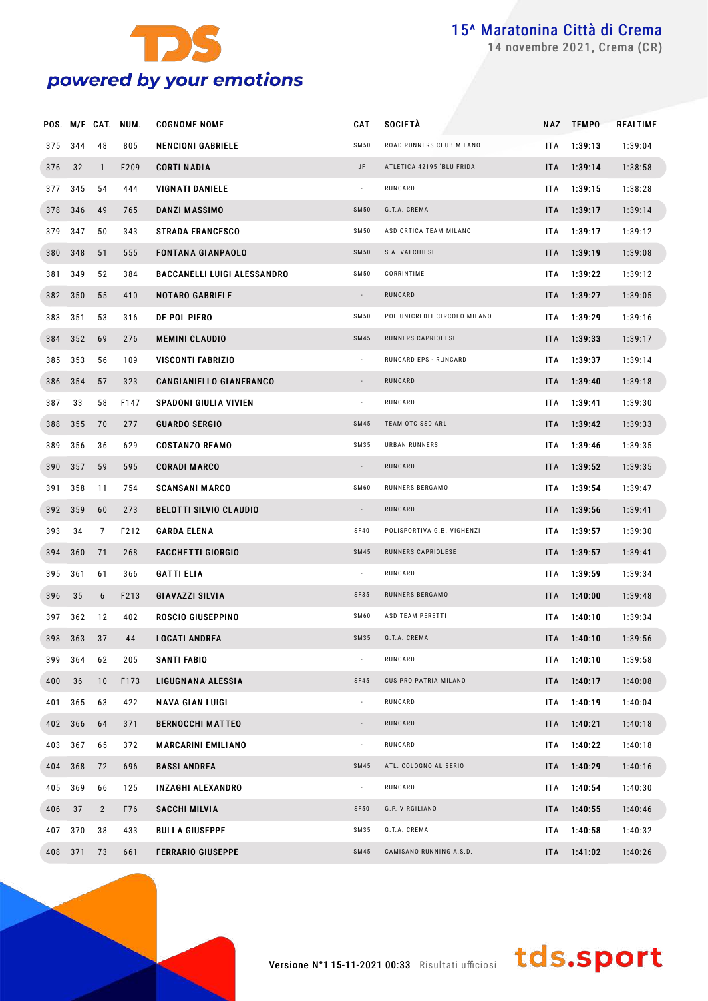

novembre 2021, Crema (CR)

|     |         |                | POS. M/F CAT. NUM. | <b>COGNOME NOME</b>                | CAT                      | <b>SOCIETA</b>               | NAZ        | <b>TEMPO</b> | REALTIME |
|-----|---------|----------------|--------------------|------------------------------------|--------------------------|------------------------------|------------|--------------|----------|
| 375 | 344     | 48             | 805                | <b>NENCIONI GABRIELE</b>           | <b>SM50</b>              | ROAD RUNNERS CLUB MILANO     | <b>ITA</b> | 1:39:13      | 1:39:04  |
| 376 | 32      | $\mathbf{1}$   | F209               | <b>CORTI NADIA</b>                 | JF                       | ATLETICA 42195 'BLU FRIDA'   | <b>ITA</b> | 1:39:14      | 1:38:58  |
| 377 | 345     | 54             | 444                | VIGNATI DANIELE                    | $\overline{\phantom{a}}$ | RUNCARD                      | ITA        | 1:39:15      | 1:38:28  |
|     | 378 346 | 49             | 765                | DANZI MASSIMO                      | <b>SM50</b>              | G.T.A. CREMA                 | <b>ITA</b> | 1:39:17      | 1:39:14  |
| 379 | 347     | 50             | 343                | <b>STRADA FRANCESCO</b>            | SM50                     | ASD ORTICA TEAM MILANO       | ITA.       | 1:39:17      | 1:39:12  |
|     | 380 348 | 51             | 555                | <b>FONTANA GIANPAOLO</b>           | <b>SM50</b>              | S.A. VALCHIESE               | <b>ITA</b> | 1:39:19      | 1:39:08  |
| 381 | 349     | 52             | 384                | <b>BACCANELLI LUIGI ALESSANDRO</b> | SM50                     | CORRINTIME                   | ITA.       | 1:39:22      | 1:39:12  |
|     | 382 350 | 55             | 410                | <b>NOTARO GABRIELE</b>             | $\sim$                   | RUNCARD                      | <b>ITA</b> | 1:39:27      | 1:39:05  |
| 383 | 351     | 53             | 316                | DE POL PIERO                       | SM50                     | POL.UNICREDIT CIRCOLO MILANO | ITA.       | 1:39:29      | 1:39:16  |
|     | 384 352 | 69             | 276                | <b>MEMINI CLAUDIO</b>              | <b>SM45</b>              | RUNNERS CAPRIOLESE           | <b>ITA</b> | 1:39:33      | 1:39:17  |
| 385 | 353     | 56             | 109                | <b>VISCONTI FABRIZIO</b>           | $\overline{\phantom{a}}$ | RUNCARD EPS - RUNCARD        | <b>ITA</b> | 1:39:37      | 1:39:14  |
|     | 386 354 | 57             | 323                | <b>CANGIANIELLO GIANFRANCO</b>     | $\overline{\phantom{a}}$ | RUNCARD                      | <b>ITA</b> | 1:39:40      | 1:39:18  |
| 387 | 33      | 58             | F147               | <b>SPADONI GIULIA VIVIEN</b>       | $\overline{\phantom{a}}$ | RUNCARD                      | ITA.       | 1:39:41      | 1:39:30  |
|     | 388 355 | 70             | 277                | <b>GUARDO SERGIO</b>               | <b>SM45</b>              | TEAM OTC SSD ARL             | <b>ITA</b> | 1:39:42      | 1:39:33  |
| 389 | 356     | 36             | 629                | <b>COSTANZO REAMO</b>              | SM35                     | URBAN RUNNERS                | ITA.       | 1:39:46      | 1:39:35  |
|     | 390 357 | 59             | 595                | <b>CORADI MARCO</b>                | $\overline{\phantom{a}}$ | RUNCARD                      | <b>ITA</b> | 1:39:52      | 1:39:35  |
| 391 | 358     | 11             | 754                | <b>SCANSANI MARCO</b>              | SM60                     | RUNNERS BERGAMO              | ITA.       | 1:39:54      | 1:39:47  |
|     | 392 359 | 60             | 273                | <b>BELOTTI SILVIO CLAUDIO</b>      | $\overline{\phantom{a}}$ | RUNCARD                      | <b>ITA</b> | 1:39:56      | 1:39:41  |
| 393 | 34      | 7              | F212               | <b>GARDA ELENA</b>                 | SF40                     | POLISPORTIVA G.B. VIGHENZI   | <b>ITA</b> | 1:39:57      | 1:39:30  |
|     | 394 360 | 71             | 268                | <b>FACCHETTI GIORGIO</b>           | <b>SM45</b>              | RUNNERS CAPRIOLESE           | <b>ITA</b> | 1:39:57      | 1:39:41  |
| 395 | 361     | 61             | 366                | <b>GATTI ELIA</b>                  | $\overline{\phantom{a}}$ | RUNCARD                      | <b>ITA</b> | 1:39:59      | 1:39:34  |
| 396 | 35      | 6              | F213               | GIAVAZZI SILVIA                    | SF35                     | RUNNERS BERGAMO              | <b>ITA</b> | 1:40:00      | 1:39:48  |
| 397 | 362     | 12             | 402                | ROSCIO GIUSEPPINO                  | SM60                     | ASD TEAM PERETTI             | <b>ITA</b> | 1:40:10      | 1:39:34  |
|     | 398 363 | 37             | 44                 | <b>LOCATI ANDREA</b>               | <b>SM35</b>              | G.T.A. CREMA                 | <b>ITA</b> | 1:40:10      | 1:39:56  |
| 399 | 364     | 62             | 205                | SANTI FABIO                        | $\overline{\phantom{a}}$ | RUNCARD                      | ITA        | 1:40:10      | 1:39:58  |
| 400 | 36      | 10             | F173               | LIGUGNANA ALESSIA                  | <b>SF45</b>              | CUS PRO PATRIA MILANO        | <b>ITA</b> | 1:40:17      | 1:40:08  |
| 401 | 365     | 63             | 422                | <b>NAVA GIAN LUIGI</b>             | $\blacksquare$           | RUNCARD                      | ITA.       | 1:40:19      | 1:40:04  |
|     | 402 366 | 64             | 371                | <b>BERNOCCHI MATTEO</b>            | $\overline{\phantom{a}}$ | RUNCARD                      | <b>ITA</b> | 1:40:21      | 1:40:18  |
| 403 | 367     | 65             | 372                | <b>MARCARINI EMILIANO</b>          | $\blacksquare$           | RUNCARD                      | ITA.       | 1:40:22      | 1:40:18  |
|     | 404 368 | 72             | 696                | <b>BASSI ANDREA</b>                | <b>SM45</b>              | ATL. COLOGNO AL SERIO        | <b>ITA</b> | 1:40:29      | 1:40:16  |
| 405 | 369     | 66             | 125                | INZAGHI ALEXANDRO                  | $\overline{\phantom{a}}$ | RUNCARD                      | ITA        | 1:40:54      | 1:40:30  |
| 406 | 37      | $\overline{2}$ | F76                | SACCHI MILVIA                      | SF50                     | G.P. VIRGILIANO              | <b>ITA</b> | 1:40:55      | 1:40:46  |
| 407 | 370     | 38             | 433                | <b>BULLA GIUSEPPE</b>              | SM35                     | G.T.A. CREMA                 | ITA        | 1:40:58      | 1:40:32  |
| 408 | 371     | 73             | 661                | <b>FERRARIO GIUSEPPE</b>           | SM45                     | CAMISANO RUNNING A.S.D.      | <b>ITA</b> | 1:41:02      | 1:40:26  |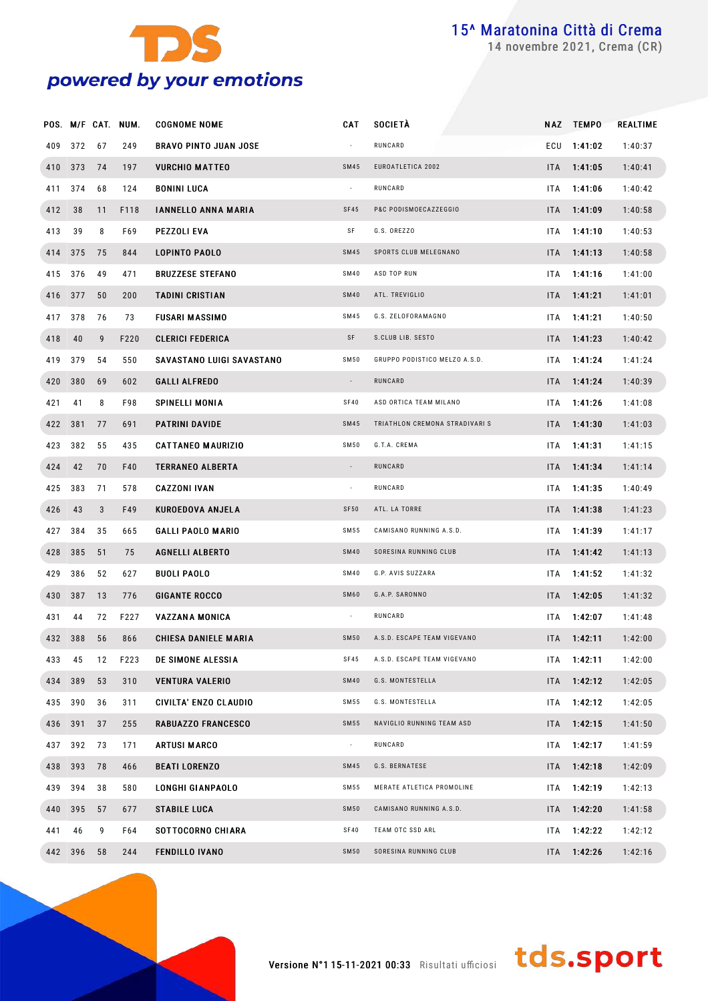

novembre 2021, Crema (CR)

|         |         |    | POS. M/F CAT. NUM. | <b>COGNOME NOME</b>          | CAT                      | SOCIETÀ                        |      | NAZ TEMPO       | REALTIME |
|---------|---------|----|--------------------|------------------------------|--------------------------|--------------------------------|------|-----------------|----------|
| 409     | 372     | 67 | 249                | <b>BRAVO PINTO JUAN JOSE</b> |                          | RUNCARD                        |      | ECU 1:41:02     | 1:40:37  |
|         | 410 373 | 74 | 197                | <b>VURCHIO MATTEO</b>        | <b>SM45</b>              | EUROATLETICA 2002              |      | ITA 1:41:05     | 1:40:41  |
|         | 411 374 | 68 | 124                | <b>BONINI LUCA</b>           | $\overline{\phantom{a}}$ | RUNCARD                        | ITA. | 1:41:06         | 1:40:42  |
| 412     | 38      | 11 | F118               | <b>IANNELLO ANNA MARIA</b>   | SF45                     | P&C PODISMOECAZZEGGIO          |      | $ITA = 1:41:09$ | 1:40:58  |
| 413     | 39      | 8  | F69                | PEZZOLI EVA                  | SF                       | G.S. OREZZO                    | ITA. | 1:41:10         | 1:40:53  |
|         | 414 375 | 75 | 844                | <b>LOPINTO PAOLO</b>         | SM45                     | SPORTS CLUB MELEGNANO          |      | $ITA = 1:41:13$ | 1:40:58  |
|         | 415 376 | 49 | 471                | <b>BRUZZESE STEFANO</b>      | <b>SM40</b>              | ASD TOP RUN                    | ITA. | 1:41:16         | 1:41:00  |
|         | 416 377 | 50 | 200                | <b>TADINI CRISTIAN</b>       | <b>SM40</b>              | ATL. TREVIGLIO                 |      | $ITA$ 1:41:21   | 1:41:01  |
|         | 417 378 | 76 | 73                 | <b>FUSARI MASSIMO</b>        | SM45                     | G.S. ZELOFORAMAGNO             | ITA  | 1:41:21         | 1:40:50  |
| 418     | 40      | 9  | F220               | <b>CLERICI FEDERICA</b>      | SF                       | S.CLUB LIB. SESTO              |      | $ITA$ 1:41:23   | 1:40:42  |
| 419     | 379     | 54 | 550                | SAVASTANO LUIGI SAVASTANO    | <b>SM50</b>              | GRUPPO PODISTICO MELZO A.S.D.  | ITA  | 1:41:24         | 1:41:24  |
|         | 420 380 | 69 | 602                | <b>GALLI ALFREDO</b>         | $\overline{\phantom{a}}$ | RUNCARD                        |      | $ITA = 1:41:24$ | 1:40:39  |
| 421     | 41      | 8  | F98                | <b>SPINELLI MONIA</b>        | SF40                     | ASD ORTICA TEAM MILANO         | ITA. | 1:41:26         | 1:41:08  |
| 422 381 |         | 77 | 691                | <b>PATRINI DAVIDE</b>        | <b>SM45</b>              | TRIATHLON CREMONA STRADIVARI S |      | $ITA = 1:41:30$ | 1:41:03  |
| 423     | 382     | 55 | 435                | <b>CATTANEO MAURIZIO</b>     | <b>SM50</b>              | G.T.A. CREMA                   | ITA. | 1:41:31         | 1:41:15  |
| 424     | 42      | 70 | F40                | <b>TERRANEO ALBERTA</b>      | $\overline{\phantom{a}}$ | RUNCARD                        |      | $ITA$ 1:41:34   | 1:41:14  |
|         | 425 383 | 71 | 578                | <b>CAZZONI IVAN</b>          | $\sim$                   | RUNCARD                        | ITA. | 1:41:35         | 1:40:49  |
| 426     | 43      | 3  | F49                | <b>KUROEDOVA ANJELA</b>      | SF50                     | ATL. LA TORRE                  |      | ITA 1:41:38     | 1:41:23  |
| 427     | 384     | 35 | 665                | <b>GALLI PAOLO MARIO</b>     | SM 55                    | CAMISANO RUNNING A.S.D.        | ITA. | 1:41:39         | 1:41:17  |
|         | 428 385 | 51 | 75                 | <b>AGNELLI ALBERTO</b>       | <b>SM40</b>              | SORESINA RUNNING CLUB          |      | $ITA = 1:41:42$ | 1:41:13  |
| 429     | 386     | 52 | 627                | <b>BUOLI PAOLO</b>           | <b>SM40</b>              | G.P. AVIS SUZZARA              | ITA. | 1:41:52         | 1:41:32  |
|         | 430 387 | 13 | 776                | <b>GIGANTE ROCCO</b>         | SM60                     | G.A.P. SARONNO                 |      | ITA 1:42:05     | 1:41:32  |
| 431     | 44      | 72 | F227               | <b>VAZZANA MONICA</b>        |                          | RUNCARD                        | ITA. | 1:42:07         | 1:41:48  |
|         | 432 388 | 56 | 866                | CHIESA DANIELE MARIA         | <b>SM50</b>              | A.S.D. ESCAPE TEAM VIGEVANO    |      | $ITA = 1:42:11$ | 1:42:00  |
| 433     | 45      | 12 | F223               | DE SIMONE ALESSIA            | SF45                     | A.S.D. ESCAPE TEAM VIGEVANO    |      | ITA 1:42:11     | 1:42:00  |
|         | 434 389 | 53 | 310                | <b>VENTURA VALERIO</b>       | SM40                     | G.S. MONTESTELLA               |      | ITA 1:42:12     | 1:42:05  |
|         | 435 390 | 36 | 311                | CIVILTA' ENZO CLAUDIO        | SM 55                    | G.S. MONTESTELLA               |      | ITA 1:42:12     | 1:42:05  |
| 436 391 |         | 37 | 255                | <b>RABUAZZO FRANCESCO</b>    | SM 55                    | NAVIGLIO RUNNING TEAM ASD      |      | ITA 1:42:15     | 1:41:50  |
|         | 437 392 | 73 | 171                | ARTUSI MARCO                 | $\overline{\phantom{a}}$ | RUNCARD                        |      | ITA 1:42:17     | 1:41:59  |
|         | 438 393 | 78 | 466                | <b>BEATI LORENZO</b>         | SM45                     | G.S. BERNATESE                 |      | ITA 1:42:18     | 1:42:09  |
|         | 439 394 | 38 | 580                | LONGHI GIANPAOLO             | SM 55                    | MERATE ATLETICA PROMOLINE      |      | $ITA = 1:42:19$ | 1:42:13  |
|         | 440 395 | 57 | 677                | <b>STABILE LUCA</b>          | SM50                     | CAMISANO RUNNING A.S.D.        |      | ITA 1:42:20     | 1:41:58  |
| 441     | 46      | 9  | F64                | SOTTOCORNO CHIARA            | SF40                     | TEAM OTC SSD ARL               |      | ITA 1:42:22     | 1:42:12  |
|         | 442 396 | 58 | 244                | <b>FENDILLO IVANO</b>        | SM50                     | SORESINA RUNNING CLUB          |      | ITA 1:42:26     | 1:42:16  |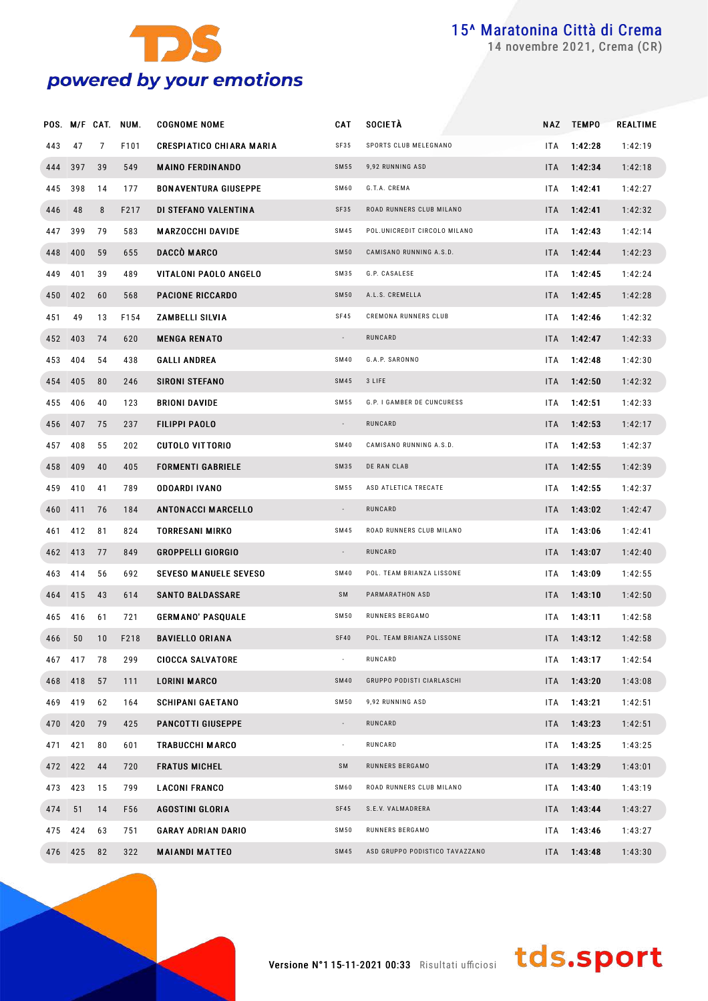

novembre 2021, Crema (CR)

|     |         |    | POS. M/F CAT. NUM. | <b>COGNOME NOME</b>             | <b>CAT</b>               | SOCIETÀ                        | <b>NAZ</b> | <b>TEMPO</b>    | REALTIME |
|-----|---------|----|--------------------|---------------------------------|--------------------------|--------------------------------|------------|-----------------|----------|
| 443 | 47      | 7  | F101               | <b>CRESPIATICO CHIARA MARIA</b> | SF35                     | SPORTS CLUB MELEGNANO          | <b>ITA</b> | 1:42:28         | 1:42:19  |
|     | 444 397 | 39 | 549                | <b>MAINO FERDINANDO</b>         | SM55                     | 9,92 RUNNING ASD               | ITA.       | 1:42:34         | 1:42:18  |
| 445 | 398     | 14 | 177                | <b>BONAVENTURA GIUSEPPE</b>     | SM60                     | G.T.A. CREMA                   | ITA        | 1:42:41         | 1:42:27  |
| 446 | 48      | 8  | F217               | DI STEFANO VALENTINA            | SF35                     | ROAD RUNNERS CLUB MILANO       | ITA.       | 1:42:41         | 1:42:32  |
| 447 | 399     | 79 | 583                | <b>MARZOCCHI DAVIDE</b>         | SM45                     | POL.UNICREDIT CIRCOLO MILANO   | <b>ITA</b> | 1:42:43         | 1:42:14  |
|     | 448 400 | 59 | 655                | DACCÒ MARCO                     | <b>SM50</b>              | CAMISANO RUNNING A.S.D.        | <b>ITA</b> | 1:42:44         | 1:42:23  |
| 449 | 401     | 39 | 489                | VITALONI PAOLO ANGELO           | SM35                     | G.P. CASALESE                  | <b>ITA</b> | 1:42:45         | 1:42:24  |
|     | 450 402 | 60 | 568                | <b>PACIONE RICCARDO</b>         | <b>SM50</b>              | A.L.S. CREMELLA                | ITA.       | 1:42:45         | 1:42:28  |
| 451 | 49      | 13 | F154               | ZAMBELLI SILVIA                 | <b>SF45</b>              | CREMONA RUNNERS CLUB           | ITA.       | 1:42:46         | 1:42:32  |
|     | 452 403 | 74 | 620                | <b>MENGA RENATO</b>             | $\overline{\phantom{a}}$ | RUNCARD                        | ITA.       | 1:42:47         | 1:42:33  |
|     | 453 404 | 54 | 438                | <b>GALLI ANDREA</b>             | <b>SM40</b>              | G.A.P. SARONNO                 | <b>ITA</b> | 1:42:48         | 1:42:30  |
|     | 454 405 | 80 | 246                | <b>SIRONI STEFANO</b>           | SM45                     | 3 LIFE                         | ITA.       | 1:42:50         | 1:42:32  |
| 455 | 406     | 40 | 123                | <b>BRIONI DAVIDE</b>            | SM55                     | G.P. I GAMBER DE CUNCURESS     | <b>ITA</b> | 1:42:51         | 1:42:33  |
|     | 456 407 | 75 | 237                | FILIPPI PAOLO                   | $\overline{\phantom{a}}$ | RUNCARD                        | ITA.       | 1:42:53         | 1:42:17  |
|     | 457 408 | 55 | 202                | <b>CUTOLO VITTORIO</b>          | <b>SM40</b>              | CAMISANO RUNNING A.S.D.        | ITA.       | 1:42:53         | 1:42:37  |
|     | 458 409 | 40 | 405                | <b>FORMENTI GABRIELE</b>        | SM35                     | DE RAN CLAB                    | ITA.       | 1:42:55         | 1:42:39  |
| 459 | 410     | 41 | 789                | ODOARDI IVANO                   | SM55                     | ASD ATLETICA TRECATE           | ITA.       | 1:42:55         | 1:42:37  |
|     | 460 411 | 76 | 184                | <b>ANTONACCI MARCELLO</b>       | $\overline{\phantom{a}}$ | RUNCARD                        | ITA.       | 1:43:02         | 1:42:47  |
| 461 | 412     | 81 | 824                | <b>TORRESANI MIRKO</b>          | SM45                     | ROAD RUNNERS CLUB MILANO       | <b>ITA</b> | 1:43:06         | 1:42:41  |
|     | 462 413 | 77 | 849                | <b>GROPPELLI GIORGIO</b>        | $\overline{\phantom{a}}$ | RUNCARD                        | ITA.       | 1:43:07         | 1:42:40  |
| 463 | 414     | 56 | 692                | <b>SEVESO MANUELE SEVESO</b>    | <b>SM40</b>              | POL. TEAM BRIANZA LISSONE      | <b>ITA</b> | 1:43:09         | 1:42:55  |
|     | 464 415 | 43 | 614                | <b>SANTO BALDASSARE</b>         | SM                       | PARMARATHON ASD                | ITA.       | 1:43:10         | 1:42:50  |
| 465 | 416     | 61 | 721                | <b>GERMANO' PASQUALE</b>        | SM50                     | RUNNERS BERGAMO                | ITA.       | 1:43:11         | 1:42:58  |
| 466 | 50      | 10 | F218               | <b>BAVIELLO ORIANA</b>          | <b>SF40</b>              | POL. TEAM BRIANZA LISSONE      |            | $ITA = 1:43:12$ | 1:42:58  |
|     | 467 417 | 78 | 299                | <b>CIOCCA SALVATORE</b>         |                          | RUNCARD                        |            | $ITA = 1:43:17$ | 1:42:54  |
|     | 468 418 | 57 | 111                | <b>LORINI MARCO</b>             | <b>SM40</b>              | GRUPPO PODISTI CIARLASCHI      | ITA.       | 1:43:20         | 1:43:08  |
|     | 469 419 | 62 | 164                | <b>SCHIPANI GAETANO</b>         | SM50                     | 9,92 RUNNING ASD               | ITA.       | 1:43:21         | 1:42:51  |
|     | 470 420 | 79 | 425                | <b>PANCOTTI GIUSEPPE</b>        | $\overline{\phantom{a}}$ | RUNCARD                        | ITA.       | 1:43:23         | 1:42:51  |
|     | 471 421 | 80 | 601                | <b>TRABUCCHI MARCO</b>          | $\overline{\phantom{a}}$ | RUNCARD                        | ITA.       | 1:43:25         | 1:43:25  |
|     | 472 422 | 44 | 720                | <b>FRATUS MICHEL</b>            | SM                       | RUNNERS BERGAMO                | ITA.       | 1:43:29         | 1:43:01  |
|     | 473 423 | 15 | 799                | <b>LACONI FRANCO</b>            | SM60                     | ROAD RUNNERS CLUB MILANO       | ITA.       | 1:43:40         | 1:43:19  |
| 474 | 51      | 14 | F56                | <b>AGOSTINI GLORIA</b>          | <b>SF45</b>              | S.E.V. VALMADRERA              | ITA.       | 1:43:44         | 1:43:27  |
|     | 475 424 | 63 | 751                | <b>GARAY ADRIAN DARIO</b>       | SM50                     | RUNNERS BERGAMO                | ITA.       | 1:43:46         | 1:43:27  |
|     | 476 425 | 82 | 322                | <b>MAIANDI MATTEO</b>           | SM45                     | ASD GRUPPO PODISTICO TAVAZZANO | ITA.       | 1:43:48         | 1:43:30  |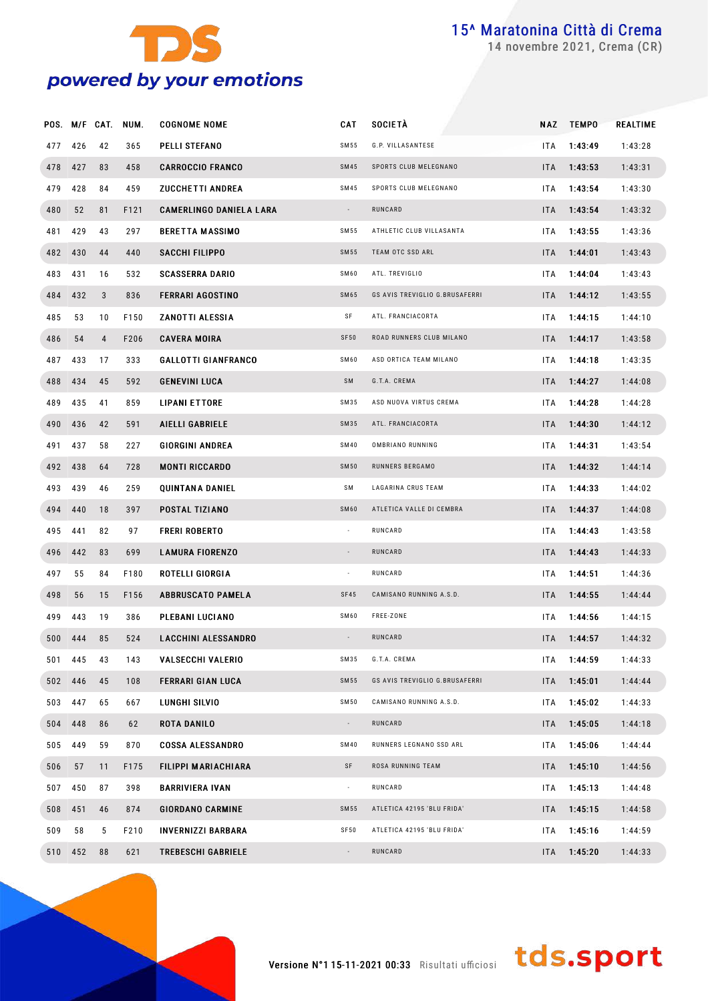

novembre 2021, Crema (CR)

|         |         |                | POS. M/F CAT. NUM. | <b>COGNOME NOME</b>            | CAT                      | <b>SOCIETÀ</b>                 | NAZ        | <b>TEMPO</b> | <b>REALTIME</b> |
|---------|---------|----------------|--------------------|--------------------------------|--------------------------|--------------------------------|------------|--------------|-----------------|
| 477     | 426     | 42             | 365                | PELLI STEFANO                  | SM 55                    | G.P. VILLASANTESE              | ITA        | 1:43:49      | 1:43:28         |
| 478 427 |         | 83             | 458                | <b>CARROCCIO FRANCO</b>        | <b>SM45</b>              | SPORTS CLUB MELEGNANO          | ITA.       | 1:43:53      | 1:43:31         |
| 479     | 428     | 84             | 459                | <b>ZUCCHETTI ANDREA</b>        | SM45                     | SPORTS CLUB MELEGNANO          | ITA        | 1:43:54      | 1:43:30         |
| 480     | 52      | 81             | F121               | <b>CAMERLINGO DANIELA LARA</b> | $\sim$                   | RUNCARD                        | ITA.       | 1:43:54      | 1:43:32         |
| 481     | 429     | 43             | 297                | <b>BERETTA MASSIMO</b>         | SM 55                    | ATHLETIC CLUB VILLASANTA       | ITA        | 1:43:55      | 1:43:36         |
| 482 430 |         | 44             | 440                | SACCHI FILIPPO                 | SM55                     | TEAM OTC SSD ARL               | ITA.       | 1:44:01      | 1:43:43         |
| 483     | 431     | 16             | 532                | <b>SCASSERRA DARIO</b>         | SM60                     | ATL. TREVIGLIO                 | ITA        | 1:44:04      | 1:43:43         |
|         | 484 432 | $\mathbf{3}$   | 836                | <b>FERRARI AGOSTINO</b>        | <b>SM65</b>              | GS AVIS TREVIGLIO G.BRUSAFERRI | ITA.       | 1:44:12      | 1:43:55         |
| 485     | 53      | 10             | F150               | ZANOTTI ALESSIA                | SF                       | ATL. FRANCIACORTA              | ITA        | 1:44:15      | 1:44:10         |
| 486     | 54      | $\overline{4}$ | F206               | <b>CAVERA MOIRA</b>            | <b>SF50</b>              | ROAD RUNNERS CLUB MILANO       | ITA        | 1:44:17      | 1:43:58         |
| 487     | 433     | 17             | 333                | <b>GALLOTTI GIANFRANCO</b>     | SM60                     | ASD ORTICA TEAM MILANO         | ITA        | 1:44:18      | 1:43:35         |
| 488     | 434     | 45             | 592                | <b>GENEVINI LUCA</b>           | SM                       | G.T.A. CREMA                   | ITA        | 1:44:27      | 1:44:08         |
| 489     | 435     | 41             | 859                | <b>LIPANI ETTORE</b>           | SM35                     | ASD NUOVA VIRTUS CREMA         | ITA        | 1:44:28      | 1:44:28         |
|         | 490 436 | 42             | 591                | <b>AIELLI GABRIELE</b>         | SM35                     | ATL. FRANCIACORTA              | ITA        | 1:44:30      | 1:44:12         |
| 491     | 437     | 58             | 227                | <b>GIORGINI ANDREA</b>         | <b>SM40</b>              | OMBRIANO RUNNING               | ITA        | 1:44:31      | 1:43:54         |
| 492 438 |         | 64             | 728                | <b>MONTI RICCARDO</b>          | <b>SM50</b>              | RUNNERS BERGAMO                | ITA        | 1:44:32      | 1:44:14         |
| 493     | 439     | 46             | 259                | <b>QUINTANA DANIEL</b>         | SΜ                       | LAGARINA CRUS TEAM             | ITA        | 1:44:33      | 1:44:02         |
| 494     | 440     | 18             | 397                | POSTAL TIZIANO                 | SM60                     | ATLETICA VALLE DI CEMBRA       | ITA        | 1:44:37      | 1:44:08         |
| 495     | 441     | 82             | 97                 | <b>FRERI ROBERTO</b>           | $\overline{\phantom{a}}$ | RUNCARD                        | ITA        | 1:44:43      | 1:43:58         |
|         | 496 442 | 83             | 699                | <b>LAMURA FIORENZO</b>         | $\overline{\phantom{a}}$ | RUNCARD                        | ITA        | 1:44:43      | 1:44:33         |
| 497     | 55      | 84             | F180               | ROTELLI GIORGIA                | $\sim$                   | RUNCARD                        | <b>ITA</b> | 1:44:51      | 1:44:36         |
| 498     | 56      | 15             | F156               | <b>ABBRUSCATO PAMELA</b>       | <b>SF45</b>              | CAMISANO RUNNING A.S.D.        | ITA        | 1:44:55      | 1:44:44         |
| 499     | 443     | 19             | 386                | PLEBANI LUCIANO                | SM60                     | FREE-ZONE                      | <b>ITA</b> | 1:44:56      | 1:44:15         |
|         | 500 444 | 85             | 524                | <b>LACCHINI ALESSANDRO</b>     | $\overline{\phantom{a}}$ | RUNCARD                        | ITA.       | 1:44:57      | 1:44:32         |
|         | 501 445 | 43             | 143                | <b>VALSECCHI VALERIO</b>       | SM35                     | G.T.A. CREMA                   | ITA.       | 1:44:59      | 1:44:33         |
|         | 502 446 | 45             | 108                | <b>FERRARI GIAN LUCA</b>       | <b>SM55</b>              | GS AVIS TREVIGLIO G.BRUSAFERRI | <b>ITA</b> | 1:45:01      | 1:44:44         |
|         | 503 447 | 65             | 667                | LUNGHI SILVIO                  | <b>SM50</b>              | CAMISANO RUNNING A.S.D.        | ITA.       | 1:45:02      | 1:44:33         |
| 504 448 |         | 86             | 62                 | <b>ROTA DANILO</b>             | $\sim$                   | RUNCARD                        | ITA.       | 1:45:05      | 1:44:18         |
| 505 449 |         | 59             | 870                | <b>COSSA ALESSANDRO</b>        | <b>SM40</b>              | RUNNERS LEGNANO SSD ARL        | ITA.       | 1:45:06      | 1:44:44         |
| 506     | 57      | 11             | F175               | FILIPPI MARIACHIARA            | SF                       | ROSA RUNNING TEAM              | ITA.       | 1:45:10      | 1:44:56         |
|         | 507 450 | 87             | 398                | <b>BARRIVIERA IVAN</b>         | $\sim$                   | RUNCARD                        | ITA.       | 1:45:13      | 1:44:48         |
| 508 451 |         | 46             | 874                | <b>GIORDANO CARMINE</b>        | <b>SM55</b>              | ATLETICA 42195 'BLU FRIDA'     | ITA.       | 1:45:15      | 1:44:58         |
| 509     | 58      | 5              | F210               | <b>INVERNIZZI BARBARA</b>      | <b>SF50</b>              | ATLETICA 42195 'BLU FRIDA'     | ITA.       | 1:45:16      | 1:44:59         |
|         | 510 452 | 88             | 621                | <b>TREBESCHI GABRIELE</b>      | $\sim$                   | RUNCARD                        | ITA.       | 1:45:20      | 1:44:33         |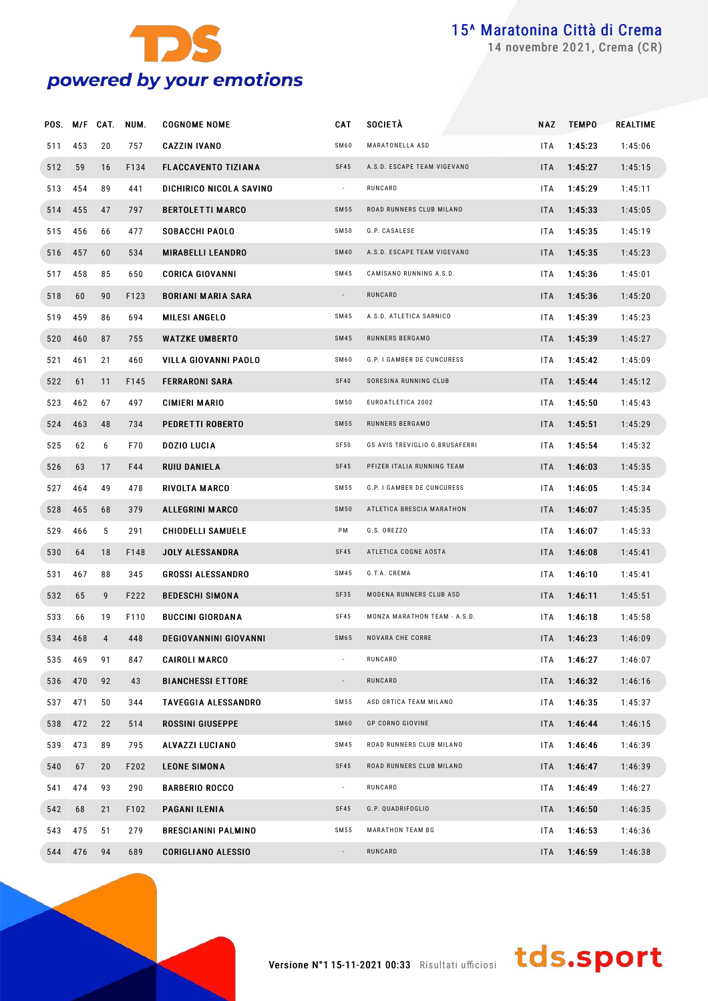

novembre 2021, Crema (CR)

|         |         | POS. M/F CAT. | NUM. | <b>COGNOME NOME</b>          | <b>CAT</b>               | <b>SOCIETÀ</b>                 | NAZ        | <b>TEMPO</b> | REALTIME |
|---------|---------|---------------|------|------------------------------|--------------------------|--------------------------------|------------|--------------|----------|
| 511     | 453     | 20            | 757  | <b>CAZZIN IVANO</b>          | SM60                     | MARATONELLA ASD                | <b>ITA</b> | 1:45:23      | 1:45:06  |
| 512     | 59      | 16            | F134 | <b>FLACCAVENTO TIZIANA</b>   | SF45                     | A.S.D. ESCAPE TEAM VIGEVANO    | <b>ITA</b> | 1:45:27      | 1:45:15  |
| 513     | 454     | 89            | 441  | DICHIRICO NICOLA SAVINO      | $\sim$                   | RUNCARD                        | ITA        | 1:45:29      | 1:45:11  |
|         | 514 455 | 47            | 797  | <b>BERTOLETTI MARCO</b>      | SM55                     | ROAD RUNNERS CLUB MILANO       | <b>ITA</b> | 1:45:33      | 1:45:05  |
| 515     | 456     | 66            | 477  | SOBACCHI PAOLO               | SM50                     | G.P. CASALESE                  | ITA        | 1:45:35      | 1:45:19  |
|         | 516 457 | 60            | 534  | <b>MIRABELLI LEANDRO</b>     | <b>SM40</b>              | A.S.D. ESCAPE TEAM VIGEVANO    | <b>ITA</b> | 1:45:35      | 1:45:23  |
| 517     | 458     | 85            | 650  | <b>CORICA GIOVANNI</b>       | SM45                     | CAMISANO RUNNING A.S.D.        | ITA        | 1:45:36      | 1:45:01  |
| 518     | 60      | 90            | F123 | <b>BORIANI MARIA SARA</b>    | $\sim$                   | RUNCARD                        | ITA.       | 1:45:36      | 1:45:20  |
| 519     | 459     | 86            | 694  | <b>MILESI ANGELO</b>         | SM45                     | A.S.D. ATLETICA SARNICO        | ITA        | 1:45:39      | 1:45:23  |
|         | 520 460 | 87            | 755  | <b>WATZKE UMBERTO</b>        | SM45                     | RUNNERS BERGAMO                | <b>ITA</b> | 1:45:39      | 1:45:27  |
| 521     | 461     | 21            | 460  | VILLA GIOVANNI PAOLO         | SM60                     | G.P. I GAMBER DE CUNCURESS     | ITA        | 1:45:42      | 1:45:09  |
| 522     | 61      | 11            | F145 | <b>FERRARONI SARA</b>        | <b>SF40</b>              | SORESINA RUNNING CLUB          | ITA        | 1:45:44      | 1:45:12  |
| 523     | 462     | 67            | 497  | <b>CIMIERI MARIO</b>         | SM50                     | EUROATLETICA 2002              | ITA        | 1:45:50      | 1:45:43  |
|         | 524 463 | 48            | 734  | PEDRETTI ROBERTO             | SM55                     | RUNNERS BERGAMO                | <b>ITA</b> | 1:45:51      | 1:45:29  |
| 525     | 62      | 6             | F70  | <b>DOZIO LUCIA</b>           | SF50                     | GS AVIS TREVIGLIO G.BRUSAFERRI | ITA        | 1:45:54      | 1:45:32  |
| 526     | 63      | 17            | F44  | RUIU DANIELA                 | SF45                     | PFIZER ITALIA RUNNING TEAM     | <b>ITA</b> | 1:46:03      | 1:45:35  |
| 527     | 464     | 49            | 478  | RIVOLTA MARCO                | S M 55                   | G.P. I GAMBER DE CUNCURESS     | ITA        | 1:46:05      | 1:45:34  |
|         | 528 465 | 68            | 379  | <b>ALLEGRINI MARCO</b>       | <b>SM50</b>              | ATLETICA BRESCIA MARATHON      | <b>ITA</b> | 1:46:07      | 1:45:35  |
| 529     | 466     | 5             | 291  | <b>CHIODELLI SAMUELE</b>     | PM                       | G.S. OREZZO                    | ITA        | 1:46:07      | 1:45:33  |
| 530     | 64      | 18            | F148 | <b>JOLY ALESSANDRA</b>       | SF45                     | ATLETICA COGNE AOSTA           | <b>ITA</b> | 1:46:08      | 1:45:41  |
| 531     | 467     | 88            | 345  | <b>GROSSI ALESSANDRO</b>     | SM45                     | G.T.A. CREMA                   | ITA        | 1:46:10      | 1:45:41  |
| 532     | 65      | 9             | F222 | <b>BEDESCHI SIMONA</b>       | SF35                     | MODENA RUNNERS CLUB ASD        | ITA.       | 1:46:11      | 1:45:51  |
| 533     | 66      | 19            | F110 | <b>BUCCINI GIORDANA</b>      | SF45                     | MONZA MARATHON TEAM - A.S.D.   | ITA        | 1:46:18      | 1:45:58  |
|         | 534 468 | 4             | 448  | <b>DEGIOVANNINI GIOVANNI</b> | SM65                     | NOVARA CHE CORRE               | ITA.       | 1:46:23      | 1:46:09  |
|         | 535 469 | 91            | 847  | CAIROLI MARCO                | $\sim$                   | RUNCARD                        | ITA        | 1:46:27      | 1:46:07  |
| 536 470 |         | 92            | 43   | <b>BIANCHESSI ETTORE</b>     |                          | RUNCARD                        | <b>ITA</b> | 1:46:32      | 1:46:16  |
|         | 537 471 | 50            | 344  | TAVEGGIA ALESSANDRO          | SM55                     | ASD ORTICA TEAM MILANO         | ITA        | 1:46:35      | 1:45:37  |
|         | 538 472 | 22            | 514  | <b>ROSSINI GIUSEPPE</b>      | SM60                     | GP CORNO GIOVINE               | <b>ITA</b> | 1:46:44      | 1:46:15  |
| 539     | 473     | 89            | 795  | ALVAZZI LUCIANO              | SM45                     | ROAD RUNNERS CLUB MILANO       | ITA        | 1:46:46      | 1:46:39  |
| 540     | 67      | 20            | F202 | <b>LEONE SIMONA</b>          | SF45                     | ROAD RUNNERS CLUB MILANO       | <b>ITA</b> | 1:46:47      | 1:46:39  |
| 541     | 474     | 93            | 290  | <b>BARBERIO ROCCO</b>        | $\sim$                   | RUNCARD                        | ITA        | 1:46:49      | 1:46:27  |
| 542     | 68      | 21            | F102 | PAGANI ILENIA                | SF45                     | G.P. QUADRIFOGLIO              | <b>ITA</b> | 1:46:50      | 1:46:35  |
| 543     | 475     | 51            | 279  | BRESCIANINI PALMINO          | SM55                     | MARATHON TEAM BG               | ITA        | 1:46:53      | 1:46:36  |
|         | 544 476 | 94            | 689  | CORIGLIANO ALESSIO           | $\overline{\phantom{a}}$ | RUNCARD                        | ITA        | 1:46:59      | 1:46:38  |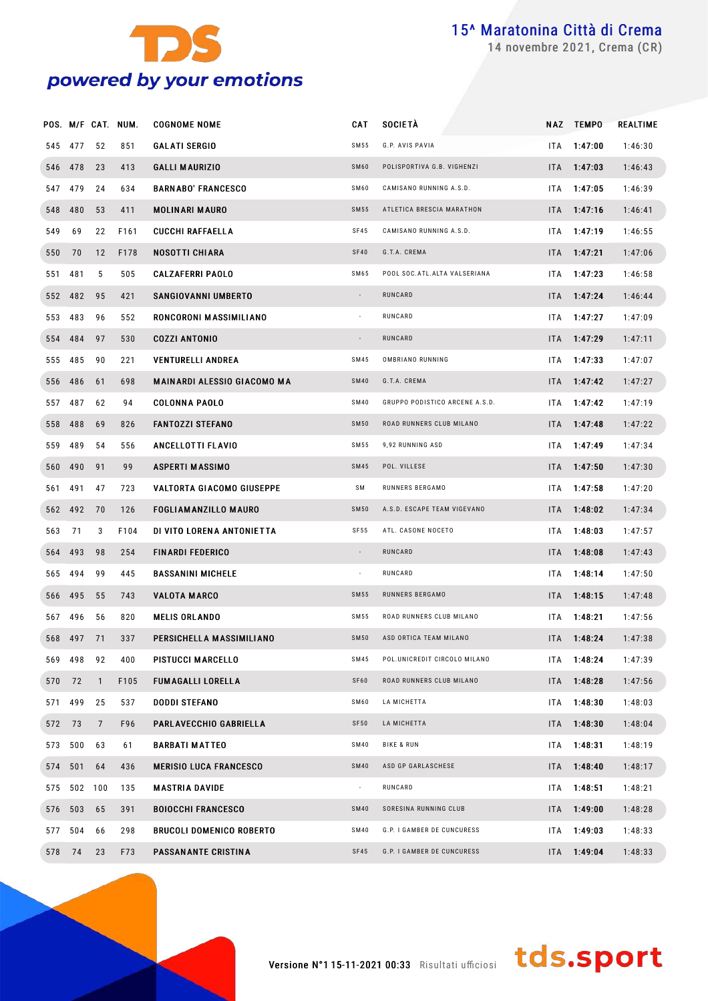

novembre 2021, Crema (CR)

|        |             |                | POS. M/F CAT. NUM. | <b>COGNOME NOME</b>             | <b>CAT</b>               | <b>SOCIETÀ</b>                 |      | NAZ TEMPO       | <b>REALTIME</b> |
|--------|-------------|----------------|--------------------|---------------------------------|--------------------------|--------------------------------|------|-----------------|-----------------|
|        | 545 477     | 52             | 851                | <b>GALATI SERGIO</b>            | SM55                     | G.P. AVIS PAVIA                | ITA. | 1:47:00         | 1:46:30         |
|        | 546 478     | 23             | 413                | <b>GALLI MAURIZIO</b>           | SM60                     | POLISPORTIVA G.B. VIGHENZI     |      | $ITA = 1:47:03$ | 1:46:43         |
|        | 547 479     | 24             | 634                | <b>BARNABO' FRANCESCO</b>       | SM60                     | CAMISANO RUNNING A.S.D.        | ITA. | 1:47:05         | 1:46:39         |
|        | 548 480     | 53             | 411                | <b>MOLINARI MAURO</b>           | <b>SM55</b>              | ATLETICA BRESCIA MARATHON      |      | $ITA = 1:47:16$ | 1:46:41         |
| 549    | 69          | 22             | F161               | <b>CUCCHI RAFFAELLA</b>         | SF45                     | CAMISANO RUNNING A.S.D.        | ITA  | 1:47:19         | 1:46:55         |
| 550 70 |             | 12             | F178               | NOSOTTI CHIARA                  | SF40                     | G.T.A. CREMA                   |      | $ITA = 1:47:21$ | 1:47:06         |
| 551    | 481         | 5              | 505                | <b>CALZAFERRI PAOLO</b>         | SM65                     | POOL SOC. ATL. ALTA VALSERIANA | ITA  | 1:47:23         | 1:46:58         |
|        | 552 482     | 95             | 421                | <b>SANGIOVANNI UMBERTO</b>      | $\sim$                   | RUNCARD                        |      | $ITA = 1:47:24$ | 1:46:44         |
|        | 553 483     | 96             | 552                | RONCORONI MASSIMILIANO          | $\overline{\phantom{a}}$ | RUNCARD                        | ITA  | 1:47:27         | 1:47:09         |
|        | 554 484     | 97             | 530                | <b>COZZI ANTONIO</b>            | $\overline{\phantom{a}}$ | RUNCARD                        |      | $ITA = 1:47:29$ | 1:47:11         |
|        | 555 485     | 90             | 221                | <b>VENTURELLI ANDREA</b>        | <b>SM45</b>              | OMBRIANO RUNNING               | ITA  | 1:47:33         | 1:47:07         |
|        | 556 486     | 61             | 698                | MAINARDI ALESSIO GIACOMO MA     | <b>SM40</b>              | G.T.A. CREMA                   |      | $ITA = 1:47:42$ | 1:47:27         |
|        | 557 487     | 62             | 94                 | <b>COLONNA PAOLO</b>            | <b>SM40</b>              | GRUPPO PODISTICO ARCENE A.S.D. | ITA  | 1:47:42         | 1:47:19         |
|        | 558 488     | 69             | 826                | <b>FANTOZZI STEFANO</b>         | <b>SM50</b>              | ROAD RUNNERS CLUB MILANO       |      | ITA 1:47:48     | 1:47:22         |
|        | 559 489     | 54             | 556                | ANCELLOTTI FLAVIO               | SM 55                    | 9,92 RUNNING ASD               | ITA  | 1:47:49         | 1:47:34         |
|        | 560 490     | 91             | 99                 | <b>ASPERTI MASSIMO</b>          | <b>SM45</b>              | POL. VILLESE                   |      | ITA 1:47:50     | 1:47:30         |
| 561    | 491         | 47             | 723                | VALTORTA GIACOMO GIUSEPPE       | SΜ                       | RUNNERS BERGAMO                | ITA  | 1:47:58         | 1:47:20         |
|        | 562 492     | 70             | 126                | <b>FOGLIAMANZILLO MAURO</b>     | <b>SM50</b>              | A.S.D. ESCAPE TEAM VIGEVANO    |      | ITA 1:48:02     | 1:47:34         |
| 563    | 71          | 3              | F104               | DI VITO LORENA ANTONIETTA       | SF 55                    | ATL. CASONE NOCETO             | ITA  | 1:48:03         | 1:47:57         |
|        | 564 493     | 98             | 254                | <b>FINARDI FEDERICO</b>         | $\sim$                   | RUNCARD                        |      | ITA 1:48:08     | 1:47:43         |
|        | 565 494     | 99             | 445                | <b>BASSANINI MICHELE</b>        | $\overline{\phantom{a}}$ | RUNCARD                        | ITA  | 1:48:14         | 1:47:50         |
|        | 566 495     | 55             | 743                | <b>VALOTA MARCO</b>             | <b>SM55</b>              | RUNNERS BERGAMO                |      | $ITA = 1:48:15$ | 1:47:48         |
|        | 567 496     | 56             | 820                | <b>MELIS ORLANDO</b>            | <b>SM55</b>              | ROAD RUNNERS CLUB MILANO       | ITA. | 1:48:21         | 1:47:56         |
|        | 568 497 71  |                | 337                | PERSICHELLA MASSIMILIANO        | <b>SM50</b>              | ASD ORTICA TEAM MILANO         |      | ITA 1:48:24     | 1:47:38         |
|        | 569 498     | 92             | 400                | PISTUCCI MARCELLO               | SM45                     | POL.UNICREDIT CIRCOLO MILANO   |      | ITA 1:48:24     | 1:47:39         |
| 570 72 |             | $\mathbf{1}$   | F105               | <b>FUMAGALLI LORELLA</b>        | SF60                     | ROAD RUNNERS CLUB MILANO       |      | ITA 1:48:28     | 1:47:56         |
|        | 571 499     | 25             | 537                | <b>DODDI STEFANO</b>            | SM60                     | LA MICHETTA                    |      | ITA 1:48:30     | 1:48:03         |
| 572 73 |             | $\overline{7}$ | F96                | PARLAVECCHIO GABRIELLA          | SF50                     | LA MICHETTA                    |      | ITA 1:48:30     | 1:48:04         |
|        | 573 500     | 63             | 61                 | <b>BARBATI MATTEO</b>           | SM40                     | <b>BIKE &amp; RUN</b>          |      | $ITA$ 1:48:31   | 1:48:19         |
|        | 574 501     | 64             | 436                | <b>MERISIO LUCA FRANCESCO</b>   | <b>SM40</b>              | ASD GP GARLASCHESE             |      | ITA 1:48:40     | 1:48:17         |
|        | 575 502 100 |                | 135                | <b>MASTRIA DAVIDE</b>           | $\overline{\phantom{a}}$ | RUNCARD                        |      | ITA 1:48:51     | 1:48:21         |
|        | 576 503     | 65             | 391                | <b>BOIOCCHI FRANCESCO</b>       | <b>SM40</b>              | SORESINA RUNNING CLUB          |      | ITA 1:49:00     | 1:48:28         |
|        | 577 504     | 66             | 298                | <b>BRUCOLI DOMENICO ROBERTO</b> | SM40                     | G.P. I GAMBER DE CUNCURESS     |      | ITA 1:49:03     | 1:48:33         |
| 578 74 |             | 23             | F73                | PASSANANTE CRISTINA             | SF45                     | G.P. I GAMBER DE CUNCURESS     |      | ITA 1:49:04     | 1:48:33         |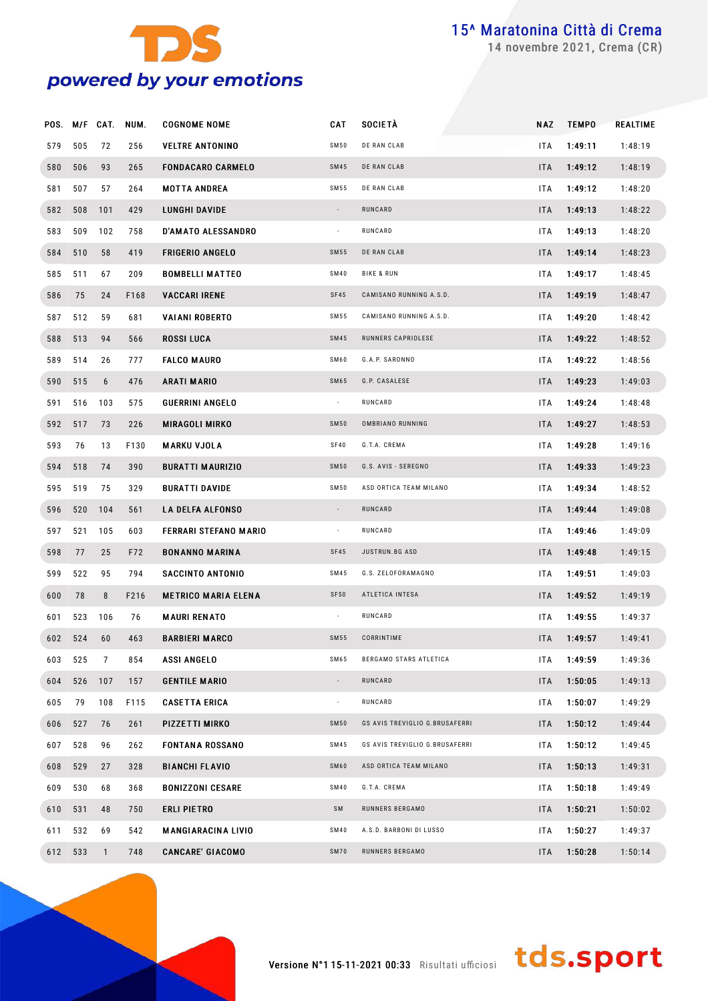

novembre 2021, Crema (CR)

|     |         | POS. M/F CAT. | NUM. | <b>COGNOME NOME</b>        | CAT            | SOCIETÀ                        | NAZ        | <b>TEMPO</b> | <b>REALTIME</b> |
|-----|---------|---------------|------|----------------------------|----------------|--------------------------------|------------|--------------|-----------------|
| 579 | 505     | 72            | 256  | <b>VELTRE ANTONINO</b>     | SM50           | DE RAN CLAB                    | <b>ITA</b> | 1:49:11      | 1:48:19         |
| 580 | 506     | 93            | 265  | <b>FONDACARO CARMELO</b>   | <b>SM45</b>    | DE RAN CLAB                    | ITA        | 1:49:12      | 1:48:19         |
| 581 | 507     | 57            | 264  | <b>MOTTA ANDREA</b>        | SM 55          | DE RAN CLAB                    | <b>ITA</b> | 1:49:12      | 1:48:20         |
| 582 | 508     | 101           | 429  | LUNGHI DAVIDE              | $\sim$         | RUNCARD                        | <b>ITA</b> | 1:49:13      | 1:48:22         |
| 583 | 509     | 102           | 758  | <b>D'AMATO ALESSANDRO</b>  | $\sim$         | RUNCARD                        | <b>ITA</b> | 1:49:13      | 1:48:20         |
| 584 | 510     | 58            | 419  | <b>FRIGERIO ANGELO</b>     | <b>SM55</b>    | DE RAN CLAB                    | <b>ITA</b> | 1:49:14      | 1:48:23         |
| 585 | 511     | 67            | 209  | <b>BOMBELLI MATTEO</b>     | <b>SM40</b>    | <b>BIKE &amp; RUN</b>          | <b>ITA</b> | 1:49:17      | 1:48:45         |
| 586 | 75      | 24            | F168 | <b>VACCARI IRENE</b>       | SF45           | CAMISANO RUNNING A.S.D.        | <b>ITA</b> | 1:49:19      | 1:48:47         |
| 587 | 512     | 59            | 681  | <b>VAIANI ROBERTO</b>      | SM55           | CAMISANO RUNNING A.S.D.        | <b>ITA</b> | 1:49:20      | 1:48:42         |
| 588 | 513     | 94            | 566  | <b>ROSSI LUCA</b>          | <b>SM45</b>    | RUNNERS CAPRIOLESE             | <b>ITA</b> | 1:49:22      | 1:48:52         |
| 589 | 514     | 26            | 777  | <b>FALCO MAURO</b>         | SM60           | G.A.P. SARONNO                 | <b>ITA</b> | 1:49:22      | 1:48:56         |
| 590 | 515     | 6             | 476  | <b>ARATI MARIO</b>         | SM65           | G.P. CASALESE                  | <b>ITA</b> | 1:49:23      | 1:49:03         |
| 591 | 516     | 103           | 575  | <b>GUERRINI ANGELO</b>     | $\sim$         | RUNCARD                        | <b>ITA</b> | 1:49:24      | 1:48:48         |
|     | 592 517 | 73            | 226  | <b>MIRAGOLI MIRKO</b>      | <b>SM50</b>    | OMBRIANO RUNNING               | <b>ITA</b> | 1:49:27      | 1:48:53         |
| 593 | 76      | 13            | F130 | <b>MARKU VJOLA</b>         | SF40           | G.T.A. CREMA                   | ITA        | 1:49:28      | 1:49:16         |
| 594 | 518     | 74            | 390  | <b>BURATTI MAURIZIO</b>    | <b>SM50</b>    | G.S. AVIS - SEREGNO            | <b>ITA</b> | 1:49:33      | 1:49:23         |
| 595 | 519     | 75            | 329  | <b>BURATTI DAVIDE</b>      | <b>SM50</b>    | ASD ORTICA TEAM MILANO         | <b>ITA</b> | 1:49:34      | 1:48:52         |
| 596 | 520     | 104           | 561  | <b>LA DELFA ALFONSO</b>    | $\sim$         | RUNCARD                        | <b>ITA</b> | 1:49:44      | 1:49:08         |
| 597 | 521     | 105           | 603  | FERRARI STEFANO MARIO      | $\sim$         | RUNCARD                        | <b>ITA</b> | 1:49:46      | 1:49:09         |
| 598 | 77      | 25            | F72  | <b>BONANNO MARINA</b>      | SF45           | JUSTRUN.BG ASD                 | <b>ITA</b> | 1:49:48      | 1:49:15         |
| 599 | 522     | 95            | 794  | SACCINTO ANTONIO           | SM45           | G.S. ZELOFORAMAGNO             | <b>ITA</b> | 1:49:51      | 1:49:03         |
| 600 | 78      | 8             | F216 | <b>METRICO MARIA ELENA</b> | SF50           | ATLETICA INTESA                | <b>ITA</b> | 1:49:52      | 1:49:19         |
| 601 | 523     | 106           | 76   | <b>MAURI RENATO</b>        | $\sim$         | RUNCARD                        | ITA        | 1:49:55      | 1:49:37         |
|     | 602 524 | 60            | 463  | <b>BARBIERI MARCO</b>      | SM55           | CORRINTIME                     | ITA        | 1:49:57      | 1:49:41         |
| 603 | 525     | 7             | 854  | <b>ASSI ANGELO</b>         | SM65           | BERGAMO STARS ATLETICA         | ITA        | 1:49:59      | 1:49:36         |
| 604 | 526     | 107           | 157  | <b>GENTILE MARIO</b>       | $\blacksquare$ | RUNCARD                        | ITA        | 1:50:05      | 1:49:13         |
| 605 | 79      | 108           | F115 | <b>CASETTA ERICA</b>       | ÷              | RUNCARD                        | ITA        | 1:50:07      | 1:49:29         |
| 606 | 527     | 76            | 261  | PIZZETTI MIRKO             | <b>SM50</b>    | GS AVIS TREVIGLIO G.BRUSAFERRI | <b>ITA</b> | 1:50:12      | 1:49:44         |
| 607 | 528     | 96            | 262  | <b>FONTANA ROSSANO</b>     | SM45           | GS AVIS TREVIGLIO G.BRUSAFERRI | ITA        | 1:50:12      | 1:49:45         |
| 608 | 529     | 27            | 328  | <b>BIANCHI FLAVIO</b>      | SM60           | ASD ORTICA TEAM MILANO         | <b>ITA</b> | 1:50:13      | 1:49:31         |
| 609 | 530     | 68            | 368  | BONIZZONI CESARE           | <b>SM40</b>    | G.T.A. CREMA                   | ITA        | 1:50:18      | 1:49:49         |
| 610 | 531     | 48            | 750  | ERLI PIETRO                | SM             | RUNNERS BERGAMO                | ITA        | 1:50:21      | 1:50:02         |
| 611 | 532     | 69            | 542  | <b>MANGIARACINA LIVIO</b>  | <b>SM40</b>    | A.S.D. BARBONI DI LUSSO        | ITA        | 1:50:27      | 1:49:37         |
| 612 | 533     | $\mathbf{1}$  | 748  | <b>CANCARE' GIACOMO</b>    | SM70           | RUNNERS BERGAMO                | ITA        | 1:50:28      | 1:50:14         |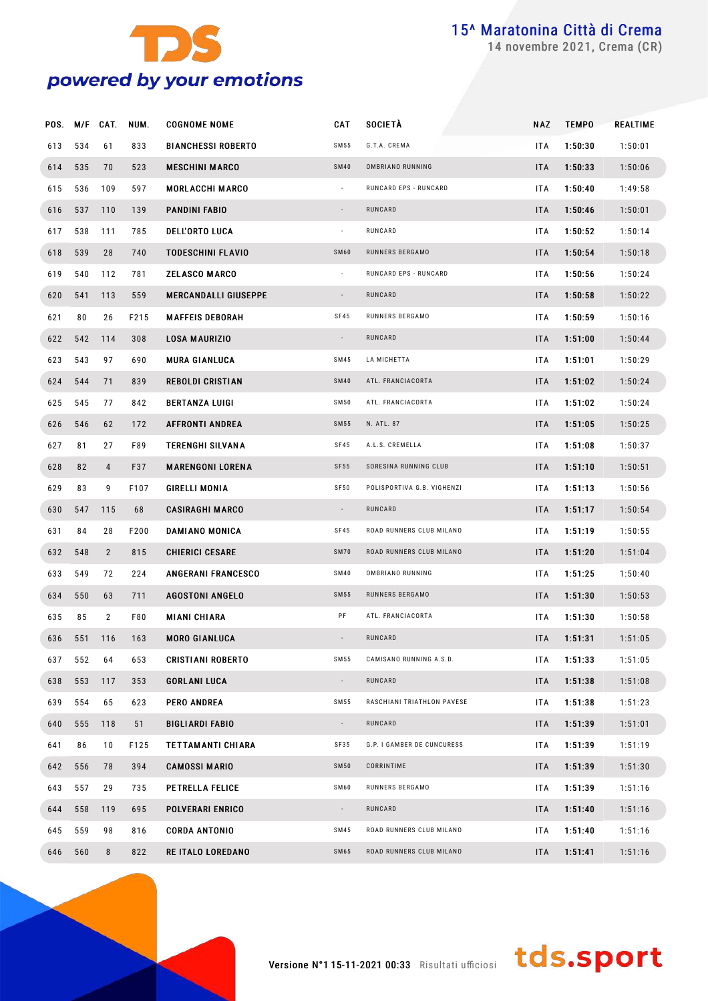

novembre 2021, Crema (CR)

| POS. M/F |     | CAT.           | NUM. | <b>COGNOME NOME</b>         | <b>CAT</b>               | <b>SOCIETÀ</b>             | NAZ        | <b>TEMPO</b> | REALTIME |
|----------|-----|----------------|------|-----------------------------|--------------------------|----------------------------|------------|--------------|----------|
| 613      | 534 | 61             | 833  | <b>BIANCHESSI ROBERTO</b>   | SM 55                    | G.T.A. CREMA               | <b>ITA</b> | 1:50:30      | 1:50:01  |
| 614      | 535 | 70             | 523  | <b>MESCHINI MARCO</b>       | <b>SM40</b>              | OMBRIANO RUNNING           | <b>ITA</b> | 1:50:33      | 1:50:06  |
| 615      | 536 | 109            | 597  | <b>MORLACCHI MARCO</b>      | $\overline{\phantom{a}}$ | RUNCARD EPS - RUNCARD      | <b>ITA</b> | 1:50:40      | 1:49:58  |
| 616      | 537 | 110            | 139  | <b>PANDINI FABIO</b>        | $\overline{\phantom{a}}$ | RUNCARD                    | <b>ITA</b> | 1:50:46      | 1:50:01  |
| 617      | 538 | 111            | 785  | <b>DELL'ORTO LUCA</b>       | $\overline{\phantom{a}}$ | RUNCARD                    | <b>ITA</b> | 1:50:52      | 1:50:14  |
| 618      | 539 | 28             | 740  | <b>TODESCHINI FLAVIO</b>    | SM60                     | RUNNERS BERGAMO            | <b>ITA</b> | 1:50:54      | 1:50:18  |
| 619      | 540 | 112            | 781  | <b>ZELASCO MARCO</b>        | $\overline{\phantom{a}}$ | RUNCARD EPS - RUNCARD      | <b>ITA</b> | 1:50:56      | 1:50:24  |
| 620      | 541 | 113            | 559  | <b>MERCANDALLI GIUSEPPE</b> | $\overline{\phantom{a}}$ | RUNCARD                    | <b>ITA</b> | 1:50:58      | 1:50:22  |
| 621      | 80  | 26             | F215 | <b>MAFFEIS DEBORAH</b>      | SF45                     | RUNNERS BERGAMO            | ITA        | 1:50:59      | 1:50:16  |
| 622      | 542 | 114            | 308  | <b>LOSA MAURIZIO</b>        | $\overline{\phantom{a}}$ | RUNCARD                    | <b>ITA</b> | 1:51:00      | 1:50:44  |
| 623      | 543 | 97             | 690  | <b>MURA GIANLUCA</b>        | SM45                     | LA MICHETTA                | <b>ITA</b> | 1:51:01      | 1:50:29  |
| 624      | 544 | 71             | 839  | <b>REBOLDI CRISTIAN</b>     | <b>SM40</b>              | ATL. FRANCIACORTA          | <b>ITA</b> | 1:51:02      | 1:50:24  |
| 625      | 545 | 77             | 842  | <b>BERTANZA LUIGI</b>       | SM50                     | ATL. FRANCIACORTA          | <b>ITA</b> | 1:51:02      | 1:50:24  |
| 626      | 546 | 62             | 172  | <b>AFFRONTI ANDREA</b>      | SM 55                    | N. ATL. 87                 | <b>ITA</b> | 1:51:05      | 1:50:25  |
| 627      | 81  | 27             | F89  | <b>TERENGHI SILVANA</b>     | SF45                     | A.L.S. CREMELLA            | <b>ITA</b> | 1:51:08      | 1:50:37  |
| 628      | 82  | $\overline{4}$ | F37  | <b>MARENGONI LORENA</b>     | SF55                     | SORESINA RUNNING CLUB      | <b>ITA</b> | 1:51:10      | 1:50:51  |
| 629      | 83  | 9              | F107 | GIRELLI MONIA               | <b>SF50</b>              | POLISPORTIVA G.B. VIGHENZI | <b>ITA</b> | 1:51:13      | 1:50:56  |
| 630      | 547 | 115            | 68   | <b>CASIRAGHI MARCO</b>      | $\overline{\phantom{a}}$ | RUNCARD                    | <b>ITA</b> | 1:51:17      | 1:50:54  |
| 631      | 84  | 28             | F200 | DAMIANO MONICA              | SF45                     | ROAD RUNNERS CLUB MILANO   | <b>ITA</b> | 1:51:19      | 1:50:55  |
| 632      | 548 | $\overline{2}$ | 815  | <b>CHIERICI CESARE</b>      | <b>SM70</b>              | ROAD RUNNERS CLUB MILANO   | <b>ITA</b> | 1:51:20      | 1:51:04  |
| 633      | 549 | 72             | 224  | <b>ANGERANI FRANCESCO</b>   | <b>SM40</b>              | OMBRIANO RUNNING           | <b>ITA</b> | 1:51:25      | 1:50:40  |
| 634      | 550 | 63             | 711  | <b>AGOSTONI ANGELO</b>      | SM 55                    | RUNNERS BERGAMO            | <b>ITA</b> | 1:51:30      | 1:50:53  |
| 635      | 85  | $\overline{2}$ | F80  | <b>MIANI CHIARA</b>         | PF                       | ATL. FRANCIACORTA          | ITA        | 1:51:30      | 1:50:58  |
| 636      | 551 | 116            | 163  | <b>MORO GIANLUCA</b>        |                          | RUNCARD                    | <b>ITA</b> | 1:51:31      | 1:51:05  |
| 637      | 552 | 64             | 653  | <b>CRISTIANI ROBERTO</b>    | SM 55                    | CAMISANO RUNNING A.S.D.    | <b>ITA</b> | 1:51:33      | 1:51:05  |
| 638      | 553 | 117            | 353  | <b>GORLANI LUCA</b>         | $\sim$                   | RUNCARD                    | <b>ITA</b> | 1:51:38      | 1:51:08  |
| 639      | 554 | 65             | 623  | <b>PERO ANDREA</b>          | SM 55                    | RASCHIANI TRIATHLON PAVESE | ITA        | 1:51:38      | 1:51:23  |
| 640      | 555 | 118            | 51   | <b>BIGLIARDI FABIO</b>      | $\sim$                   | RUNCARD                    | ITA        | 1:51:39      | 1:51:01  |
| 641      | 86  | 10             | F125 | <b>TETTAMANTI CHIARA</b>    | SF35                     | G.P. I GAMBER DE CUNCURESS | ITA        | 1:51:39      | 1:51:19  |
| 642      | 556 | 78             | 394  | <b>CAMOSSI MARIO</b>        | <b>SM50</b>              | CORRINTIME                 | ITA        | 1:51:39      | 1:51:30  |
| 643      | 557 | 29             | 735  | PETRELLA FELICE             | SM60                     | RUNNERS BERGAMO            | <b>ITA</b> | 1:51:39      | 1:51:16  |
| 644      | 558 | 119            | 695  | POLVERARI ENRICO            | $\sim$                   | RUNCARD                    | <b>ITA</b> | 1:51:40      | 1:51:16  |
| 645      | 559 | 98             | 816  | <b>CORDA ANTONIO</b>        | SM45                     | ROAD RUNNERS CLUB MILANO   | ITA        | 1:51:40      | 1:51:16  |
| 646      | 560 | 8              | 822  | <b>RE ITALO LOREDANO</b>    | SM65                     | ROAD RUNNERS CLUB MILANO   | <b>ITA</b> | 1:51:41      | 1:51:16  |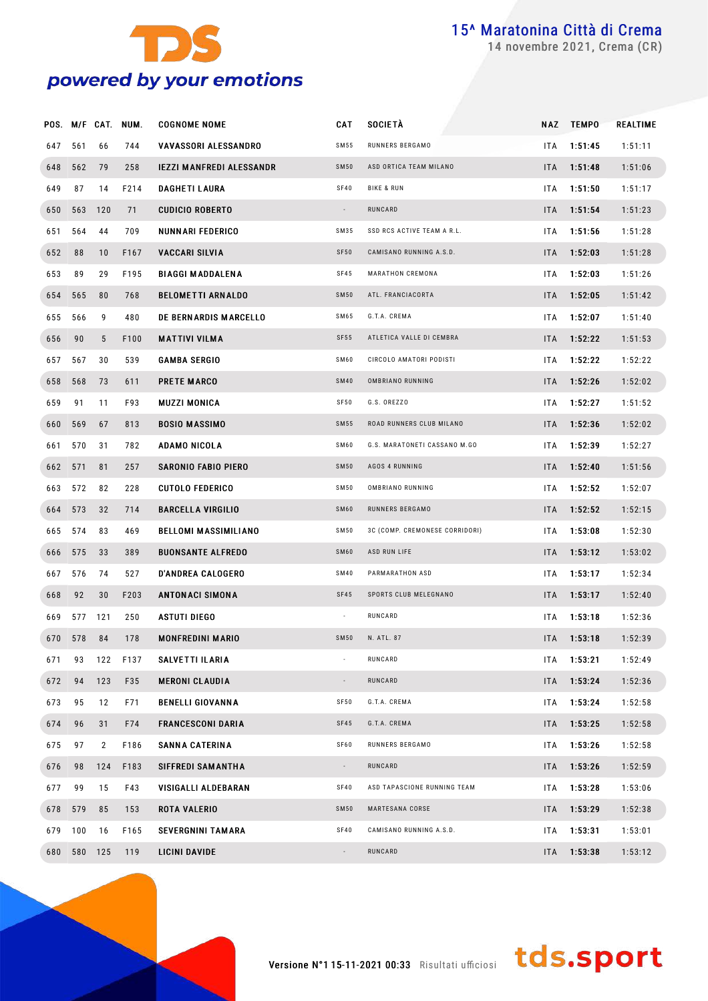

novembre 2021, Crema (CR)

|     |         |                 | POS. M/F CAT. NUM. | <b>COGNOME NOME</b>             | <b>CAT</b>               | <b>SOCIETÀ</b>                 |            | NAZ TEMPO | REALTIME |
|-----|---------|-----------------|--------------------|---------------------------------|--------------------------|--------------------------------|------------|-----------|----------|
| 647 | 561     | 66              | 744                | VAVASSORI ALESSANDRO            | SM 55                    | RUNNERS BERGAMO                | <b>ITA</b> | 1:51:45   | 1:51:11  |
| 648 | 562     | 79              | 258                | <b>IEZZI MANFREDI ALESSANDR</b> | <b>SM50</b>              | ASD ORTICA TEAM MILANO         | <b>ITA</b> | 1:51:48   | 1:51:06  |
| 649 | 87      | 14              | F214               | <b>DAGHETI LAURA</b>            | SF40                     | <b>BIKE &amp; RUN</b>          | <b>ITA</b> | 1:51:50   | 1:51:17  |
| 650 | 563     | 120             | 71                 | <b>CUDICIO ROBERTO</b>          |                          | RUNCARD                        | <b>ITA</b> | 1:51:54   | 1:51:23  |
| 651 | 564     | 44              | 709                | NUNNARI FEDERICO                | SM35                     | SSD RCS ACTIVE TEAM A R.L.     | <b>ITA</b> | 1:51:56   | 1:51:28  |
| 652 | 88      | 10              | F167               | <b>VACCARI SILVIA</b>           | SF50                     | CAMISANO RUNNING A.S.D.        | <b>ITA</b> | 1:52:03   | 1:51:28  |
| 653 | 89      | 29              | F195               | <b>BIAGGI MADDALENA</b>         | SF45                     | MARATHON CREMONA               | <b>ITA</b> | 1:52:03   | 1:51:26  |
| 654 | 565     | 80              | 768                | <b>BELOMETTI ARNALDO</b>        | <b>SM50</b>              | ATL. FRANCIACORTA              | <b>ITA</b> | 1:52:05   | 1:51:42  |
| 655 | 566     | 9               | 480                | DE BERNARDIS MARCELLO           | SM65                     | G.T.A. CREMA                   | <b>ITA</b> | 1:52:07   | 1:51:40  |
| 656 | 90      | $5\phantom{.0}$ | F100               | <b>MATTIVI VILMA</b>            | SF55                     | ATLETICA VALLE DI CEMBRA       | <b>ITA</b> | 1:52:22   | 1:51:53  |
| 657 | 567     | 30              | 539                | GAMBA SERGIO                    | SM60                     | CIRCOLO AMATORI PODISTI        | <b>ITA</b> | 1:52:22   | 1:52:22  |
| 658 | 568     | 73              | 611                | <b>PRETE MARCO</b>              | <b>SM40</b>              | OMBRIANO RUNNING               | <b>ITA</b> | 1:52:26   | 1:52:02  |
| 659 | 91      | 11              | F93                | <b>MUZZI MONICA</b>             | SF50                     | G.S. OREZZO                    | <b>ITA</b> | 1:52:27   | 1:51:52  |
| 660 | 569     | 67              | 813                | <b>BOSIO MASSIMO</b>            | <b>SM55</b>              | ROAD RUNNERS CLUB MILANO       | <b>ITA</b> | 1:52:36   | 1:52:02  |
| 661 | 570     | 31              | 782                | ADAMO NICOLA                    | SM60                     | G.S. MARATONETI CASSANO M.GO   | <b>ITA</b> | 1:52:39   | 1:52:27  |
| 662 | 571     | 81              | 257                | <b>SARONIO FABIO PIERO</b>      | <b>SM50</b>              | AGOS 4 RUNNING                 | <b>ITA</b> | 1:52:40   | 1:51:56  |
| 663 | 572     | 82              | 228                | <b>CUTOLO FEDERICO</b>          | <b>SM50</b>              | OMBRIANO RUNNING               | <b>ITA</b> | 1:52:52   | 1:52:07  |
| 664 | 573     | 32              | 714                | <b>BARCELLA VIRGILIO</b>        | SM60                     | RUNNERS BERGAMO                | <b>ITA</b> | 1:52:52   | 1:52:15  |
| 665 | 574     | 83              | 469                | <b>BELLOMI MASSIMILIANO</b>     | <b>SM50</b>              | 3C (COMP. CREMONESE CORRIDORI) | <b>ITA</b> | 1:53:08   | 1:52:30  |
| 666 | 575     | 33              | 389                | <b>BUONSANTE ALFREDO</b>        | SM60                     | ASD RUN LIFE                   | <b>ITA</b> | 1:53:12   | 1:53:02  |
| 667 | 576     | 74              | 527                | <b>D'ANDREA CALOGERO</b>        | <b>SM40</b>              | PARMARATHON ASD                | <b>ITA</b> | 1:53:17   | 1:52:34  |
| 668 | 92      | 30              | F203               | ANTONACI SIMONA                 | <b>SF45</b>              | SPORTS CLUB MELEGNANO          | <b>ITA</b> | 1:53:17   | 1:52:40  |
| 669 | 577     | 121             | 250                | ASTUTI DIEGO                    | $\overline{\phantom{a}}$ | RUNCARD                        | ITA        | 1:53:18   | 1:52:36  |
| 670 | 578     | 84              | 178                | <b>MONFREDINI MARIO</b>         | <b>SM50</b>              | N. ATL. 87                     | ITA.       | 1:53:18   | 1:52:39  |
| 671 | 93      |                 | 122 F137           | SALVETTI ILARIA                 | $\sim$                   | RUNCARD                        | ITA        | 1:53:21   | 1:52:49  |
| 672 | 94      | 123             | F35                | <b>MERONI CLAUDIA</b>           | $\blacksquare$           | RUNCARD                        | <b>ITA</b> | 1:53:24   | 1:52:36  |
| 673 | 95      | 12              | F71                | <b>BENELLI GIOVANNA</b>         | SF50                     | G.T.A. CREMA                   | <b>ITA</b> | 1:53:24   | 1:52:58  |
| 674 | 96      | 31              | F74                | <b>FRANCESCONI DARIA</b>        | SF45                     | G.T.A. CREMA                   | <b>ITA</b> | 1:53:25   | 1:52:58  |
| 675 | 97      | $\mathbf{2}$    | F186               | <b>SANNA CATERINA</b>           | SF60                     | RUNNERS BERGAMO                | ITA.       | 1:53:26   | 1:52:58  |
| 676 | 98      | 124             | F183               | <b>SIFFREDI SAMANTHA</b>        | $\sim$                   | RUNCARD                        | <b>ITA</b> | 1:53:26   | 1:52:59  |
| 677 | 99      | 15              | F43                | VISIGALLI ALDEBARAN             | SF40                     | ASD TAPASCIONE RUNNING TEAM    | <b>ITA</b> | 1:53:28   | 1:53:06  |
| 678 | 579     | 85              | 153                | <b>ROTA VALERIO</b>             | SM50                     | MARTESANA CORSE                | <b>ITA</b> | 1:53:29   | 1:52:38  |
|     | 679 100 | 16              | F165               | <b>SEVERGNINI TAMARA</b>        | SF40                     | CAMISANO RUNNING A.S.D.        | <b>ITA</b> | 1:53:31   | 1:53:01  |
| 680 |         | 580 125         | 119                | LICINI DAVIDE                   | $\sim$                   | RUNCARD                        | <b>ITA</b> | 1:53:38   | 1:53:12  |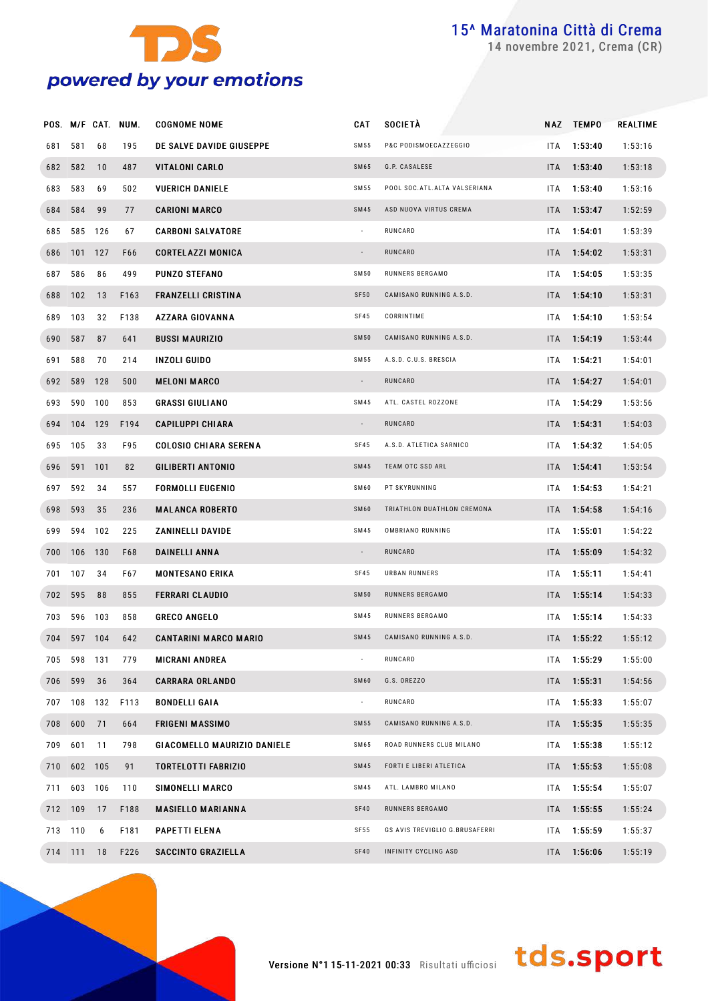

novembre 2021, Crema (CR)

|     |             |     | POS. M/F CAT. NUM. | <b>COGNOME NOME</b>          | CAT         | <b>SOCIETÀ</b>                 | NAZ        | <b>TEMPO</b>    | REALTIME |
|-----|-------------|-----|--------------------|------------------------------|-------------|--------------------------------|------------|-----------------|----------|
| 681 | 581         | 68  | 195                | DE SALVE DAVIDE GIUSEPPE     | SM 55       | P&C PODISMOECAZZEGGIO          | ITA.       | 1:53:40         | 1:53:16  |
|     | 682 582     | 10  | 487                | <b>VITALONI CARLO</b>        | <b>SM65</b> | G.P. CASALESE                  |            | ITA 1:53:40     | 1:53:18  |
| 683 | 583         | 69  | 502                | <b>VUERICH DANIELE</b>       | SM 55       | POOL SOC. ATL. ALTA VALSERIANA | ITA.       | 1:53:40         | 1:53:16  |
|     | 684 584     | 99  | 77                 | <b>CARIONI MARCO</b>         | <b>SM45</b> | ASD NUOVA VIRTUS CREMA         |            | ITA 1:53:47     | 1:52:59  |
| 685 | 585 126     |     | 67                 | <b>CARBONI SALVATORE</b>     |             | RUNCARD                        | ITA.       | 1:54:01         | 1:53:39  |
|     | 686 101 127 |     | F66                | <b>CORTELAZZI MONICA</b>     | $\sim$      | RUNCARD                        |            | ITA 1:54:02     | 1:53:31  |
| 687 | 586         | 86  | 499                | <b>PUNZO STEFANO</b>         | <b>SM50</b> | RUNNERS BERGAMO                | ITA.       | 1:54:05         | 1:53:35  |
|     | 688 102     | 13  | F163               | <b>FRANZELLI CRISTINA</b>    | SF50        | CAMISANO RUNNING A.S.D.        |            | $ITA = 1:54:10$ | 1:53:31  |
| 689 | 103         | 32  | F138               | <b>AZZARA GIOVANNA</b>       | SF45        | CORRINTIME                     | ITA.       | 1:54:10         | 1:53:54  |
|     | 690 587     | 87  | 641                | <b>BUSSI MAURIZIO</b>        | <b>SM50</b> | CAMISANO RUNNING A.S.D.        |            | $ITA = 1:54:19$ | 1:53:44  |
| 691 | 588         | 70  | 214                | INZOLI GUIDO                 | SM 55       | A.S.D. C.U.S. BRESCIA          | ITA.       | 1:54:21         | 1:54:01  |
|     | 692 589     | 128 | 500                | <b>MELONI MARCO</b>          |             | RUNCARD                        |            | ITA 1:54:27     | 1:54:01  |
| 693 | 590 100     |     | 853                | <b>GRASSI GIULIANO</b>       | <b>SM45</b> | ATL. CASTEL ROZZONE            | ITA.       | 1:54:29         | 1:53:56  |
|     | 694 104 129 |     | F194               | <b>CAPILUPPI CHIARA</b>      |             | RUNCARD                        |            | $ITA = 1:54:31$ | 1:54:03  |
|     | 695 105     | 33  | F95                | <b>COLOSIO CHIARA SERENA</b> | SF45        | A.S.D. ATLETICA SARNICO        | ITA.       | 1:54:32         | 1:54:05  |
|     | 696 591 101 |     | 82                 | <b>GILIBERTI ANTONIO</b>     | <b>SM45</b> | TEAM OTC SSD ARL               |            | $ITA = 1:54:41$ | 1:53:54  |
| 697 | 592         | 34  | 557                | <b>FORMOLLI EUGENIO</b>      | SM60        | PT SKYRUNNING                  | ITA.       | 1:54:53         | 1:54:21  |
|     | 698 593     | 35  | 236                | <b>MALANCA ROBERTO</b>       | SM60        | TRIATHLON DUATHLON CREMONA     |            | ITA 1:54:58     | 1:54:16  |
| 699 | 594         | 102 | 225                | ZANINELLI DAVIDE             | SM45        | OMBRIANO RUNNING               | ITA.       | 1:55:01         | 1:54:22  |
|     | 700 106 130 |     | F68                | DAINELLI ANNA                |             | RUNCARD                        |            | ITA 1:55:09     | 1:54:32  |
|     | 701 107     | 34  | F67                | <b>MONTESANO ERIKA</b>       | SF45        | URBAN RUNNERS                  | ITA.       | 1:55:11         | 1:54:41  |
|     | 702 595     | 88  | 855                | <b>FERRARI CLAUDIO</b>       | <b>SM50</b> | RUNNERS BERGAMO                |            | ITA 1:55:14     | 1:54:33  |
| 703 | 596 103     |     | 858                | <b>GRECO ANGELO</b>          | SM45        | RUNNERS BERGAMO                | IT A       | 1:55:14         | 1:54:33  |
|     | 704 597 104 |     | 642                | <b>CANTARINI MARCO MARIO</b> | <b>SM45</b> | CAMISANO RUNNING A.S.D.        |            | ITA 1:55:22     | 1:55:12  |
|     | 705 598 131 |     | 779                | <b>MICRANI ANDREA</b>        |             | RUNCARD                        |            | ITA 1:55:29     | 1:55:00  |
|     | 706 599     | 36  | 364                | <b>CARRARA ORLANDO</b>       | <b>SM60</b> | G.S. OREZZO                    | <b>ITA</b> | 1:55:31         | 1:54:56  |
|     | 707 108 132 |     | F113               | <b>BONDELLI GAIA</b>         | $\sim$      | RUNCARD                        | ITA        | 1:55:33         | 1:55:07  |
|     | 708 600     | 71  | 664                | <b>FRIGENI MASSIMO</b>       | <b>SM55</b> | CAMISANO RUNNING A.S.D.        | ITA        | 1:55:35         | 1:55:35  |
| 709 | 601         | 11  | 798                | GIACOMELLO MAURIZIO DANIELE  | SM65        | ROAD RUNNERS CLUB MILANO       | ITA        | 1:55:38         | 1:55:12  |
|     | 710 602     | 105 | 91                 | TORTELOTTI FABRIZIO          | <b>SM45</b> | FORTI E LIBERI ATLETICA        | ITA        | 1:55:53         | 1:55:08  |
| 711 | 603 106     |     | 110                | SIMONELLI MARCO              | SM45        | ATL. LAMBRO MILANO             | ITA        | 1:55:54         | 1:55:07  |
|     | 712 109     | 17  | F188               | <b>MASIELLO MARIANNA</b>     | <b>SF40</b> | RUNNERS BERGAMO                | <b>ITA</b> | 1:55:55         | 1:55:24  |
|     | 713 110     | 6   | F181               | PAPETTI ELENA                | <b>SF55</b> | GS AVIS TREVIGLIO G.BRUSAFERRI | ITA        | 1:55:59         | 1:55:37  |
|     | 714 111     | 18  | F226               | SACCINTO GRAZIELLA           | <b>SF40</b> | INFINITY CYCLING ASD           | ITA.       | 1:56:06         | 1:55:19  |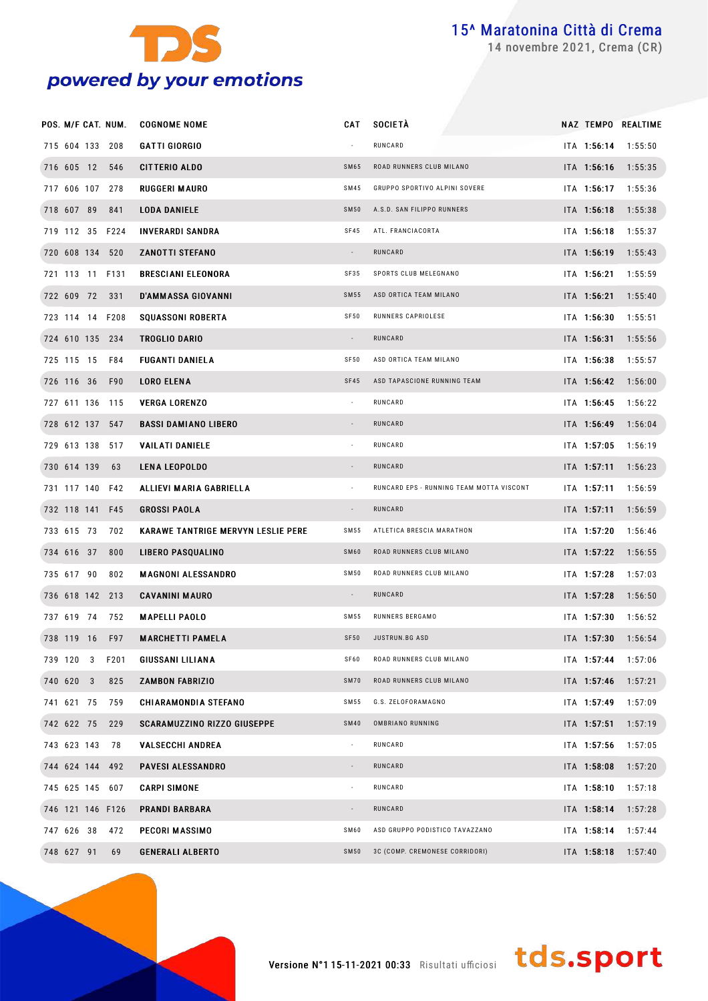

novembre 2021, Crema (CR)

|                 | POS. M/F CAT. NUM. | <b>COGNOME NOME</b>                       | CAT                      | <b>SOCIETÀ</b>                 |                                          |             | NAZ TEMPO REALTIME  |  |
|-----------------|--------------------|-------------------------------------------|--------------------------|--------------------------------|------------------------------------------|-------------|---------------------|--|
|                 | 715 604 133 208    | <b>GATTI GIORGIO</b>                      |                          | RUNCARD                        |                                          |             | ITA 1:56:14 1:55:50 |  |
| 716 605 12 546  |                    | <b>CITTERIO ALDO</b>                      | <b>SM65</b>              | ROAD RUNNERS CLUB MILANO       |                                          |             | ITA 1:56:16 1:55:35 |  |
| 717 606 107 278 |                    | <b>RUGGERI MAURO</b>                      | SM45                     | GRUPPO SPORTIVO ALPINI SOVERE  |                                          | ITA 1:56:17 | 1:55:36             |  |
| 718 607 89 841  |                    | <b>LODA DANIELE</b>                       | <b>SM50</b>              | A.S.D. SAN FILIPPO RUNNERS     |                                          | ITA 1:56:18 | 1:55:38             |  |
|                 | 719 112 35 F224    | <b>INVERARDI SANDRA</b>                   | SF45                     | ATL. FRANCIACORTA              |                                          | ITA 1:56:18 | 1:55:37             |  |
| 720 608 134 520 |                    | <b>ZANOTTI STEFANO</b>                    |                          | RUNCARD                        |                                          | ITA 1:56:19 | 1:55:43             |  |
|                 | 721 113 11 F131    | <b>BRESCIANI ELEONORA</b>                 | SF35                     | SPORTS CLUB MELEGNANO          |                                          | ITA 1:56:21 | 1:55:59             |  |
| 722 609 72 331  |                    | <b>D'AMMASSA GIOVANNI</b>                 | <b>SM55</b>              | ASD ORTICA TEAM MILANO         |                                          | ITA 1:56:21 | 1:55:40             |  |
|                 | 723 114 14 F208    | <b>SQUASSONI ROBERTA</b>                  | SF50                     | RUNNERS CAPRIOLESE             |                                          | ITA 1:56:30 | 1:55:51             |  |
| 724 610 135 234 |                    | TROGLIO DARIO                             |                          | RUNCARD                        |                                          | ITA 1:56:31 | 1:55:56             |  |
| 725 115 15 F84  |                    | <b>FUGANTI DANIELA</b>                    | SF50                     | ASD ORTICA TEAM MILANO         |                                          | ITA 1:56:38 | 1:55:57             |  |
| 726 116 36 F90  |                    | <b>LORO ELENA</b>                         | <b>SF45</b>              | ASD TAPASCIONE RUNNING TEAM    |                                          | ITA 1:56:42 | 1:56:00             |  |
| 727 611 136 115 |                    | <b>VERGA LORENZO</b>                      | $\alpha$                 | RUNCARD                        |                                          | ITA 1:56:45 | 1:56:22             |  |
|                 | 728 612 137 547    | <b>BASSI DAMIANO LIBERO</b>               |                          | RUNCARD                        |                                          | ITA 1:56:49 | 1:56:04             |  |
| 729 613 138 517 |                    | <b>VAILATI DANIELE</b>                    |                          | RUNCARD                        |                                          | ITA 1:57:05 | 1:56:19             |  |
| 730 614 139     | 63                 | <b>LENA LEOPOLDO</b>                      |                          | RUNCARD                        |                                          | ITA 1:57:11 | 1:56:23             |  |
|                 | 731 117 140 F42    | ALLIEVI MARIA GABRIELLA                   |                          |                                | RUNCARD EPS - RUNNING TEAM MOTTA VISCONT | ITA 1:57:11 | 1:56:59             |  |
|                 | 732 118 141 F45    | <b>GROSSI PAOLA</b>                       |                          | RUNCARD                        |                                          | ITA 1:57:11 | 1:56:59             |  |
| 733 615 73      | 702                | <b>KARAWE TANTRIGE MERVYN LESLIE PERE</b> | <b>SM55</b>              | ATLETICA BRESCIA MARATHON      |                                          | ITA 1:57:20 | 1:56:46             |  |
| 734 616 37      | 800                | LIBERO PASQUALINO                         | SM60                     | ROAD RUNNERS CLUB MILANO       |                                          | ITA 1:57:22 | 1:56:55             |  |
| 735 617 90      | 802                | <b>MAGNONI ALESSANDRO</b>                 | <b>SM50</b>              | ROAD RUNNERS CLUB MILANO       |                                          | ITA 1:57:28 | 1:57:03             |  |
| 736 618 142 213 |                    | <b>CAVANINI MAURO</b>                     |                          | RUNCARD                        |                                          | ITA 1:57:28 | 1:56:50             |  |
| 737 619 74      | 752                | <b>MAPELLI PAOLO</b>                      | <b>SM55</b>              | RUNNERS BERGAMO                |                                          | ITA 1:57:30 | 1:56:52             |  |
|                 | 738 119 16 F97     | <b>MARCHETTI PAMELA</b>                   | <b>SF50</b>              | JUSTRUN.BG ASD                 |                                          | ITA 1:57:30 | 1:56:54             |  |
| 739 120 3       | F201               | <b>GIUSSANI LILIANA</b>                   | SF60                     | ROAD RUNNERS CLUB MILANO       |                                          |             | ITA 1:57:44 1:57:06 |  |
| 740 620 3       | 825                | <b>ZAMBON FABRIZIO</b>                    | <b>SM70</b>              | ROAD RUNNERS CLUB MILANO       |                                          | ITA 1:57:46 | 1:57:21             |  |
| 741 621 75      | 759                | <b>CHIARAMONDIA STEFANO</b>               | SM55                     | G.S. ZELOFORAMAGNO             |                                          | ITA 1:57:49 | 1:57:09             |  |
| 742 622 75      | 229                | <b>SCARAMUZZINO RIZZO GIUSEPPE</b>        | <b>SM40</b>              | OMBRIANO RUNNING               |                                          | ITA 1:57:51 | 1:57:19             |  |
| 743 623 143 78  |                    | <b>VALSECCHI ANDREA</b>                   | $\overline{\phantom{a}}$ | RUNCARD                        |                                          | ITA 1:57:56 | 1:57:05             |  |
|                 | 744 624 144 492    | <b>PAVESI ALESSANDRO</b>                  |                          | RUNCARD                        |                                          | ITA 1:58:08 | 1:57:20             |  |
| 745 625 145 607 |                    | <b>CARPI SIMONE</b>                       | à.                       | RUNCARD                        |                                          | ITA 1:58:10 | 1:57:18             |  |
|                 | 746 121 146 F126   | <b>PRANDI BARBARA</b>                     |                          | RUNCARD                        |                                          | ITA 1:58:14 | 1:57:28             |  |
| 747 626 38      | 472                | PECORI MASSIMO                            | <b>SM60</b>              | ASD GRUPPO PODISTICO TAVAZZANO |                                          | ITA 1:58:14 | 1:57:44             |  |
| 748 627 91      | 69                 | <b>GENERALI ALBERTO</b>                   | <b>SM50</b>              | 3C (COMP. CREMONESE CORRIDORI) |                                          | ITA 1:58:18 | 1:57:40             |  |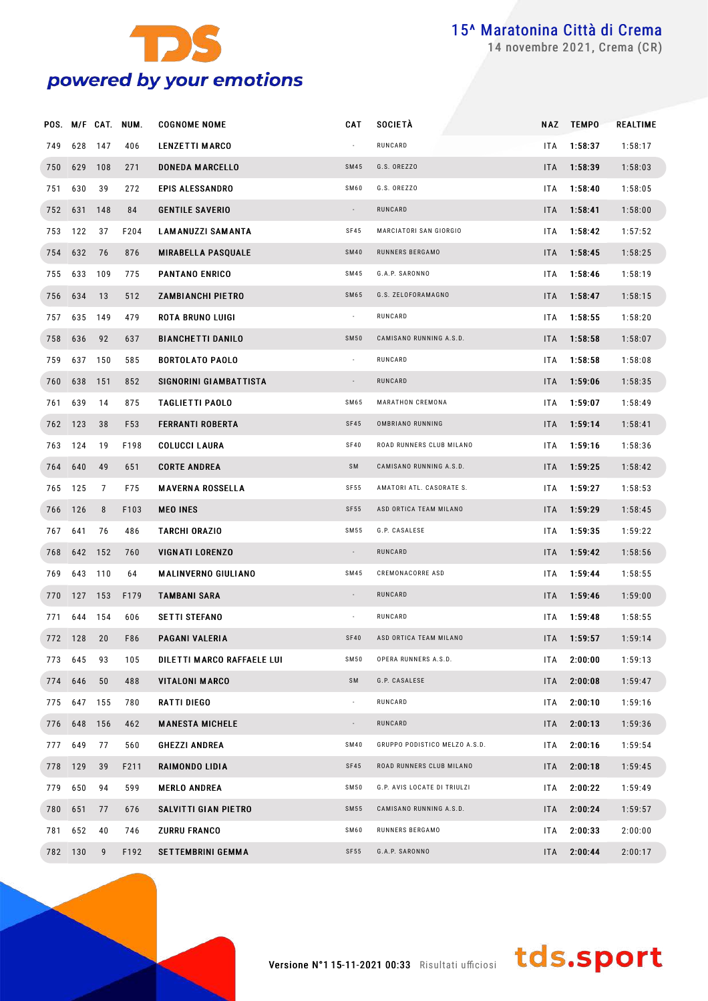

novembre 2021, Crema (CR)

|         |             |         | POS. M/F CAT. NUM. | <b>COGNOME NOME</b>        | <b>CAT</b>               | SOCIETÀ                       |            | NAZ TEMPO   | REALTIME |
|---------|-------------|---------|--------------------|----------------------------|--------------------------|-------------------------------|------------|-------------|----------|
| 749     | 628 147     |         | 406                | <b>LENZETTI MARCO</b>      |                          | RUNCARD                       | <b>ITA</b> | 1:58:37     | 1:58:17  |
| 750     | 629 108     |         | 271                | <b>DONEDA MARCELLO</b>     | <b>SM45</b>              | G.S. OREZZO                   | ITA.       | 1:58:39     | 1:58:03  |
| 751     | 630         | 39      | 272                | <b>EPIS ALESSANDRO</b>     | SM60                     | G.S. OREZZO                   | <b>ITA</b> | 1:58:40     | 1:58:05  |
|         | 752 631     | 148     | 84                 | <b>GENTILE SAVERIO</b>     | $\sim$                   | RUNCARD                       | ITA.       | 1:58:41     | 1:58:00  |
| 753     | 122         | 37      | F204               | <b>LAMANUZZI SAMANTA</b>   | SF45                     | MARCIATORI SAN GIORGIO        | <b>ITA</b> | 1:58:42     | 1:57:52  |
| 754     | 632         | 76      | 876                | <b>MIRABELLA PASQUALE</b>  | <b>SM40</b>              | RUNNERS BERGAMO               | ITA.       | 1:58:45     | 1:58:25  |
| 755     | 633         | 109     | 775                | <b>PANTANO ENRICO</b>      | SM45                     | G.A.P. SARONNO                | <b>ITA</b> | 1:58:46     | 1:58:19  |
| 756     | 634         | 13      | 512                | <b>ZAMBIANCHI PIETRO</b>   | <b>SM65</b>              | G.S. ZELOFORAMAGNO            | ITA.       | 1:58:47     | 1:58:15  |
| 757     | 635         | 149     | 479                | ROTA BRUNO LUIGI           | $\sim$                   | RUNCARD                       | ITA        | 1:58:55     | 1:58:20  |
| 758     | 636         | 92      | 637                | <b>BIANCHETTI DANILO</b>   | <b>SM50</b>              | CAMISANO RUNNING A.S.D.       | <b>ITA</b> | 1:58:58     | 1:58:07  |
| 759     | 637         | 150     | 585                | <b>BORTOLATO PAOLO</b>     | $\sim$                   | RUNCARD                       | <b>ITA</b> | 1:58:58     | 1:58:08  |
| 760     | 638 151     |         | 852                | SIGNORINI GIAMBATTISTA     | $\sim$                   | RUNCARD                       | ITA.       | 1:59:06     | 1:58:35  |
| 761     | 639         | 14      | 875                | TAGLIETTI PAOLO            | SM65                     | MARATHON CREMONA              | <b>ITA</b> | 1:59:07     | 1:58:49  |
| 762 123 |             | 38      | F53                | <b>FERRANTI ROBERTA</b>    | <b>SF45</b>              | OMBRIANO RUNNING              | ITA.       | 1:59:14     | 1:58:41  |
| 763     | 124         | 19      | F198               | <b>COLUCCI LAURA</b>       | SF40                     | ROAD RUNNERS CLUB MILANO      | <b>ITA</b> | 1:59:16     | 1:58:36  |
|         | 764 640     | 49      | 651                | <b>CORTE ANDREA</b>        | SM                       | CAMISANO RUNNING A.S.D.       | ITA.       | 1:59:25     | 1:58:42  |
| 765     | 125         | 7       | F75                | <b>MAVERNA ROSSELLA</b>    | SF 55                    | AMATORI ATL. CASORATE S.      | <b>ITA</b> | 1:59:27     | 1:58:53  |
| 766 126 |             | 8       | F103               | <b>MEO INES</b>            | SF55                     | ASD ORTICA TEAM MILANO        | ITA.       | 1:59:29     | 1:58:45  |
| 767     | 641         | 76      | 486                | TARCHI ORAZIO              | SM 55                    | G.P. CASALESE                 | ITA        | 1:59:35     | 1:59:22  |
| 768     | 642 152     |         | 760                | <b>VIGNATI LORENZO</b>     | $\sim$                   | RUNCARD                       | ITA.       | 1:59:42     | 1:58:56  |
| 769     | 643         | 110     | 64                 | <b>MALINVERNO GIULIANO</b> | SM45                     | CREMONACORRE ASD              | ITA.       | 1:59:44     | 1:58:55  |
| 770     | 127 153     |         | F179               | <b>TAMBANI SARA</b>        | $\overline{\phantom{a}}$ | RUNCARD                       | ITA.       | 1:59:46     | 1:59:00  |
| 771     |             | 644 154 | 606                | <b>SETTI STEFANO</b>       | $\sim$                   | RUNCARD                       | ITA.       | 1:59:48     | 1:58:55  |
|         | 772 128     | 20      | F86                | PAGANI VALERIA             | <b>SF40</b>              | ASD ORTICA TEAM MILANO        |            | ITA 1:59:57 | 1:59:14  |
|         | 773 645     | 93      | 105                | DILETTI MARCO RAFFAELE LUI | SM 50                    | OPERA RUNNERS A.S.D.          | ITA L      | 2:00:00     | 1:59:13  |
| 774     | 646         | 50      | 488                | <b>VITALONI MARCO</b>      | SM                       | G.P. CASALESE                 | ITA.       | 2:00:08     | 1:59:47  |
|         | 775 647 155 |         | 780                | RATTI DIEGO                | $\blacksquare$           | RUNCARD                       | ITA.       | 2:00:10     | 1:59:16  |
| 776     | 648         | 156     | 462                | <b>MANESTA MICHELE</b>     |                          | RUNCARD                       | ITA.       | 2:00:13     | 1:59:36  |
|         | 777 649     | 77      | 560                | <b>GHEZZI ANDREA</b>       | SM40                     | GRUPPO PODISTICO MELZO A.S.D. | ITA.       | 2:00:16     | 1:59:54  |
|         | 778 129     | 39      | F211               | RAIMONDO LIDIA             | SF45                     | ROAD RUNNERS CLUB MILANO      | ITA        | 2:00:18     | 1:59:45  |
|         | 779 650     | 94      | 599                | <b>MERLO ANDREA</b>        | SM 50                    | G.P. AVIS LOCATE DI TRIULZI   | ITA.       | 2:00:22     | 1:59:49  |
| 780     | 651         | 77      | 676                | SALVITTI GIAN PIETRO       | SM55                     | CAMISANO RUNNING A.S.D.       | ITA        | 2:00:24     | 1:59:57  |
| 781     | 652         | 40      | 746                | <b>ZURRU FRANCO</b>        | SM60                     | RUNNERS BERGAMO               | ITA.       | 2:00:33     | 2:00:00  |
|         | 782 130     | 9       | F192               | <b>SETTEMBRINI GEMMA</b>   | SF55                     | G.A.P. SARONNO                | ITA        | 2:00:44     | 2:00:17  |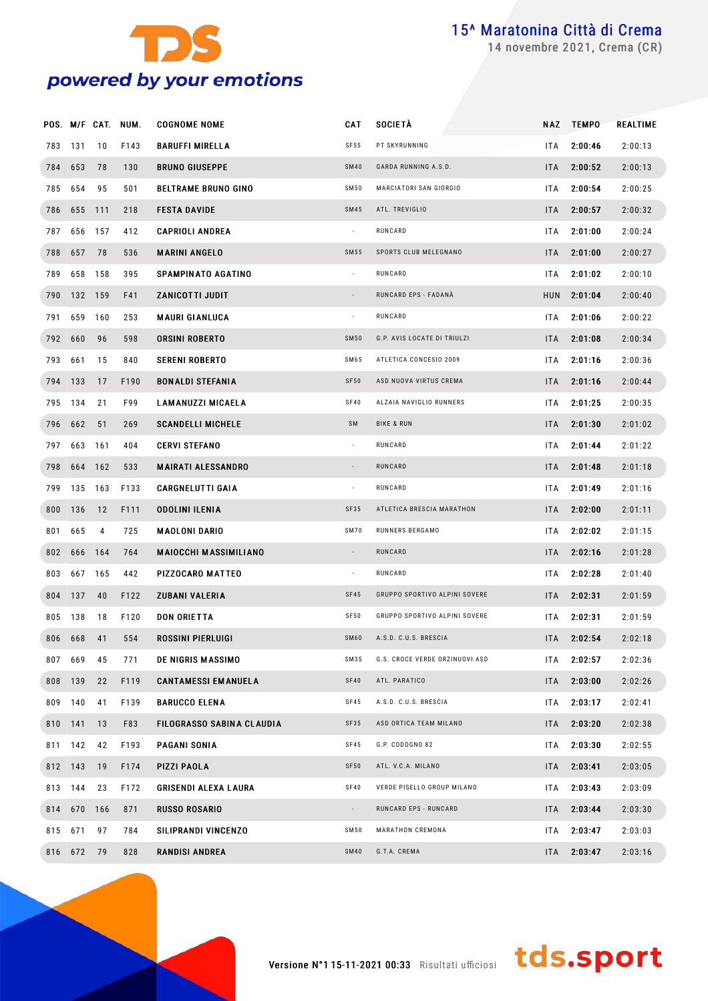

novembre 2021, Crema (CR)

|         |             |     | POS. M/F CAT. NUM. | <b>COGNOME NOME</b>          | CAT                      | <b>SOCIETÀ</b>                 | <b>NAZ</b> | <b>TEMPO</b> | <b>REALTIME</b> |
|---------|-------------|-----|--------------------|------------------------------|--------------------------|--------------------------------|------------|--------------|-----------------|
| 783     | 131         | 10  | F143               | <b>BARUFFI MIRELLA</b>       | SF55                     | PT SKYRUNNING                  | ITA        | 2:00:46      | 2:00:13         |
| 784 653 |             | 78  | 130                | <b>BRUNO GIUSEPPE</b>        | <b>SM40</b>              | GARDA RUNNING A.S.D.           | ITA.       | 2:00:52      | 2:00:13         |
| 785     | 654         | 95  | 501                | <b>BELTRAME BRUNO GINO</b>   | <b>SM50</b>              | MARCIATORI SAN GIORGIO         | ITA        | 2:00:54      | 2:00:25         |
|         | 786 655     | 111 | 218                | <b>FESTA DAVIDE</b>          | <b>SM45</b>              | ATL. TREVIGLIO                 | ITA.       | 2:00:57      | 2:00:32         |
| 787     | 656         | 157 | 412                | <b>CAPRIOLI ANDREA</b>       | $\sim$                   | RUNCARD                        | ITA        | 2:01:00      | 2:00:24         |
| 788     | 657         | 78  | 536                | <b>MARINI ANGELO</b>         | <b>SM55</b>              | SPORTS CLUB MELEGNANO          | ITA I      | 2:01:00      | 2:00:27         |
| 789     | 658         | 158 | 395                | SPAMPINATO AGATINO           | $\sim$                   | RUNCARD                        | ITA        | 2:01:02      | 2:00:10         |
|         | 790 132 159 |     | F41                | ZANICOTTI JUDIT              | $\overline{\phantom{a}}$ | RUNCARD EPS - FADANÀ           |            | HUN 2:01:04  | 2:00:40         |
| 791     | 659         | 160 | 253                | <b>MAURI GIANLUCA</b>        | $\overline{\phantom{a}}$ | RUNCARD                        | ITA        | 2:01:06      | 2:00:22         |
|         | 792 660     | 96  | 598                | <b>ORSINI ROBERTO</b>        | <b>SM50</b>              | G.P. AVIS LOCATE DI TRIULZI    | ITA I      | 2:01:08      | 2:00:34         |
| 793     | 661         | 15  | 840                | <b>SERENI ROBERTO</b>        | SM65                     | ATLETICA CONCESIO 2009         | ITA        | 2:01:16      | 2:00:36         |
|         | 794 133     | 17  | F190               | <b>BONALDI STEFANIA</b>      | SF50                     | ASD NUOVA VIRTUS CREMA         | ITA I      | 2:01:16      | 2:00:44         |
| 795     | 134         | 21  | F99                | <b>LAMANUZZI MICAELA</b>     | SF40                     | ALZAIA NAVIGLIO RUNNERS        | ITA        | 2:01:25      | 2:00:35         |
|         | 796 662     | 51  | 269                | <b>SCANDELLI MICHELE</b>     | SM                       | <b>BIKE &amp; RUN</b>          | ITA.       | 2:01:30      | 2:01:02         |
| 797     | 663         | 161 | 404                | <b>CERVI STEFANO</b>         | $\sim$                   | RUNCARD                        | ITA        | 2:01:44      | 2:01:22         |
| 798     | 664         | 162 | 533                | <b>MAIRATI ALESSANDRO</b>    | $\overline{\phantom{a}}$ | RUNCARD                        | ITA I      | 2:01:48      | 2:01:18         |
| 799     | 135         | 163 | F133               | <b>CARGNELUTTI GAIA</b>      | $\overline{\phantom{a}}$ | RUNCARD                        | ITA        | 2:01:49      | 2:01:16         |
|         | 800 136     | 12  | F111               | ODOLINI ILENIA               | SF35                     | ATLETICA BRESCIA MARATHON      | ITA.       | 2:02:00      | 2:01:11         |
| 801     | 665         | 4   | 725                | <b>MAOLONI DARIO</b>         | <b>SM70</b>              | RUNNERS BERGAMO                | ITA        | 2:02:02      | 2:01:15         |
| 802     | 666         | 164 | 764                | <b>MAIOCCHI MASSIMILIANO</b> | $\sim$                   | RUNCARD                        | ITA I      | 2:02:16      | 2:01:28         |
| 803     | 667         | 165 | 442                | PIZZOCARO MATTEO             | $\sim$                   | RUNCARD                        | ITA        | 2:02:28      | 2:01:40         |
|         | 804 137     | 40  | F122               | <b>ZUBANI VALERIA</b>        | SF45                     | GRUPPO SPORTIVO ALPINI SOVERE  | ITA.       | 2:02:31      | 2:01:59         |
| 805     | 138         | 18  | F120               | <b>DON ORIETTA</b>           | SF50                     | GRUPPO SPORTIVO ALPINI SOVERE  | ITA        | 2:02:31      | 2:01:59         |
|         | 806 668     | 41  | 554                | ROSSINI PIERLUIGI            | SM60                     | A.S.D. C.U.S. BRESCIA          |            | ITA 2:02:54  | 2:02:18         |
|         | 807 669     | 45  | 771                | DE NIGRIS MASSIMO            | SM35                     | G.S. CROCE VERDE ORZINUOVI ASD |            | ITA 2:02:57  | 2:02:36         |
|         | 808 139     | 22  | F119               | <b>CANTAMESSI EMANUELA</b>   | SF40                     | ATL. PARATICO                  |            | ITA 2:03:00  | 2:02:26         |
|         | 809 140     | 41  | F139               | <b>BARUCCO ELENA</b>         | SF45                     | A.S.D. C.U.S. BRESCIA          | ITA I      | 2:03:17      | 2:02:41         |
|         | 810 141     | 13  | F83                | FILOGRASSO SABINA CLAUDIA    | SF35                     | ASD ORTICA TEAM MILANO         |            | ITA 2:03:20  | 2:02:38         |
|         | 811 142     | 42  | F193               | PAGANI SONIA                 | SF45                     | G.P. CODOGNO 82                | ITA I      | 2:03:30      | 2:02:55         |
|         | 812 143     | 19  | F174               | PIZZI PAOLA                  | SF50                     | ATL. V.C.A. MILANO             |            | ITA 2:03:41  | 2:03:05         |
|         | 813 144     | 23  | F172               | <b>GRISENDI ALEXA LAURA</b>  | SF40                     | VERDE PISELLO GROUP MILANO     | ITA        | 2:03:43      | 2:03:09         |
|         | 814 670     | 166 | 871                | <b>RUSSO ROSARIO</b>         | $\sim$                   | RUNCARD EPS - RUNCARD          |            | ITA 2:03:44  | 2:03:30         |
|         | 815 671     | 97  | 784                | SILIPRANDI VINCENZO          | <b>SM50</b>              | MARATHON CREMONA               | ITA        | 2:03:47      | 2:03:03         |
|         | 816 672 79  |     | 828                | <b>RANDISI ANDREA</b>        | <b>SM40</b>              | G.T.A. CREMA                   | ITA I      | 2:03:47      | 2:03:16         |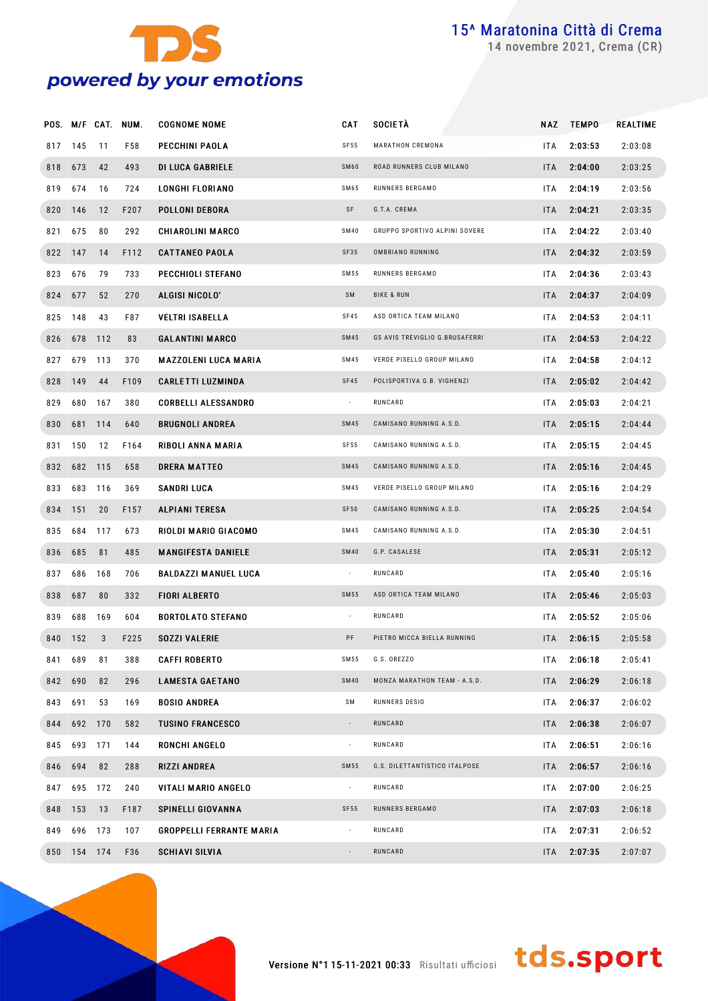

novembre 2021, Crema (CR)

|     |             |         | POS. M/F CAT. NUM. | <b>COGNOME NOME</b>             | <b>CAT</b>               | <b>SOCIETÀ</b>                 | NAZ        | <b>TEMPO</b> | REALTIME |
|-----|-------------|---------|--------------------|---------------------------------|--------------------------|--------------------------------|------------|--------------|----------|
|     | 817 145     | 11      | F58                | PECCHINI PAOLA                  | SF55                     | MARATHON CREMONA               | ITA.       | 2:03:53      | 2:03:08  |
|     | 818 673     | 42      | 493                | <b>DI LUCA GABRIELE</b>         | <b>SM60</b>              | ROAD RUNNERS CLUB MILANO       | ITA.       | 2:04:00      | 2:03:25  |
| 819 | 674         | 16      | 724                | LONGHI FLORIANO                 | SM65                     | RUNNERS BERGAMO                | ITA.       | 2:04:19      | 2:03:56  |
|     | 820 146     | 12      | F207               | POLLONI DEBORA                  | SF                       | G.T.A. CREMA                   | ITA.       | 2:04:21      | 2:03:35  |
| 821 | 675         | 80      | 292                | <b>CHIAROLINI MARCO</b>         | <b>SM40</b>              | GRUPPO SPORTIVO ALPINI SOVERE  | ITA.       | 2:04:22      | 2:03:40  |
|     | 822 147     | 14      | F112               | <b>CATTANEO PAOLA</b>           | SF35                     | OMBRIANO RUNNING               | ITA.       | 2:04:32      | 2:03:59  |
| 823 | 676         | 79      | 733                | PECCHIOLI STEFANO               | SM 55                    | RUNNERS BERGAMO                | ITA.       | 2:04:36      | 2:03:43  |
|     | 824 677     | 52      | 270                | ALGISI NICOLO'                  | SM                       | <b>BIKE &amp; RUN</b>          | ITA.       | 2:04:37      | 2:04:09  |
| 825 | 148         | 43      | F87                | <b>VELTRI ISABELLA</b>          | <b>SF45</b>              | ASD ORTICA TEAM MILANO         | ITA.       | 2:04:53      | 2:04:11  |
|     | 826 678 112 |         | 83                 | <b>GALANTINI MARCO</b>          | SM45                     | GS AVIS TREVIGLIO G.BRUSAFERRI | ITA.       | 2:04:53      | 2:04:22  |
| 827 | 679 113     |         | 370                | MAZZOLENI LUCA MARIA            | SM45                     | VERDE PISELLO GROUP MILANO     | ITA.       | 2:04:58      | 2:04:12  |
|     | 828 149     | 44      | F109               | <b>CARLETTI LUZMINDA</b>        | SF45                     | POLISPORTIVA G.B. VIGHENZI     | ITA.       | 2:05:02      | 2:04:42  |
| 829 | 680         | 167     | 380                | <b>CORBELLI ALESSANDRO</b>      | $\sim$                   | RUNCARD                        | ITA.       | 2:05:03      | 2:04:21  |
|     | 830 681 114 |         | 640                | <b>BRUGNOLI ANDREA</b>          | SM45                     | CAMISANO RUNNING A.S.D.        | ITA.       | 2:05:15      | 2:04:44  |
| 831 | 150         | 12      | F164               | RIBOLI ANNA MARIA               | <b>SF55</b>              | CAMISANO RUNNING A.S.D.        | ITA.       | 2:05:15      | 2:04:45  |
|     | 832 682 115 |         | 658                | <b>DRERA MATTEO</b>             | SM45                     | CAMISANO RUNNING A.S.D.        | ITA.       | 2:05:16      | 2:04:45  |
| 833 | 683         | 116     | 369                | SANDRI LUCA                     | SM45                     | VERDE PISELLO GROUP MILANO     | ITA.       | 2:05:16      | 2:04:29  |
|     | 834 151     | 20      | F157               | <b>ALPIANI TERESA</b>           | <b>SF50</b>              | CAMISANO RUNNING A.S.D.        | ITA.       | 2:05:25      | 2:04:54  |
| 835 | 684         | 117     | 673                | RIOLDI MARIO GIACOMO            | SM 45                    | CAMISANO RUNNING A.S.D.        | ITA.       | 2:05:30      | 2:04:51  |
|     | 836 685     | 81      | 485                | <b>MANGIFESTA DANIELE</b>       | <b>SM40</b>              | G.P. CASALESE                  | ITA.       | 2:05:31      | 2:05:12  |
| 837 | 686         | 168     | 706                | BALDAZZI MANUEL LUCA            | $\sim$                   | RUNCARD                        | ITA.       | 2:05:40      | 2:05:16  |
|     | 838 687     | 80      | 332                | <b>FIORI ALBERTO</b>            | SM 55                    | ASD ORTICA TEAM MILANO         | ITA.       | 2:05:46      | 2:05:03  |
| 839 | 688         | 169     | 604                | <b>BORTOLATO STEFANO</b>        | $\sim$                   | RUNCARD                        | ITA.       | 2:05:52      | 2:05:06  |
| 840 | 152         | 3       | F225               | <b>SOZZI VALERIE</b>            | PF                       | PIETRO MICCA BIELLA RUNNING    | ITA.       | 2:06:15      | 2:05:58  |
| 841 | 689         | 81      | 388                | <b>CAFFI ROBERTO</b>            | SM 55                    | G.S. OREZZO                    | ITA.       | 2:06:18      | 2:05:41  |
| 842 | 690         | 82      | 296                | <b>LAMESTA GAETANO</b>          | <b>SM40</b>              | MONZA MARATHON TEAM - A.S.D.   | <b>ITA</b> | 2:06:29      | 2:06:18  |
|     | 843 691     | 53      | 169                | <b>BOSIO ANDREA</b>             | SM                       | RUNNERS DESIO                  | ITA.       | 2:06:37      | 2:06:02  |
| 844 |             | 692 170 | 582                | <b>TUSINO FRANCESCO</b>         | $\overline{\phantom{a}}$ | RUNCARD                        | ITA.       | 2:06:38      | 2:06:07  |
|     | 845 693 171 |         | 144                | <b>RONCHI ANGELO</b>            | $\blacksquare$           | RUNCARD                        | ITA.       | 2:06:51      | 2:06:16  |
| 846 | 694         | 82      | 288                | <b>RIZZI ANDREA</b>             | SM 55                    | G.S. DILETTANTISTICO ITALPOSE  | ITA.       | 2:06:57      | 2:06:16  |
| 847 |             | 695 172 | 240                | VITALI MARIO ANGELO             | $\sim$                   | RUNCARD                        | ITA.       | 2:07:00      | 2:06:25  |
|     | 848 153     | 13      | F187               | SPINELLI GIOVANNA               | <b>SF55</b>              | RUNNERS BERGAMO                | ITA.       | 2:07:03      | 2:06:18  |
| 849 | 696 173     |         | 107                | <b>GROPPELLI FERRANTE MARIA</b> | $\sim$                   | RUNCARD                        | ITA.       | 2:07:31      | 2:06:52  |
|     | 850 154 174 |         | F36                | SCHIAVI SILVIA                  | ÷                        | RUNCARD                        | ITA.       | 2:07:35      | 2:07:07  |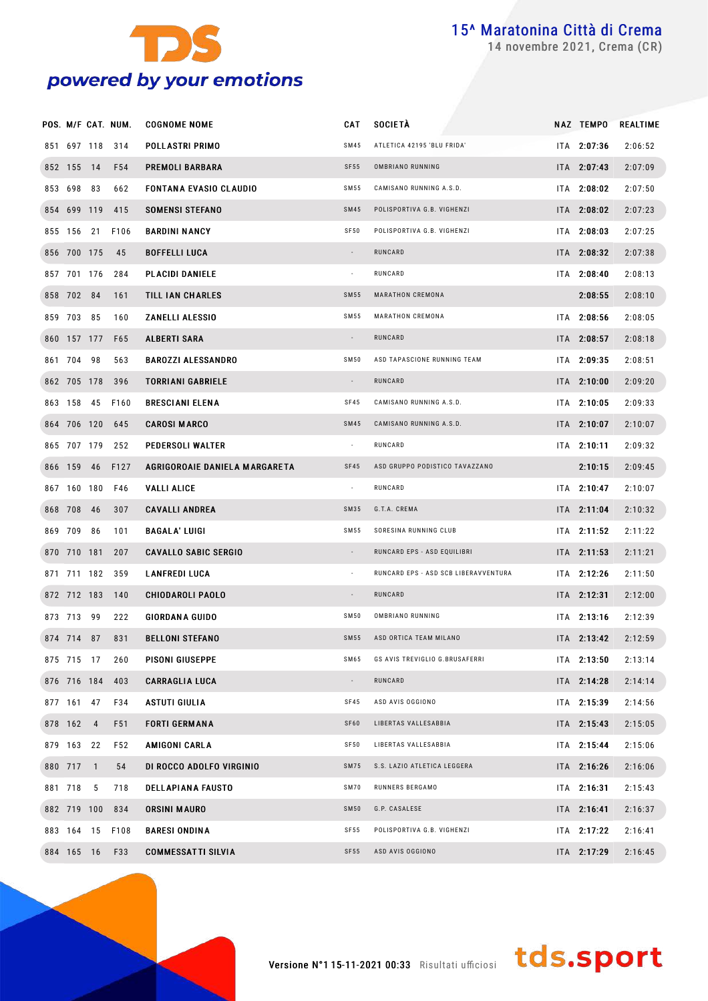

novembre 2021, Crema (CR)

|                 | POS. M/F CAT. NUM. | <b>COGNOME NOME</b>           | CAT                      | <b>SOCIETÀ</b>                       | NAZ TEMPO     | REALTIME |
|-----------------|--------------------|-------------------------------|--------------------------|--------------------------------------|---------------|----------|
|                 | 851 697 118 314    | POLLASTRI PRIMO               | <b>SM45</b>              | ATLETICA 42195 'BLU FRIDA'           | ITA 2:07:36   | 2:06:52  |
| 852 155 14      | F <sub>54</sub>    | PREMOLI BARBARA               | SF55                     | OMBRIANO RUNNING                     | ITA 2:07:43   | 2:07:09  |
| 853 698 83      | 662                | <b>FONTANA EVASIO CLAUDIO</b> | SM55                     | CAMISANO RUNNING A.S.D.              | ITA 2:08:02   | 2:07:50  |
|                 | 854 699 119 415    | <b>SOMENSI STEFANO</b>        | <b>SM45</b>              | POLISPORTIVA G.B. VIGHENZI           | ITA 2:08:02   | 2:07:23  |
| 855 156 21      | F106               | <b>BARDINI NANCY</b>          | SF50                     | POLISPORTIVA G.B. VIGHENZI           | ITA 2:08:03   | 2:07:25  |
| 856 700 175     | - 45               | <b>BOFFELLI LUCA</b>          | $\sim$                   | RUNCARD                              | ITA 2:08:32   | 2:07:38  |
| 857 701 176     | 284                | <b>PLACIDI DANIELE</b>        | $\overline{\phantom{a}}$ | RUNCARD                              | ITA 2:08:40   | 2:08:13  |
| 858 702 84      | 161                | TILL IAN CHARLES              | <b>SM55</b>              | MARATHON CREMONA                     | 2:08:55       | 2:08:10  |
| 859 703 85      | 160                | ZANELLI ALESSIO               | SM 55                    | MARATHON CREMONA                     | ITA 2:08:56   | 2:08:05  |
| 860 157 177     | F65                | <b>ALBERTI SARA</b>           | $\sim$                   | RUNCARD                              | ITA 2:08:57   | 2:08:18  |
| 861 704 98      | 563                | <b>BAROZZI ALESSANDRO</b>     | SM50                     | ASD TAPASCIONE RUNNING TEAM          | ITA 2:09:35   | 2:08:51  |
| 862 705 178     | 396                | <b>TORRIANI GABRIELE</b>      | $\sim$                   | RUNCARD                              | ITA 2:10:00   | 2:09:20  |
| 863 158 45      | F160               | <b>BRESCIANI ELENA</b>        | SF45                     | CAMISANO RUNNING A.S.D.              | ITA 2:10:05   | 2:09:33  |
| 864 706 120     | 645                | <b>CAROSI MARCO</b>           | <b>SM45</b>              | CAMISANO RUNNING A.S.D.              | ITA 2:10:07   | 2:10:07  |
| 865 707 179     | 252                | PEDERSOLI WALTER              | $\overline{\phantom{a}}$ | RUNCARD                              | $ITA$ 2:10:11 | 2:09:32  |
|                 | 866 159 46 F127    | AGRIGOROAIE DANIELA MARGARETA | SF45                     | ASD GRUPPO PODISTICO TAVAZZANO       | 2:10:15       | 2:09:45  |
| 867 160 180     | F46                | <b>VALLI ALICE</b>            | $\overline{\phantom{a}}$ | RUNCARD                              | ITA 2:10:47   | 2:10:07  |
| 868 708 46      | 307                | <b>CAVALLI ANDREA</b>         | SM35                     | G.T.A. CREMA                         | ITA 2:11:04   | 2:10:32  |
| 869 709 86      | 101                | <b>BAGALA' LUIGI</b>          | SM 55                    | SORESINA RUNNING CLUB                | ITA 2:11:52   | 2:11:22  |
| 870 710 181     | 207                | <b>CAVALLO SABIC SERGIO</b>   | $\sim$                   | RUNCARD EPS - ASD EQUILIBRI          | $ITA$ 2:11:53 | 2:11:21  |
| 871 711 182 359 |                    | <b>LANFREDI LUCA</b>          | $\sim$                   | RUNCARD EPS - ASD SCB LIBERAVVENTURA | ITA 2:12:26   | 2:11:50  |
| 872 712 183     | 140                | <b>CHIODAROLI PAOLO</b>       | $\overline{\phantom{a}}$ | RUNCARD                              | ITA 2:12:31   | 2:12:00  |
| 873 713 99      | 222                | <b>GIORDANA GUIDO</b>         | SM50                     | OMBRIANO RUNNING                     | ITA 2:13:16   | 2:12:39  |
| 874 714 87      | 831                | <b>BELLONI STEFANO</b>        | <b>SM55</b>              | ASD ORTICA TEAM MILANO               | $ITA$ 2:13:42 | 2:12:59  |
| 875 715 17      | 260                | PISONI GIUSEPPE               | SM65                     | GS AVIS TREVIGLIO G.BRUSAFERRI       | ITA 2:13:50   | 2:13:14  |
| 876 716 184     | 403                | <b>CARRAGLIA LUCA</b>         | $\overline{\phantom{a}}$ | RUNCARD                              | ITA 2:14:28   | 2:14:14  |
| 877 161 47      | F34                | ASTUTI GIULIA                 | SF45                     | ASD AVIS OGGIONO                     | ITA 2:15:39   | 2:14:56  |
| 878 162 4       | F51                | <b>FORTI GERMANA</b>          | SF60                     | LIBERTAS VALLESABBIA                 | ITA 2:15:43   | 2:15:05  |
| 879 163 22      | F52                | AMIGONI CARLA                 | SF50                     | LIBERTAS VALLESABBIA                 | ITA 2:15:44   | 2:15:06  |
| 880 717 1       | 54                 | DI ROCCO ADOLFO VIRGINIO      | <b>SM75</b>              | S.S. LAZIO ATLETICA LEGGERA          | ITA 2:16:26   | 2:16:06  |
| 881 718 5       | 718                | <b>DELLAPIANA FAUSTO</b>      | SM70                     | RUNNERS BERGAMO                      | ITA 2:16:31   | 2:15:43  |
| 882 719 100     | 834                | ORSINI MAURO                  | <b>SM50</b>              | G.P. CASALESE                        | ITA 2:16:41   | 2:16:37  |
| 883 164 15      | F108               | <b>BARESI ONDINA</b>          | SF 55                    | POLISPORTIVA G.B. VIGHENZI           | ITA 2:17:22   | 2:16:41  |
| 884 165 16      | F33                | <b>COMMESSATTI SILVIA</b>     | SF55                     | ASD AVIS OGGIONO                     | ITA 2:17:29   | 2:16:45  |